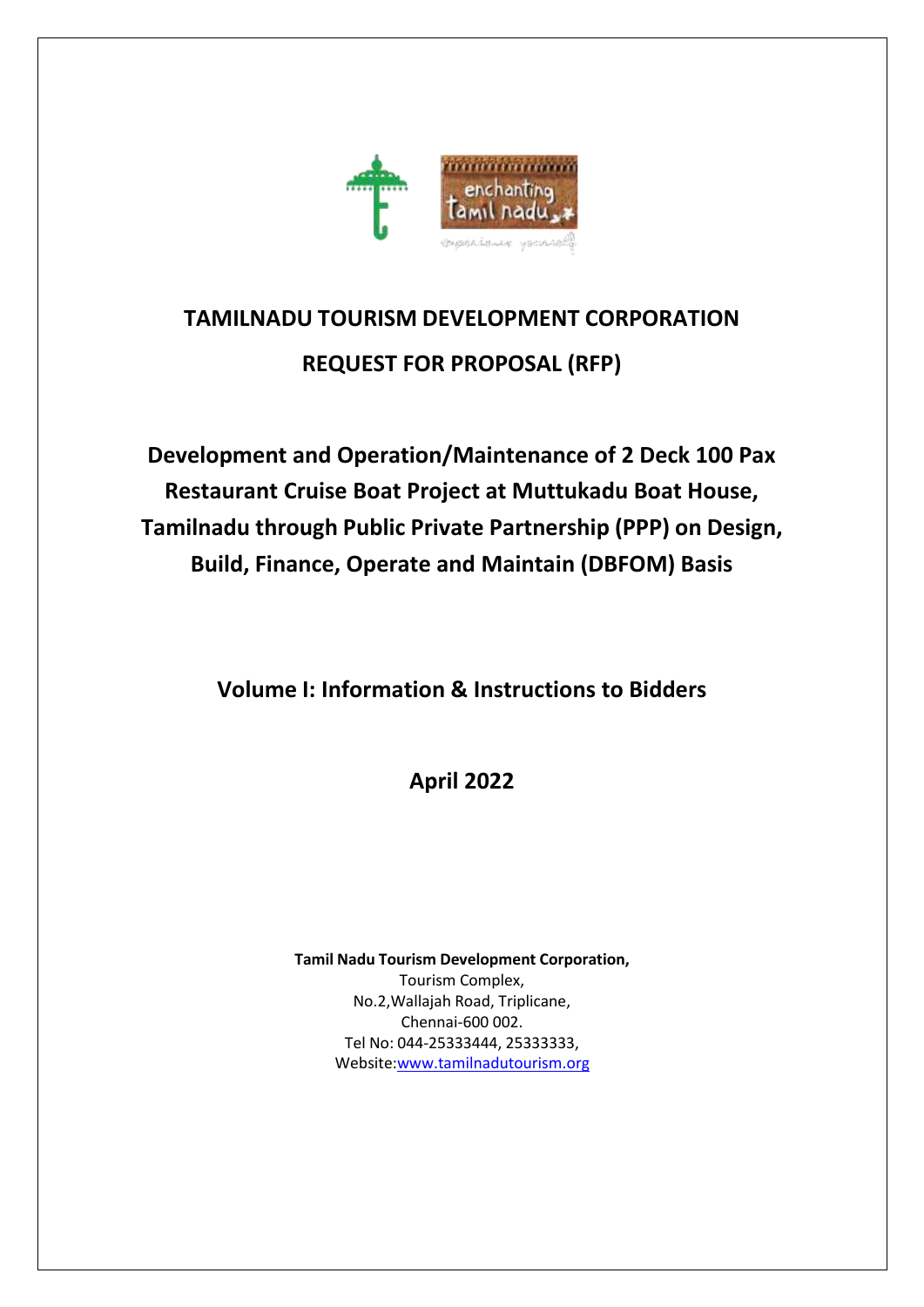

# **TAMILNADU TOURISM DEVELOPMENT CORPORATION REQUEST FOR PROPOSAL (RFP)**

**Development and Operation/Maintenance of 2 Deck 100 Pax Restaurant Cruise Boat Project at Muttukadu Boat House, Tamilnadu through Public Private Partnership (PPP) on Design, Build, Finance, Operate and Maintain (DBFOM) Basis**

**Volume I: Information & Instructions to Bidders**

**April 2022**

**Tamil Nadu Tourism Development Corporation,**

Tourism Complex, No.2,Wallajah Road, Triplicane, Chennai-600 002. Tel No: 044-25333444, 25333333, Websit[e:www.tamilnadutourism.org](http://www.tamilnadutourism.org/)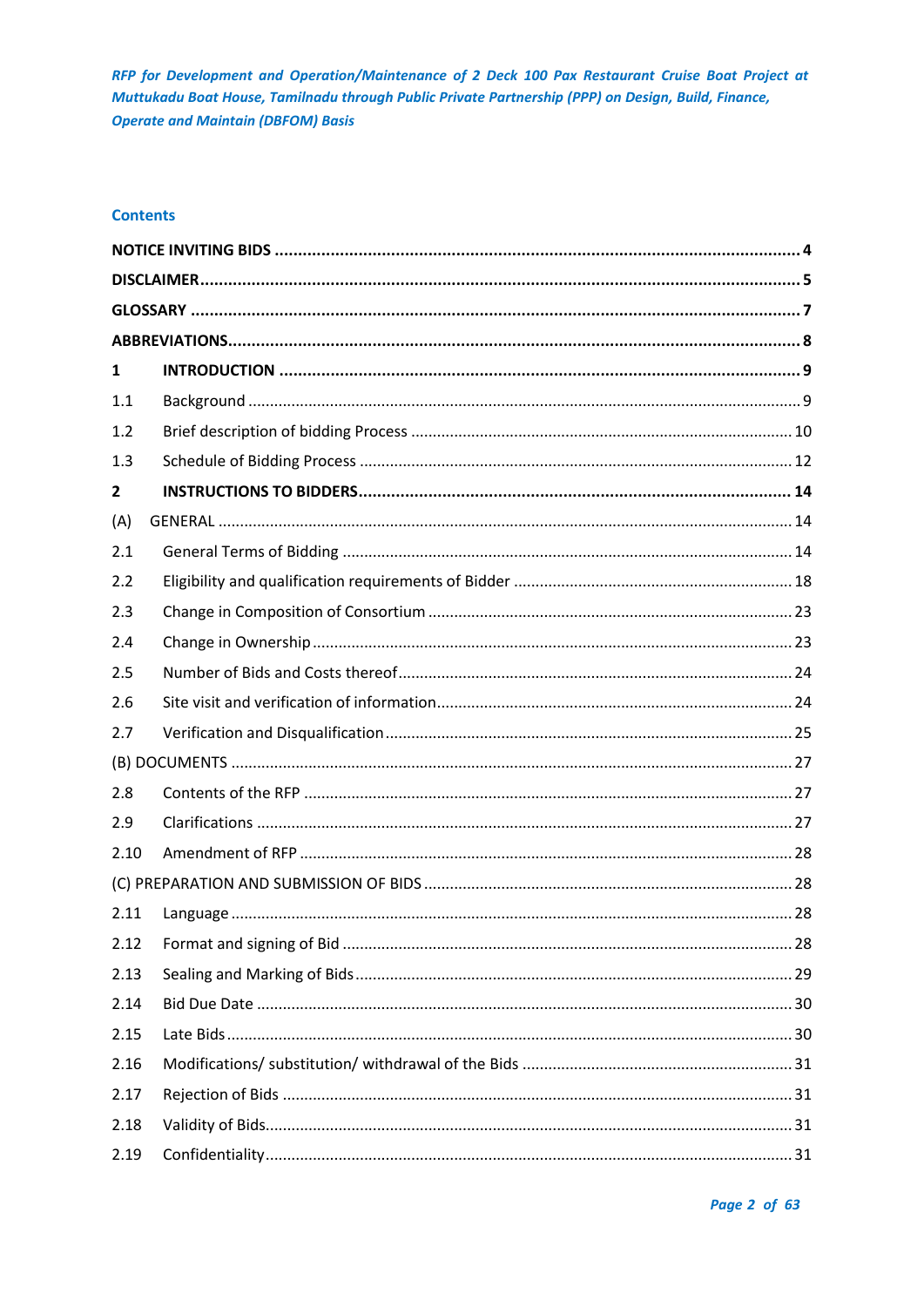## **Contents**

| 1              |  |
|----------------|--|
| 1.1            |  |
| 1.2            |  |
| 1.3            |  |
| $\overline{2}$ |  |
| (A)            |  |
| 2.1            |  |
| 2.2            |  |
| 2.3            |  |
| 2.4            |  |
| 2.5            |  |
| 2.6            |  |
| 2.7            |  |
|                |  |
| 2.8            |  |
| 2.9            |  |
| 2.10           |  |
|                |  |
| 2.11           |  |
| 2.12           |  |
| 2.13           |  |
| 2.14           |  |
| 2.15           |  |
| 2.16           |  |
| 2.17           |  |
| 2.18           |  |
| 2.19           |  |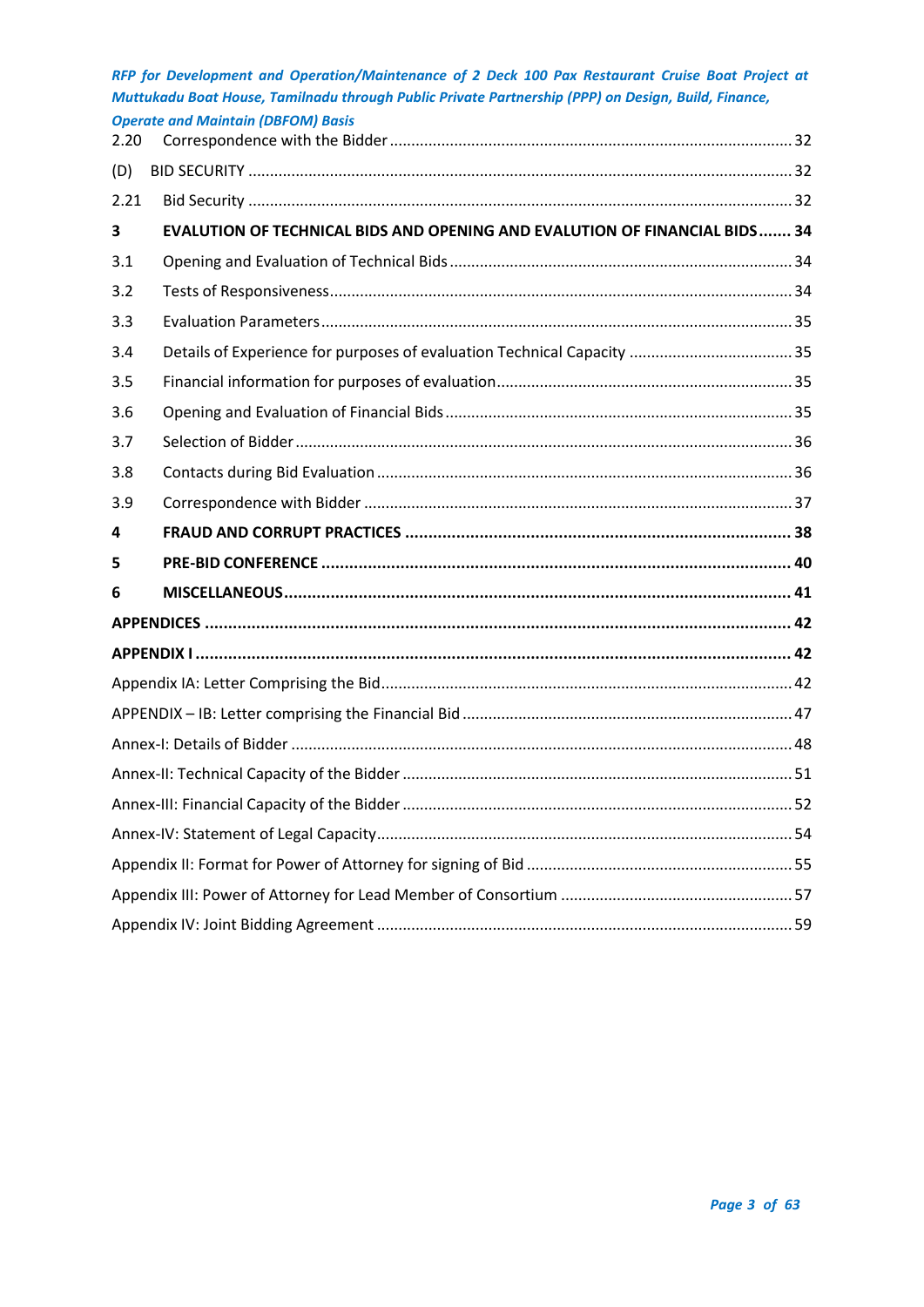|      | <b>Operate and Maintain (DBFOM) Basis</b>                                  |  |
|------|----------------------------------------------------------------------------|--|
| 2.20 |                                                                            |  |
| (D)  |                                                                            |  |
| 2.21 |                                                                            |  |
| 3    | EVALUTION OF TECHNICAL BIDS AND OPENING AND EVALUTION OF FINANCIAL BIDS 34 |  |
| 3.1  |                                                                            |  |
| 3.2  |                                                                            |  |
| 3.3  |                                                                            |  |
| 3.4  |                                                                            |  |
| 3.5  |                                                                            |  |
| 3.6  |                                                                            |  |
| 3.7  |                                                                            |  |
| 3.8  |                                                                            |  |
| 3.9  |                                                                            |  |
| 4    |                                                                            |  |
| 5    |                                                                            |  |
| 6    |                                                                            |  |
|      |                                                                            |  |
|      |                                                                            |  |
|      |                                                                            |  |
|      |                                                                            |  |
|      |                                                                            |  |
|      |                                                                            |  |
|      |                                                                            |  |
|      |                                                                            |  |
|      |                                                                            |  |
|      |                                                                            |  |
|      |                                                                            |  |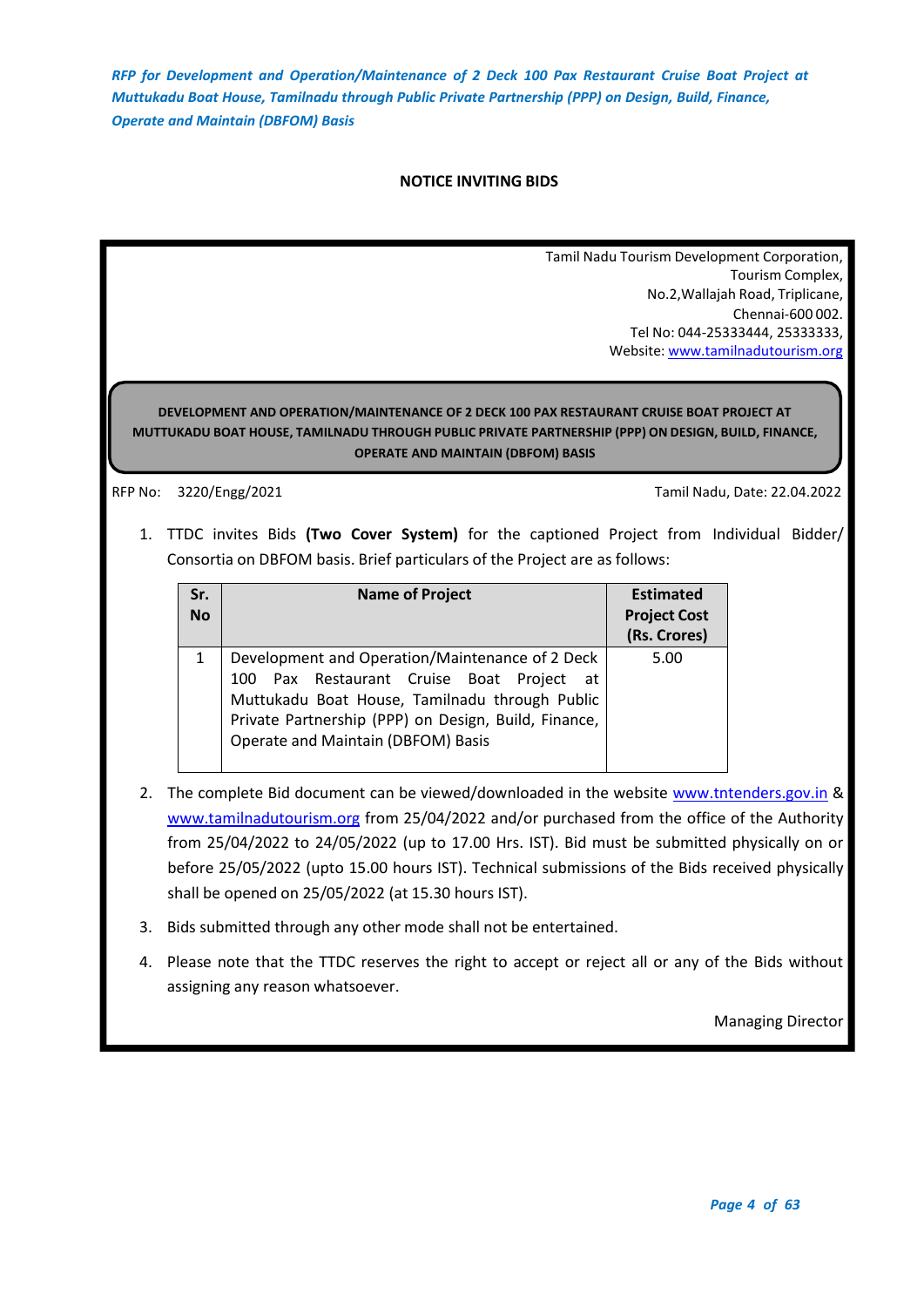## **NOTICE INVITING BIDS**

Tamil Nadu Tourism Development Corporation, Tourism Complex, No.2,Wallajah Road, Triplicane, Chennai-600 002. Tel No: 044-25333444, 25333333, Website: [www.tamilnadutourism.org](http://www.tamilnadutourism.org/)

## <span id="page-3-0"></span>**DEVELOPMENT AND OPERATION/MAINTENANCE OF 2 DECK 100 PAX RESTAURANT CRUISE BOAT PROJECT AT MUTTUKADU BOAT HOUSE, TAMILNADU THROUGH PUBLIC PRIVATE PARTNERSHIP (PPP) ON DESIGN, BUILD, FINANCE, OPERATE AND MAINTAIN (DBFOM) BASIS**

RFP No: 3220/Engg/2021 Tamil Nadu, Date: 22.04.2022

1. TTDC invites Bids **(Two Cover System)** for the captioned Project from Individual Bidder/ Consortia on DBFOM basis. Brief particulars of the Project are as follows:

| Sr.<br><b>No</b> | <b>Name of Project</b>                                                                                                                                                                                                                       | <b>Estimated</b><br><b>Project Cost</b><br>(Rs. Crores) |
|------------------|----------------------------------------------------------------------------------------------------------------------------------------------------------------------------------------------------------------------------------------------|---------------------------------------------------------|
|                  | Development and Operation/Maintenance of 2 Deck<br>100 Pax Restaurant Cruise Boat Project at<br>Muttukadu Boat House, Tamilnadu through Public<br>Private Partnership (PPP) on Design, Build, Finance,<br>Operate and Maintain (DBFOM) Basis | 5.00                                                    |

- 2. The complete Bid document can be viewed/downloaded in the website [www.tntenders.gov.in](http://www.tntenders.gov.in/) & [www.tamilnadutourism.org](http://www.tamilnadutourism.org/) from 25/04/2022 and/or purchased from the office of the Authority from 25/04/2022 to 24/05/2022 (up to 17.00 Hrs. IST). Bid must be submitted physically on or before 25/05/2022 (upto 15.00 hours IST). Technical submissions of the Bids received physically shall be opened on 25/05/2022 (at 15.30 hours IST).
- 3. Bids submitted through any other mode shall not be entertained.
- 4. Please note that the TTDC reserves the right to accept or reject all or any of the Bids without assigning any reason whatsoever.

Managing Director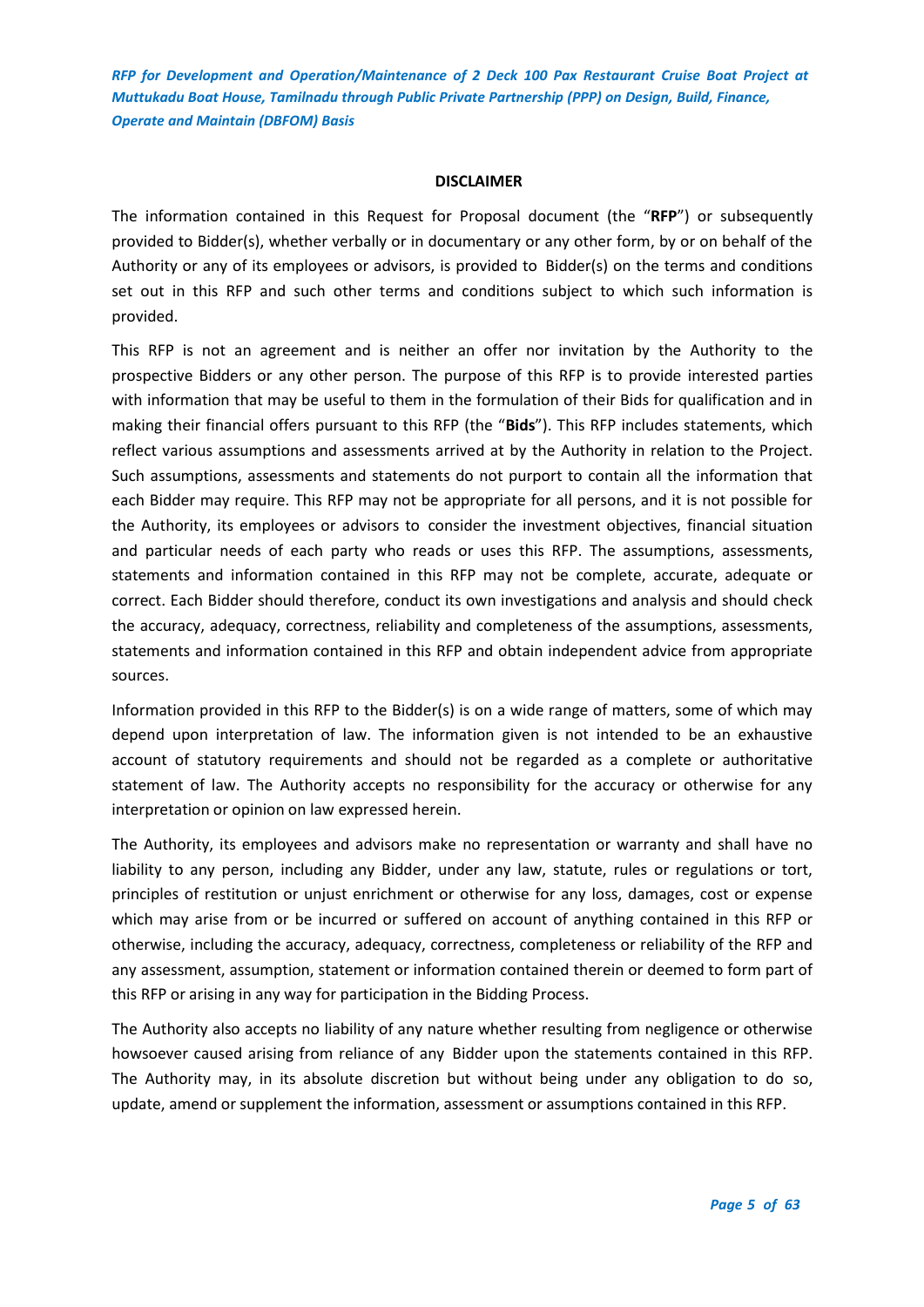#### **DISCLAIMER**

<span id="page-4-0"></span>The information contained in this Request for Proposal document (the "**RFP**") or subsequently provided to Bidder(s), whether verbally or in documentary or any other form, by or on behalf of the Authority or any of its employees or advisors, is provided to Bidder(s) on the terms and conditions set out in this RFP and such other terms and conditions subject to which such information is provided.

This RFP is not an agreement and is neither an offer nor invitation by the Authority to the prospective Bidders or any other person. The purpose of this RFP is to provide interested parties with information that may be useful to them in the formulation of their Bids for qualification and in making their financial offers pursuant to this RFP (the "**Bids**"). This RFP includes statements, which reflect various assumptions and assessments arrived at by the Authority in relation to the Project. Such assumptions, assessments and statements do not purport to contain all the information that each Bidder may require. This RFP may not be appropriate for all persons, and it is not possible for the Authority, its employees or advisors to consider the investment objectives, financial situation and particular needs of each party who reads or uses this RFP. The assumptions, assessments, statements and information contained in this RFP may not be complete, accurate, adequate or correct. Each Bidder should therefore, conduct its own investigations and analysis and should check the accuracy, adequacy, correctness, reliability and completeness of the assumptions, assessments, statements and information contained in this RFP and obtain independent advice from appropriate sources.

Information provided in this RFP to the Bidder(s) is on a wide range of matters, some of which may depend upon interpretation of law. The information given is not intended to be an exhaustive account of statutory requirements and should not be regarded as a complete or authoritative statement of law. The Authority accepts no responsibility for the accuracy or otherwise for any interpretation or opinion on law expressed herein.

The Authority, its employees and advisors make no representation or warranty and shall have no liability to any person, including any Bidder, under any law, statute, rules or regulations or tort, principles of restitution or unjust enrichment or otherwise for any loss, damages, cost or expense which may arise from or be incurred or suffered on account of anything contained in this RFP or otherwise, including the accuracy, adequacy, correctness, completeness or reliability of the RFP and any assessment, assumption, statement or information contained therein or deemed to form part of this RFP or arising in any way for participation in the Bidding Process.

The Authority also accepts no liability of any nature whether resulting from negligence or otherwise howsoever caused arising from reliance of any Bidder upon the statements contained in this RFP. The Authority may, in its absolute discretion but without being under any obligation to do so, update, amend or supplement the information, assessment or assumptions contained in this RFP.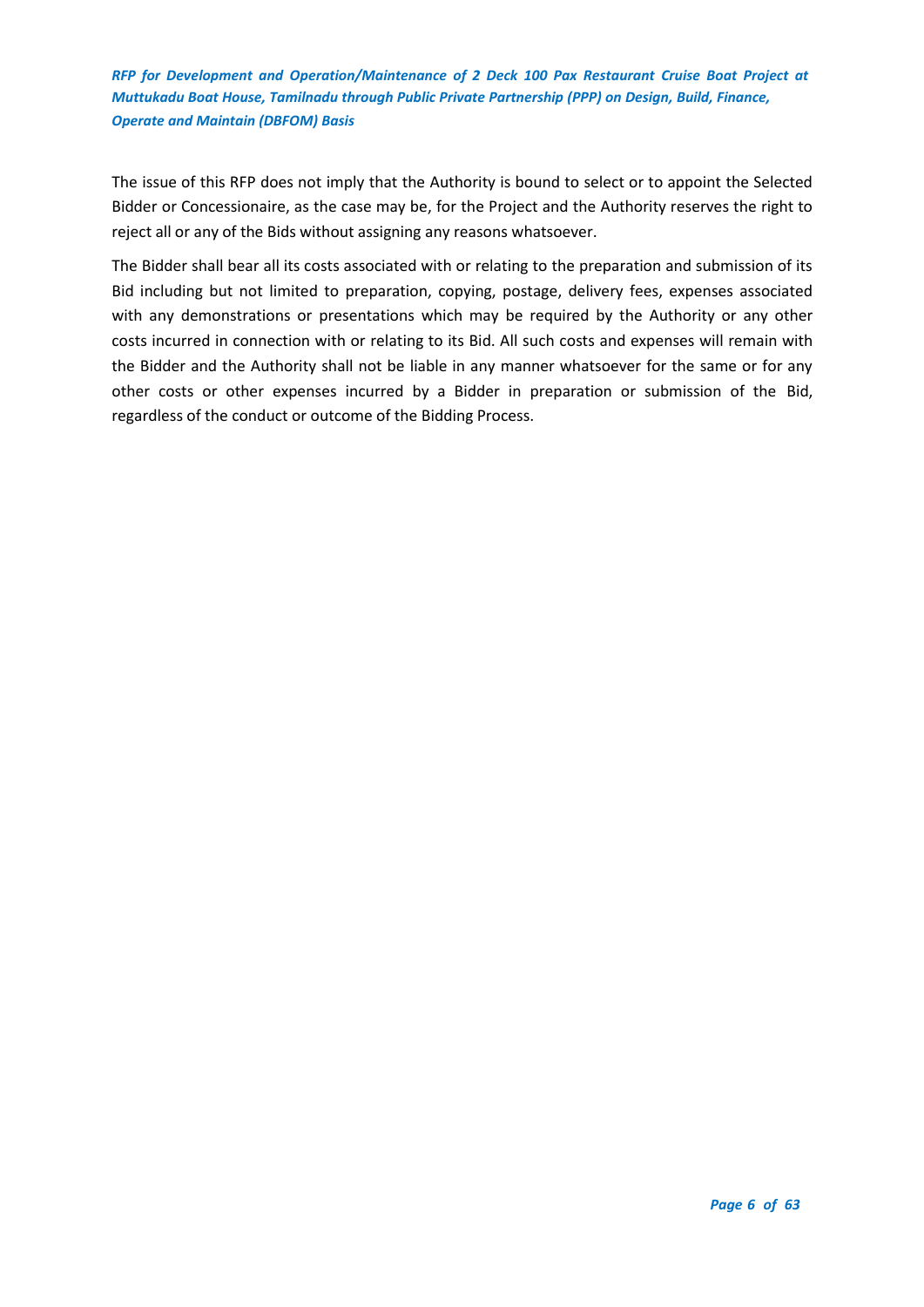The issue of this RFP does not imply that the Authority is bound to select or to appoint the Selected Bidder or Concessionaire, as the case may be, for the Project and the Authority reserves the right to reject all or any of the Bids without assigning any reasons whatsoever.

The Bidder shall bear all its costs associated with or relating to the preparation and submission of its Bid including but not limited to preparation, copying, postage, delivery fees, expenses associated with any demonstrations or presentations which may be required by the Authority or any other costs incurred in connection with or relating to its Bid. All such costs and expenses will remain with the Bidder and the Authority shall not be liable in any manner whatsoever for the same or for any other costs or other expenses incurred by a Bidder in preparation or submission of the Bid, regardless of the conduct or outcome of the Bidding Process.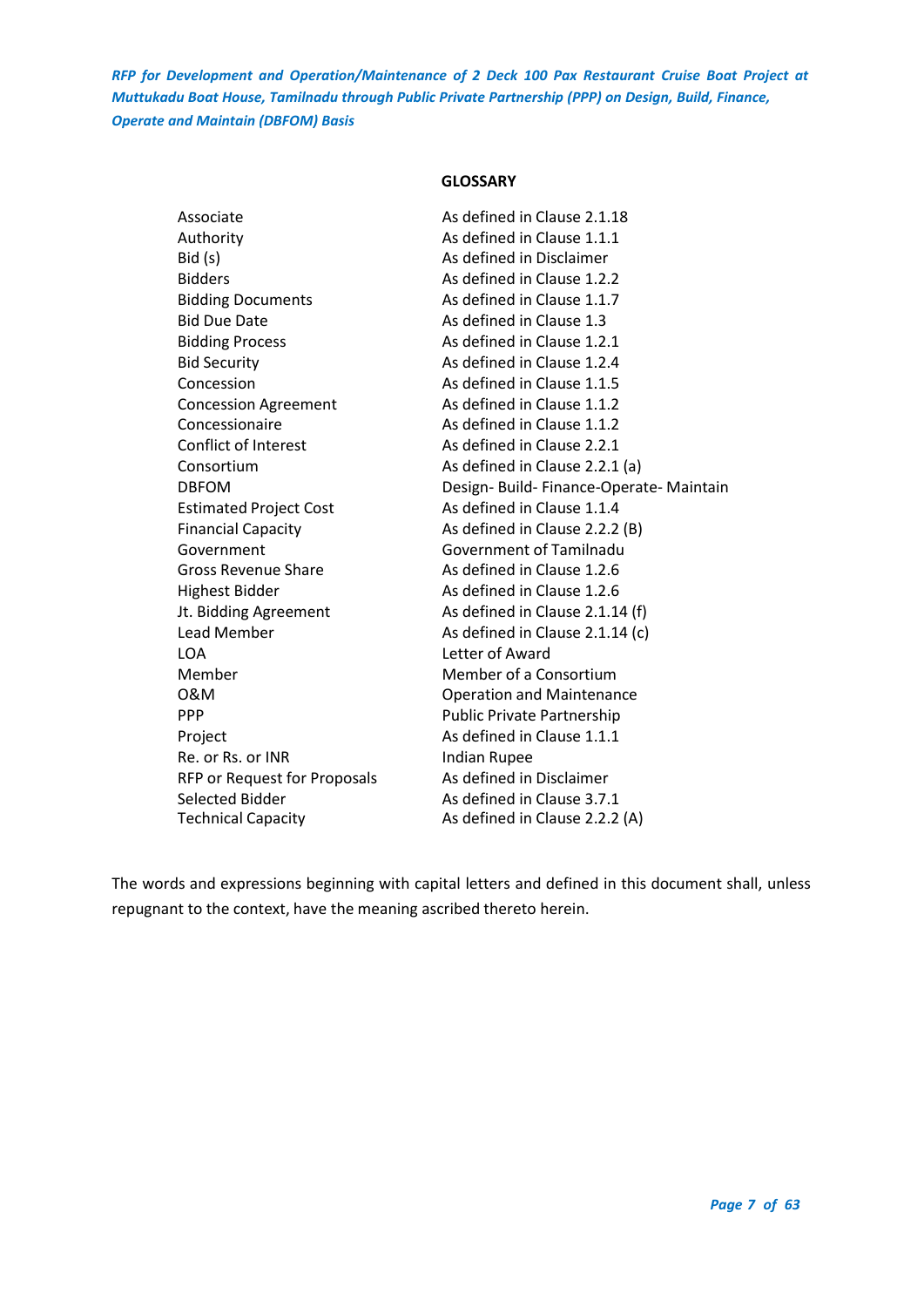## **GLOSSARY**

<span id="page-6-0"></span>

| Associate                     | As defined in Clause 2.1.18              |
|-------------------------------|------------------------------------------|
| Authority                     | As defined in Clause 1.1.1               |
| Bid(s)                        | As defined in Disclaimer                 |
| <b>Bidders</b>                | As defined in Clause 1.2.2               |
| <b>Bidding Documents</b>      | As defined in Clause 1.1.7               |
| <b>Bid Due Date</b>           | As defined in Clause 1.3                 |
| <b>Bidding Process</b>        | As defined in Clause 1.2.1               |
| <b>Bid Security</b>           | As defined in Clause 1.2.4               |
| Concession                    | As defined in Clause 1.1.5               |
| <b>Concession Agreement</b>   | As defined in Clause 1.1.2               |
| Concessionaire                | As defined in Clause 1.1.2               |
| Conflict of Interest          | As defined in Clause 2.2.1               |
| Consortium                    | As defined in Clause 2.2.1 (a)           |
| <b>DBFOM</b>                  | Design- Build- Finance-Operate- Maintain |
| <b>Estimated Project Cost</b> | As defined in Clause 1.1.4               |
| <b>Financial Capacity</b>     | As defined in Clause 2.2.2 (B)           |
| Government                    | <b>Government of Tamilnadu</b>           |
| Gross Revenue Share           | As defined in Clause 1.2.6               |
| <b>Highest Bidder</b>         | As defined in Clause 1.2.6               |
| Jt. Bidding Agreement         | As defined in Clause 2.1.14 (f)          |
| <b>Lead Member</b>            | As defined in Clause 2.1.14 (c)          |
| <b>LOA</b>                    | Letter of Award                          |
| Member                        | Member of a Consortium                   |
| 0&M                           | <b>Operation and Maintenance</b>         |
| <b>PPP</b>                    | <b>Public Private Partnership</b>        |
| Project                       | As defined in Clause 1.1.1               |
| Re. or Rs. or INR             | <b>Indian Rupee</b>                      |
| RFP or Request for Proposals  | As defined in Disclaimer                 |
| Selected Bidder               | As defined in Clause 3.7.1               |
| <b>Technical Capacity</b>     | As defined in Clause 2.2.2 (A)           |

The words and expressions beginning with capital letters and defined in this document shall, unless repugnant to the context, have the meaning ascribed thereto herein.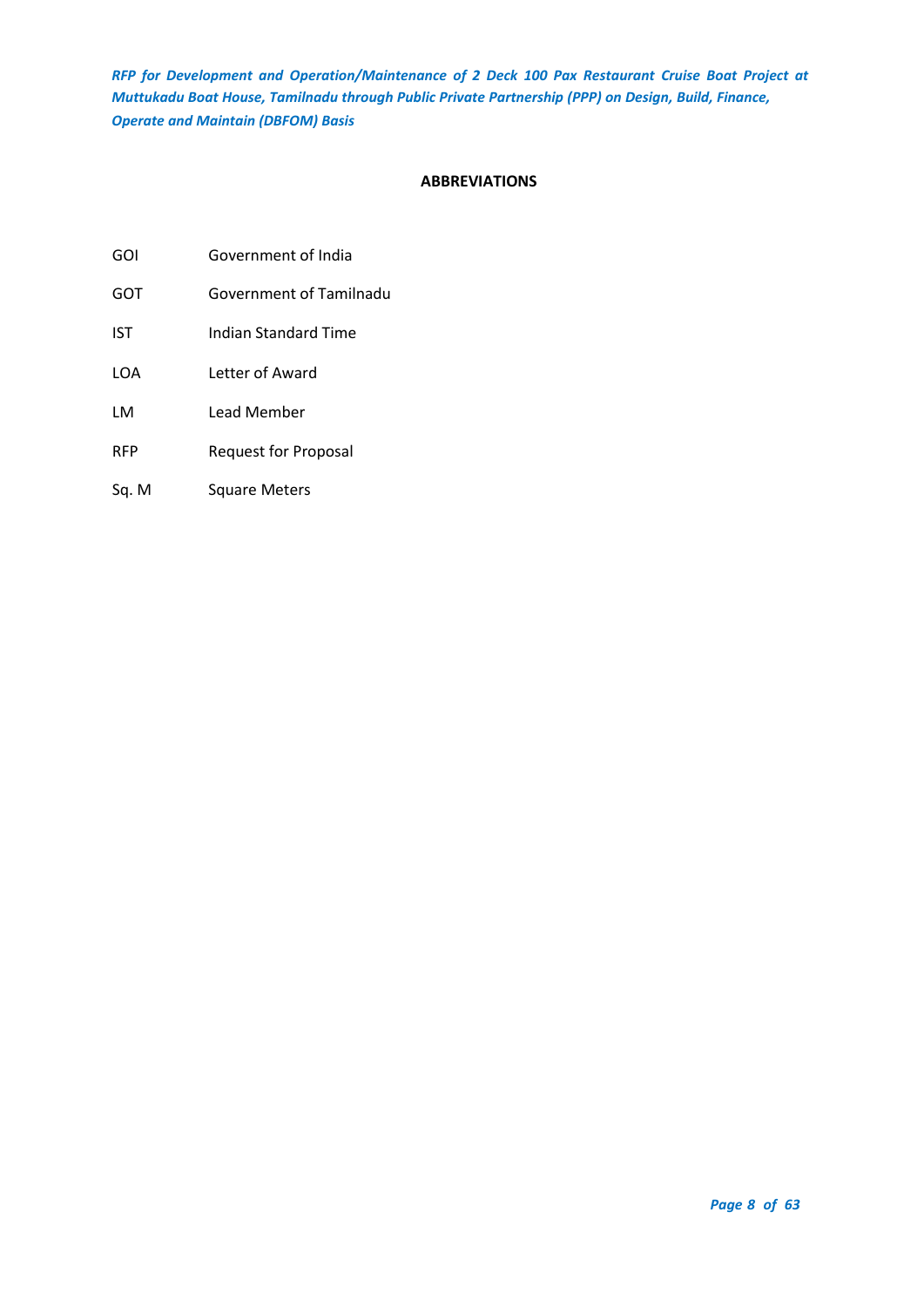## **ABBREVIATIONS**

- <span id="page-7-0"></span>GOI Government of India
- GOT Government of Tamilnadu
- IST Indian Standard Time
- LOA Letter of Award
- LM Lead Member
- RFP Request for Proposal
- Sq. M Square Meters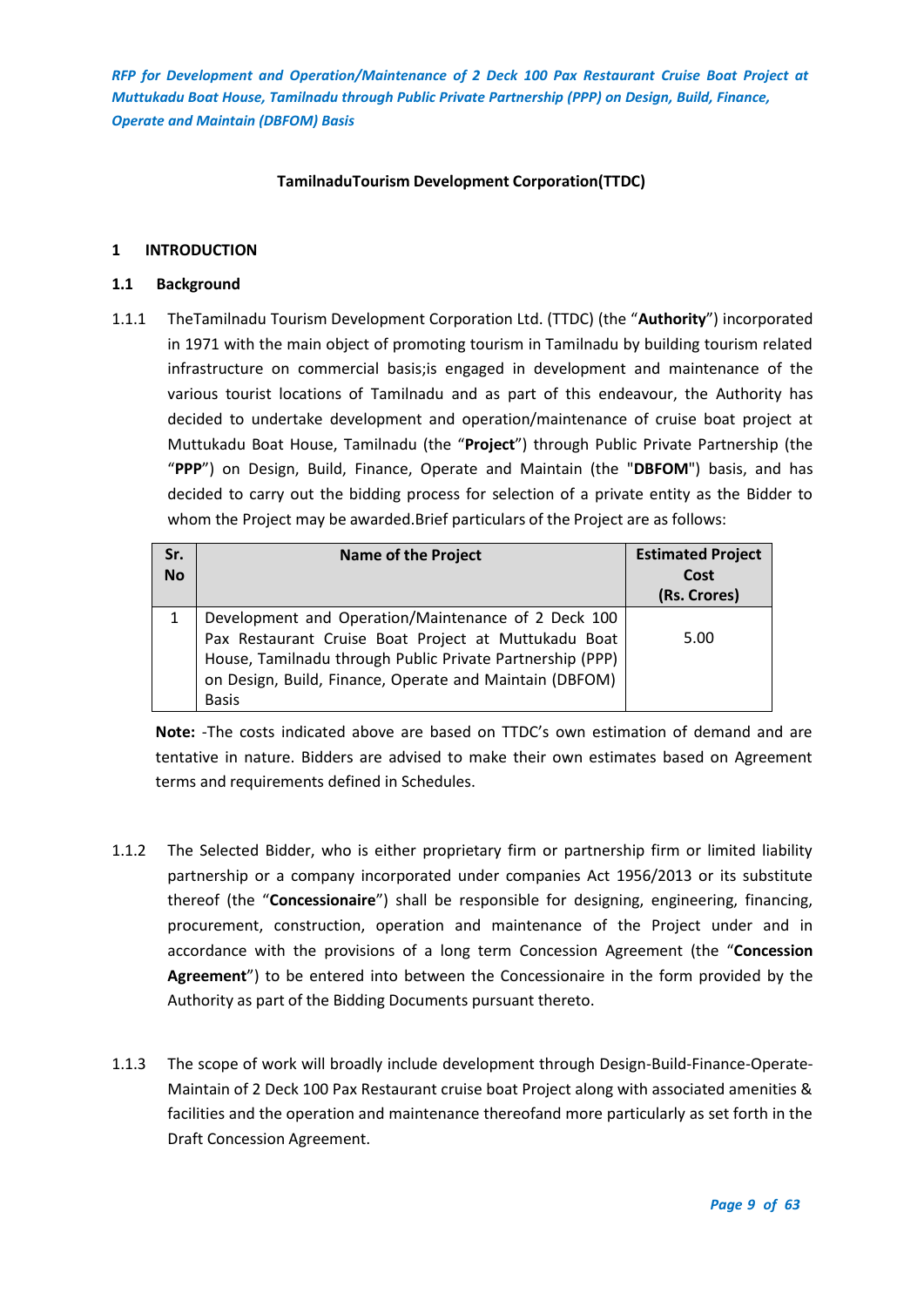## **TamilnaduTourism Development Corporation(TTDC)**

## <span id="page-8-0"></span>**1 INTRODUCTION**

## <span id="page-8-1"></span>**1.1 Background**

1.1.1 TheTamilnadu Tourism Development Corporation Ltd. (TTDC) (the "**Authority**") incorporated in 1971 with the main object of promoting tourism in Tamilnadu by building tourism related infrastructure on commercial basis;is engaged in development and maintenance of the various tourist locations of Tamilnadu and as part of this endeavour, the Authority has decided to undertake development and operation/maintenance of cruise boat project at Muttukadu Boat House, Tamilnadu (the "**Project**") through Public Private Partnership (the "**PPP**") on Design, Build, Finance, Operate and Maintain (the "**DBFOM**") basis, and has decided to carry out the bidding process for selection of a private entity as the Bidder to whom the Project may be awarded.Brief particulars of the Project are as follows:

| Sr.<br><b>No</b> | <b>Name of the Project</b>                                                                                                                                                                                                                          | <b>Estimated Project</b><br>Cost<br>(Rs. Crores) |
|------------------|-----------------------------------------------------------------------------------------------------------------------------------------------------------------------------------------------------------------------------------------------------|--------------------------------------------------|
|                  | Development and Operation/Maintenance of 2 Deck 100<br>Pax Restaurant Cruise Boat Project at Muttukadu Boat<br>House, Tamilnadu through Public Private Partnership (PPP)<br>on Design, Build, Finance, Operate and Maintain (DBFOM)<br><b>Basis</b> | 5.00                                             |

**Note:** -The costs indicated above are based on TTDC's own estimation of demand and are tentative in nature. Bidders are advised to make their own estimates based on Agreement terms and requirements defined in Schedules.

- 1.1.2 The Selected Bidder, who is either proprietary firm or partnership firm or limited liability partnership or a company incorporated under companies Act 1956/2013 or its substitute thereof (the "**Concessionaire**") shall be responsible for designing, engineering, financing, procurement, construction, operation and maintenance of the Project under and in accordance with the provisions of a long term Concession Agreement (the "**Concession Agreement**") to be entered into between the Concessionaire in the form provided by the Authority as part of the Bidding Documents pursuant thereto.
- 1.1.3 The scope of work will broadly include development through Design-Build-Finance-Operate-Maintain of 2 Deck 100 Pax Restaurant cruise boat Project along with associated amenities & facilities and the operation and maintenance thereofand more particularly as set forth in the Draft Concession Agreement.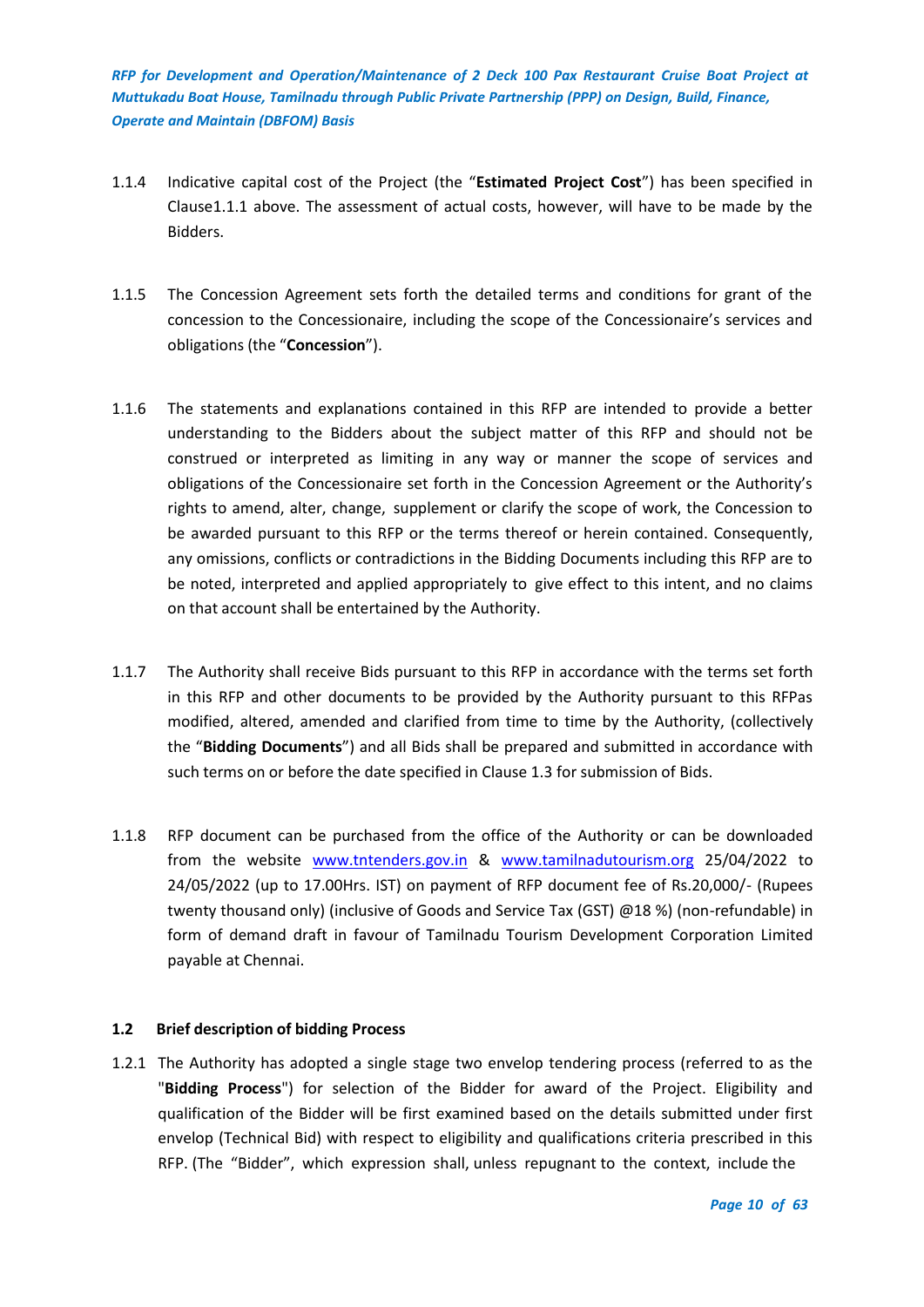- 1.1.4 Indicative capital cost of the Project (the "**Estimated Project Cost**") has been specified in Clause1.1.1 above. The assessment of actual costs, however, will have to be made by the Bidders.
- 1.1.5 The Concession Agreement sets forth the detailed terms and conditions for grant of the concession to the Concessionaire, including the scope of the Concessionaire's services and obligations (the "**Concession**").
- 1.1.6 The statements and explanations contained in this RFP are intended to provide a better understanding to the Bidders about the subject matter of this RFP and should not be construed or interpreted as limiting in any way or manner the scope of services and obligations of the Concessionaire set forth in the Concession Agreement or the Authority's rights to amend, alter, change, supplement or clarify the scope of work, the Concession to be awarded pursuant to this RFP or the terms thereof or herein contained. Consequently, any omissions, conflicts or contradictions in the Bidding Documents including this RFP are to be noted, interpreted and applied appropriately to give effect to this intent, and no claims on that account shall be entertained by the Authority.
- 1.1.7 The Authority shall receive Bids pursuant to this RFP in accordance with the terms set forth in this RFP and other documents to be provided by the Authority pursuant to this RFPas modified, altered, amended and clarified from time to time by the Authority, (collectively the "**Bidding Documents**") and all Bids shall be prepared and submitted in accordance with such terms on or before the date specified in Clause 1.3 for submission of Bids.
- 1.1.8 RFP document can be purchased from the office of the Authority or can be downloaded from the website [www.tntenders.gov.in](http://www.tntenders.gov.in/) & [www.tamilnadutourism.org](http://www.tamilnadutourism.org/) 25/04/2022 to 24/05/2022 (up to 17.00Hrs. IST) on payment of RFP document fee of Rs.20,000/- (Rupees twenty thousand only) (inclusive of Goods and Service Tax (GST) @18 %) (non-refundable) in form of demand draft in favour of Tamilnadu Tourism Development Corporation Limited payable at Chennai.

## <span id="page-9-0"></span>**1.2 Brief description of bidding Process**

1.2.1 The Authority has adopted a single stage two envelop tendering process (referred to as the "**Bidding Process**") for selection of the Bidder for award of the Project. Eligibility and qualification of the Bidder will be first examined based on the details submitted under first envelop (Technical Bid) with respect to eligibility and qualifications criteria prescribed in this RFP. (The "Bidder", which expression shall, unless repugnant to the context, include the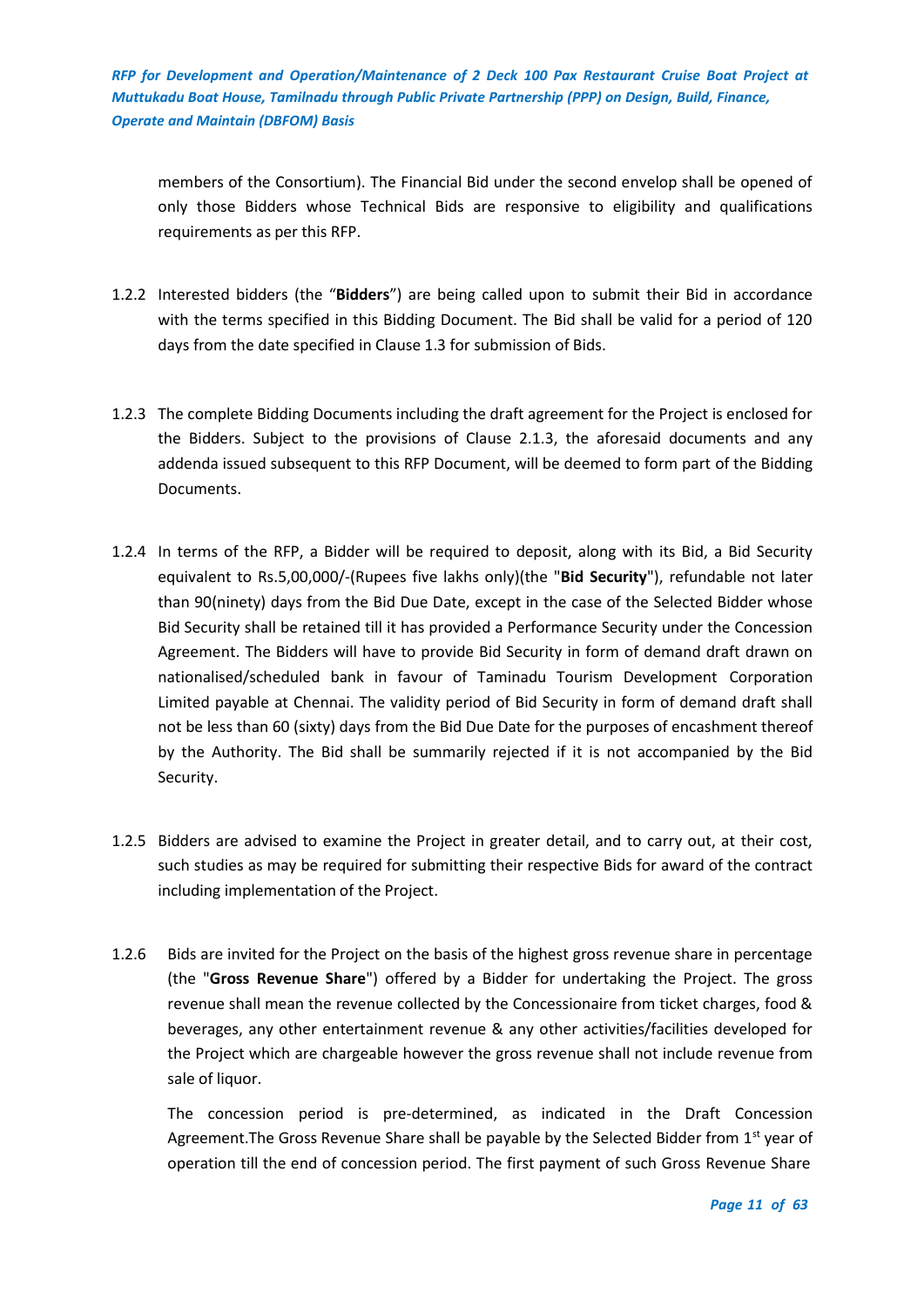members of the Consortium). The Financial Bid under the second envelop shall be opened of only those Bidders whose Technical Bids are responsive to eligibility and qualifications requirements as per this RFP.

- 1.2.2 Interested bidders (the "**Bidders**") are being called upon to submit their Bid in accordance with the terms specified in this Bidding Document. The Bid shall be valid for a period of 120 days from the date specified in Clause 1.3 for submission of Bids.
- 1.2.3 The complete Bidding Documents including the draft agreement for the Project is enclosed for the Bidders. Subject to the provisions of Clause 2.1.3, the aforesaid documents and any addenda issued subsequent to this RFP Document, will be deemed to form part of the Bidding Documents.
- 1.2.4 In terms of the RFP, a Bidder will be required to deposit, along with its Bid, a Bid Security equivalent to Rs.5,00,000/-(Rupees five lakhs only)(the "**Bid Security**"), refundable not later than 90(ninety) days from the Bid Due Date, except in the case of the Selected Bidder whose Bid Security shall be retained till it has provided a Performance Security under the Concession Agreement. The Bidders will have to provide Bid Security in form of demand draft drawn on nationalised/scheduled bank in favour of Taminadu Tourism Development Corporation Limited payable at Chennai. The validity period of Bid Security in form of demand draft shall not be less than 60 (sixty) days from the Bid Due Date for the purposes of encashment thereof by the Authority. The Bid shall be summarily rejected if it is not accompanied by the Bid Security.
- 1.2.5 Bidders are advised to examine the Project in greater detail, and to carry out, at their cost, such studies as may be required for submitting their respective Bids for award of the contract including implementation of the Project.
- 1.2.6 Bids are invited for the Project on the basis of the highest gross revenue share in percentage (the "**Gross Revenue Share**") offered by a Bidder for undertaking the Project. The gross revenue shall mean the revenue collected by the Concessionaire from ticket charges, food & beverages, any other entertainment revenue & any other activities/facilities developed for the Project which are chargeable however the gross revenue shall not include revenue from sale of liquor.

The concession period is pre-determined, as indicated in the Draft Concession Agreement. The Gross Revenue Share shall be payable by the Selected Bidder from 1<sup>st</sup> year of operation till the end of concession period. The first payment of such Gross Revenue Share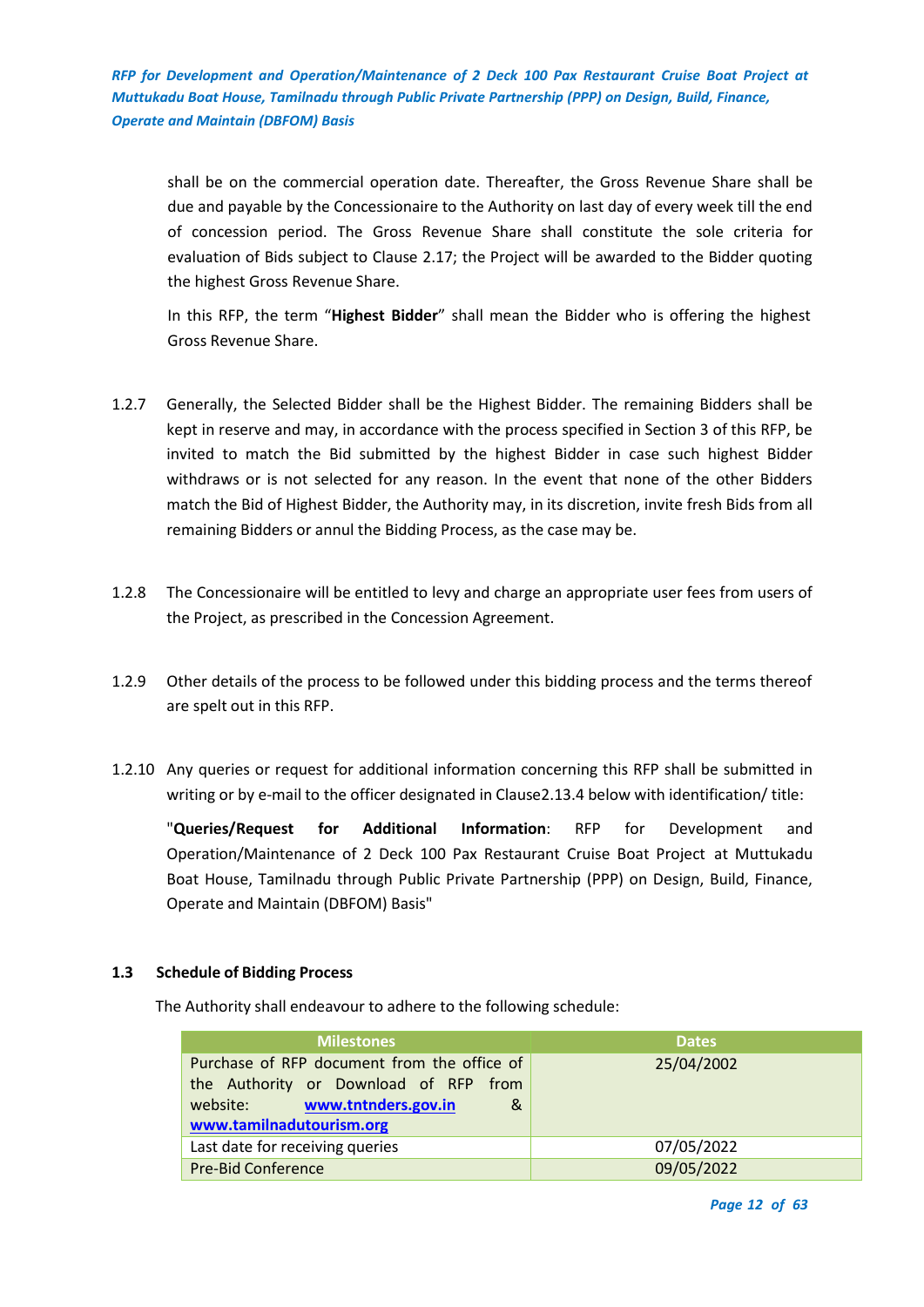shall be on the commercial operation date. Thereafter, the Gross Revenue Share shall be due and payable by the Concessionaire to the Authority on last day of every week till the end of concession period. The Gross Revenue Share shall constitute the sole criteria for evaluation of Bids subject to Clause 2.17; the Project will be awarded to the Bidder quoting the highest Gross Revenue Share.

In this RFP, the term "**Highest Bidder**" shall mean the Bidder who is offering the highest Gross Revenue Share.

- 1.2.7 Generally, the Selected Bidder shall be the Highest Bidder. The remaining Bidders shall be kept in reserve and may, in accordance with the process specified in Section 3 of this RFP, be invited to match the Bid submitted by the highest Bidder in case such highest Bidder withdraws or is not selected for any reason. In the event that none of the other Bidders match the Bid of Highest Bidder, the Authority may, in its discretion, invite fresh Bids from all remaining Bidders or annul the Bidding Process, as the case may be.
- 1.2.8 The Concessionaire will be entitled to levy and charge an appropriate user fees from users of the Project, as prescribed in the Concession Agreement.
- 1.2.9 Other details of the process to be followed under this bidding process and the terms thereof are spelt out in this RFP.
- 1.2.10 Any queries or request for additional information concerning this RFP shall be submitted in writing or by e-mail to the officer designated in Clause2.13.4 below with identification/ title:

"**Queries/Request for Additional Information**: RFP for Development and Operation/Maintenance of 2 Deck 100 Pax Restaurant Cruise Boat Project at Muttukadu Boat House, Tamilnadu through Public Private Partnership (PPP) on Design, Build, Finance, Operate and Maintain (DBFOM) Basis"

## <span id="page-11-0"></span>**1.3 Schedule of Bidding Process**

The Authority shall endeavour to adhere to the following schedule:

| <b>Milestones</b>                                                                                                                                        | <b>Dates</b> |
|----------------------------------------------------------------------------------------------------------------------------------------------------------|--------------|
| Purchase of RFP document from the office of<br>the Authority or Download of RFP from<br>www.tntnders.gov.in<br>website:<br>&<br>www.tamilnadutourism.org | 25/04/2002   |
| Last date for receiving queries                                                                                                                          | 07/05/2022   |
| <b>Pre-Bid Conference</b>                                                                                                                                | 09/05/2022   |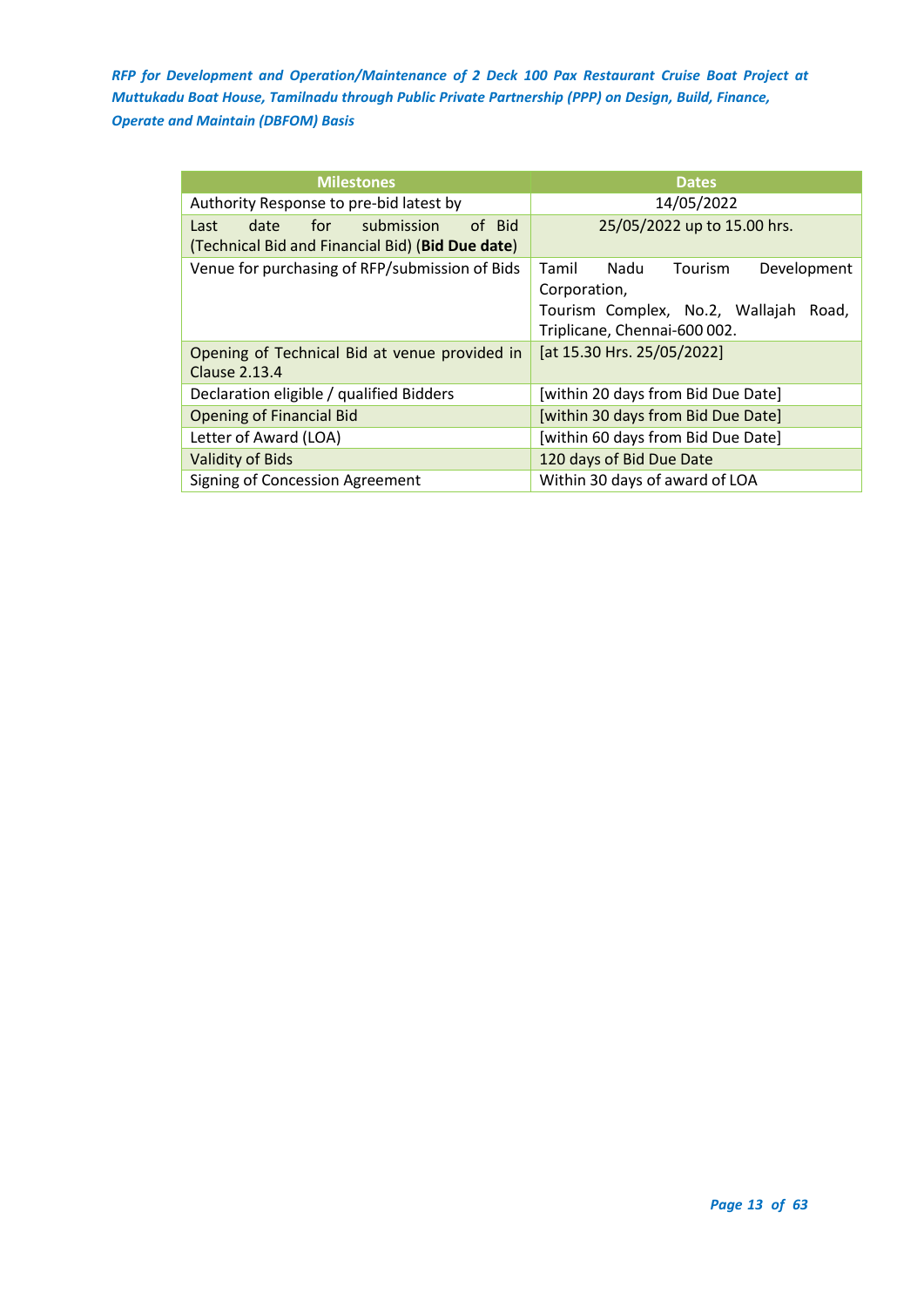| <b>Milestones</b>                                                                               | <b>Dates</b>                                                                                                                        |  |  |  |
|-------------------------------------------------------------------------------------------------|-------------------------------------------------------------------------------------------------------------------------------------|--|--|--|
| Authority Response to pre-bid latest by                                                         | 14/05/2022                                                                                                                          |  |  |  |
| of Bid<br>submission<br>date<br>for<br>Last<br>(Technical Bid and Financial Bid) (Bid Due date) | 25/05/2022 up to 15.00 hrs.                                                                                                         |  |  |  |
| Venue for purchasing of RFP/submission of Bids                                                  | Tourism<br>Nadu<br>Tamil<br>Development<br>Corporation,<br>Tourism Complex, No.2, Wallajah<br>Road,<br>Triplicane, Chennai-600 002. |  |  |  |
| Opening of Technical Bid at venue provided in<br>Clause 2.13.4                                  | [at 15.30 Hrs. 25/05/2022]                                                                                                          |  |  |  |
| Declaration eligible / qualified Bidders                                                        | [within 20 days from Bid Due Date]                                                                                                  |  |  |  |
| <b>Opening of Financial Bid</b>                                                                 | [within 30 days from Bid Due Date]                                                                                                  |  |  |  |
| Letter of Award (LOA)                                                                           | [within 60 days from Bid Due Date]                                                                                                  |  |  |  |
| <b>Validity of Bids</b>                                                                         | 120 days of Bid Due Date                                                                                                            |  |  |  |
| Signing of Concession Agreement                                                                 | Within 30 days of award of LOA                                                                                                      |  |  |  |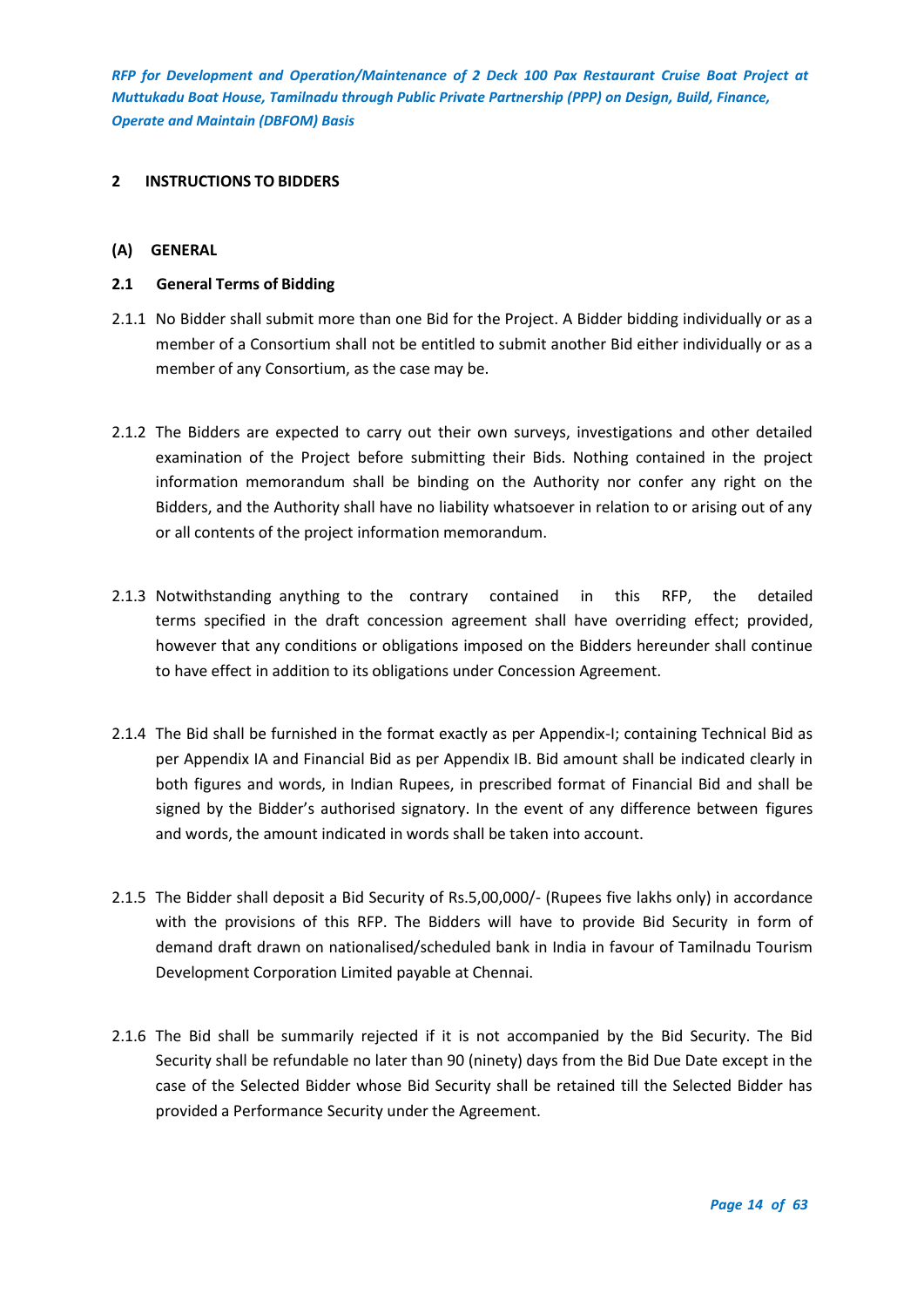#### <span id="page-13-0"></span>**2 INSTRUCTIONS TO BIDDERS**

## <span id="page-13-1"></span>**(A) GENERAL**

## <span id="page-13-2"></span>**2.1 General Terms of Bidding**

- 2.1.1 No Bidder shall submit more than one Bid for the Project. A Bidder bidding individually or as a member of a Consortium shall not be entitled to submit another Bid either individually or as a member of any Consortium, as the case may be.
- 2.1.2 The Bidders are expected to carry out their own surveys, investigations and other detailed examination of the Project before submitting their Bids. Nothing contained in the project information memorandum shall be binding on the Authority nor confer any right on the Bidders, and the Authority shall have no liability whatsoever in relation to or arising out of any or all contents of the project information memorandum.
- 2.1.3 Notwithstanding anything to the contrary contained in this RFP, the detailed terms specified in the draft concession agreement shall have overriding effect; provided, however that any conditions or obligations imposed on the Bidders hereunder shall continue to have effect in addition to its obligations under Concession Agreement.
- 2.1.4 The Bid shall be furnished in the format exactly as per Appendix-I; containing Technical Bid as per Appendix IA and Financial Bid as per Appendix IB. Bid amount shall be indicated clearly in both figures and words, in Indian Rupees, in prescribed format of Financial Bid and shall be signed by the Bidder's authorised signatory. In the event of any difference between figures and words, the amount indicated in words shall be taken into account.
- 2.1.5 The Bidder shall deposit a Bid Security of Rs.5,00,000/- (Rupees five lakhs only) in accordance with the provisions of this RFP. The Bidders will have to provide Bid Security in form of demand draft drawn on nationalised/scheduled bank in India in favour of Tamilnadu Tourism Development Corporation Limited payable at Chennai.
- 2.1.6 The Bid shall be summarily rejected if it is not accompanied by the Bid Security. The Bid Security shall be refundable no later than 90 (ninety) days from the Bid Due Date except in the case of the Selected Bidder whose Bid Security shall be retained till the Selected Bidder has provided a Performance Security under the Agreement.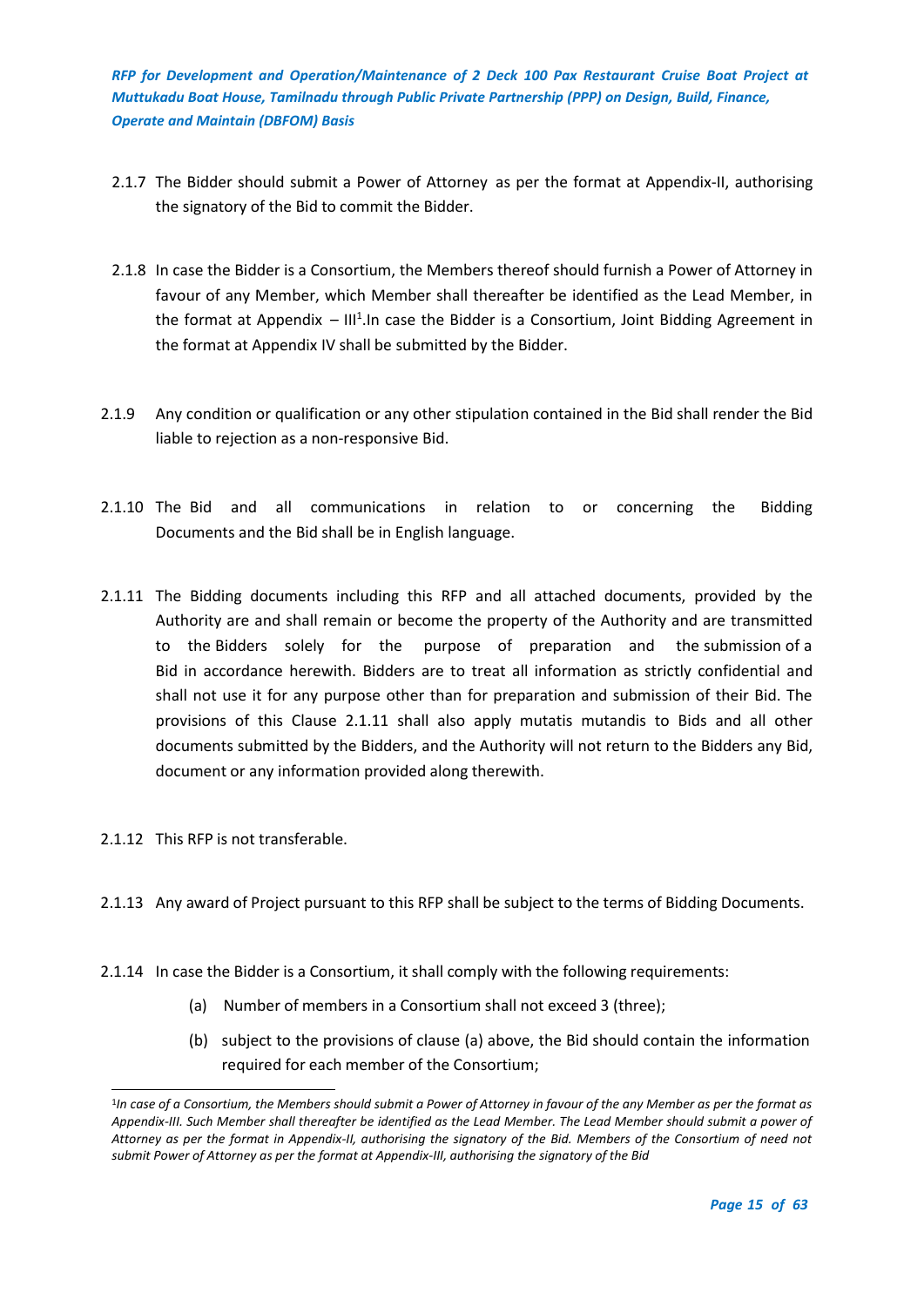- 2.1.7 The Bidder should submit a Power of Attorney as per the format at Appendix-II, authorising the signatory of the Bid to commit the Bidder.
- 2.1.8 In case the Bidder is a Consortium, the Members thereof should furnish a Power of Attorney in favour of any Member, which Member shall thereafter be identified as the Lead Member, in the format at Appendix  $-$  III<sup>1</sup>. In case the Bidder is a Consortium, Joint Bidding Agreement in the format at Appendix IV shall be submitted by the Bidder.
- 2.1.9 Any condition or qualification or any other stipulation contained in the Bid shall render the Bid liable to rejection as a non-responsive Bid.
- 2.1.10 The Bid and all communications in relation to or concerning the Bidding Documents and the Bid shall be in English language.
- 2.1.11 The Bidding documents including this RFP and all attached documents, provided by the Authority are and shall remain or become the property of the Authority and are transmitted to the Bidders solely for the purpose of preparation and the submission of a Bid in accordance herewith. Bidders are to treat all information as strictly confidential and shall not use it for any purpose other than for preparation and submission of their Bid. The provisions of this Clause 2.1.11 shall also apply mutatis mutandis to Bids and all other documents submitted by the Bidders, and the Authority will not return to the Bidders any Bid, document or any information provided along therewith.
- 2.1.12 This RFP is not transferable.
- 2.1.13 Any award of Project pursuant to this RFP shall be subject to the terms of Bidding Documents.
- 2.1.14 In case the Bidder is a Consortium, it shall comply with the following requirements:
	- (a) Number of members in a Consortium shall not exceed 3 (three);
	- (b) subject to the provisions of clause (a) above, the Bid should contain the information required for each member of the Consortium;

<sup>1</sup> *In case of a Consortium, the Members should submit a Power of Attorney in favour of the any Member as per the format as Appendix-III. Such Member shall thereafter be identified as the Lead Member. The Lead Member should submit a power of Attorney as per the format in Appendix-II, authorising the signatory of the Bid. Members of the Consortium of need not submit Power of Attorney as per the format at Appendix-III, authorising the signatory of the Bid*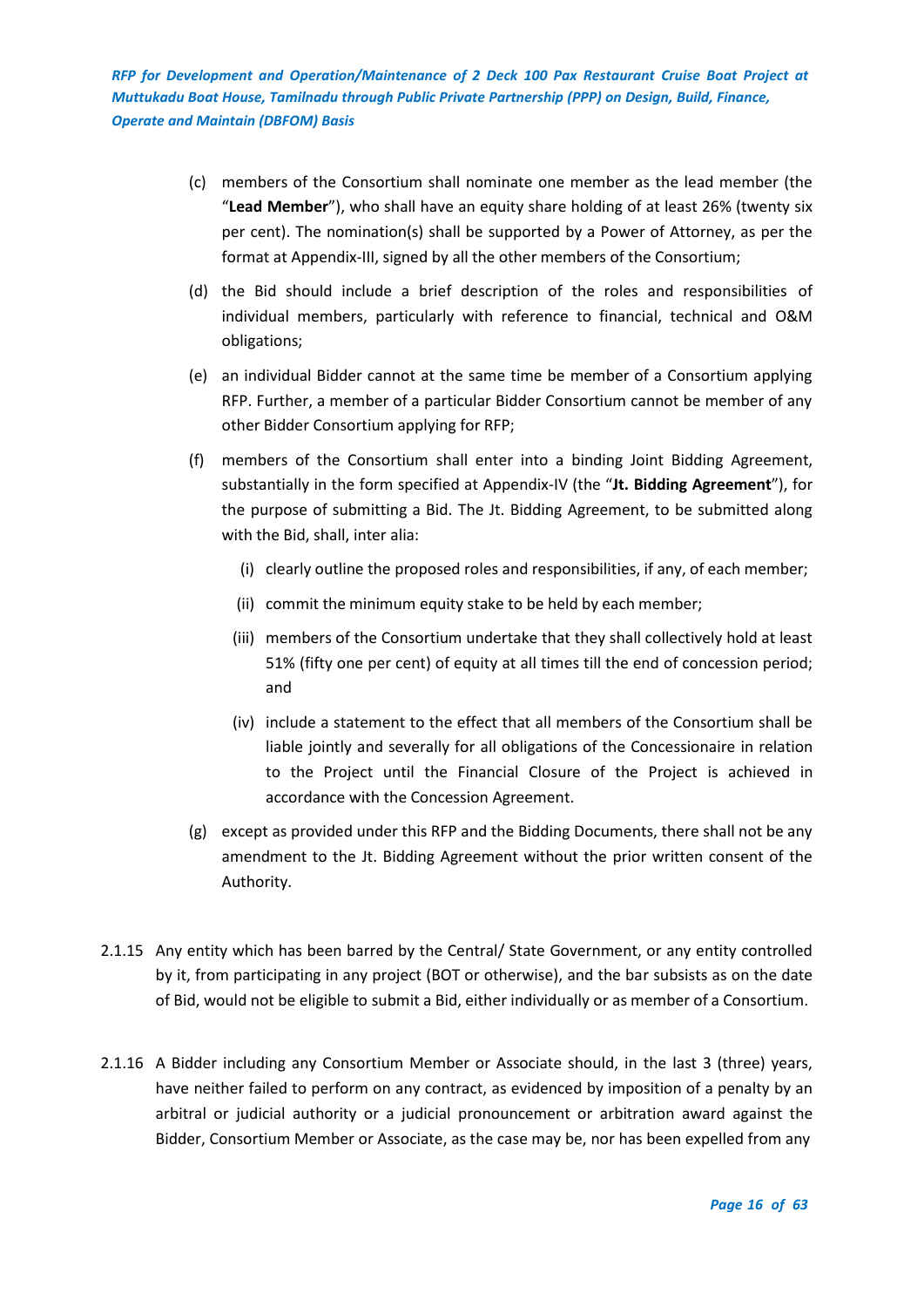- (c) members of the Consortium shall nominate one member as the lead member (the "**Lead Member**"), who shall have an equity share holding of at least 26% (twenty six per cent). The nomination(s) shall be supported by a Power of Attorney, as per the format at Appendix-III, signed by all the other members of the Consortium;
- (d) the Bid should include a brief description of the roles and responsibilities of individual members, particularly with reference to financial, technical and O&M obligations;
- (e) an individual Bidder cannot at the same time be member of a Consortium applying RFP. Further, a member of a particular Bidder Consortium cannot be member of any other Bidder Consortium applying for RFP;
- (f) members of the Consortium shall enter into a binding Joint Bidding Agreement, substantially in the form specified at Appendix-IV (the "**Jt. Bidding Agreement**"), for the purpose of submitting a Bid. The Jt. Bidding Agreement, to be submitted along with the Bid, shall, inter alia:
	- (i) clearly outline the proposed roles and responsibilities, if any, of each member;
	- (ii) commit the minimum equity stake to be held by each member;
	- (iii) members of the Consortium undertake that they shall collectively hold at least 51% (fifty one per cent) of equity at all times till the end of concession period; and
	- (iv) include a statement to the effect that all members of the Consortium shall be liable jointly and severally for all obligations of the Concessionaire in relation to the Project until the Financial Closure of the Project is achieved in accordance with the Concession Agreement.
- (g) except as provided under this RFP and the Bidding Documents, there shall not be any amendment to the Jt. Bidding Agreement without the prior written consent of the Authority.
- 2.1.15 Any entity which has been barred by the Central/ State Government, or any entity controlled by it, from participating in any project (BOT or otherwise), and the bar subsists as on the date of Bid, would not be eligible to submit a Bid, either individually or as member of a Consortium.
- 2.1.16 A Bidder including any Consortium Member or Associate should, in the last 3 (three) years, have neither failed to perform on any contract, as evidenced by imposition of a penalty by an arbitral or judicial authority or a judicial pronouncement or arbitration award against the Bidder, Consortium Member or Associate, as the case may be, nor has been expelled from any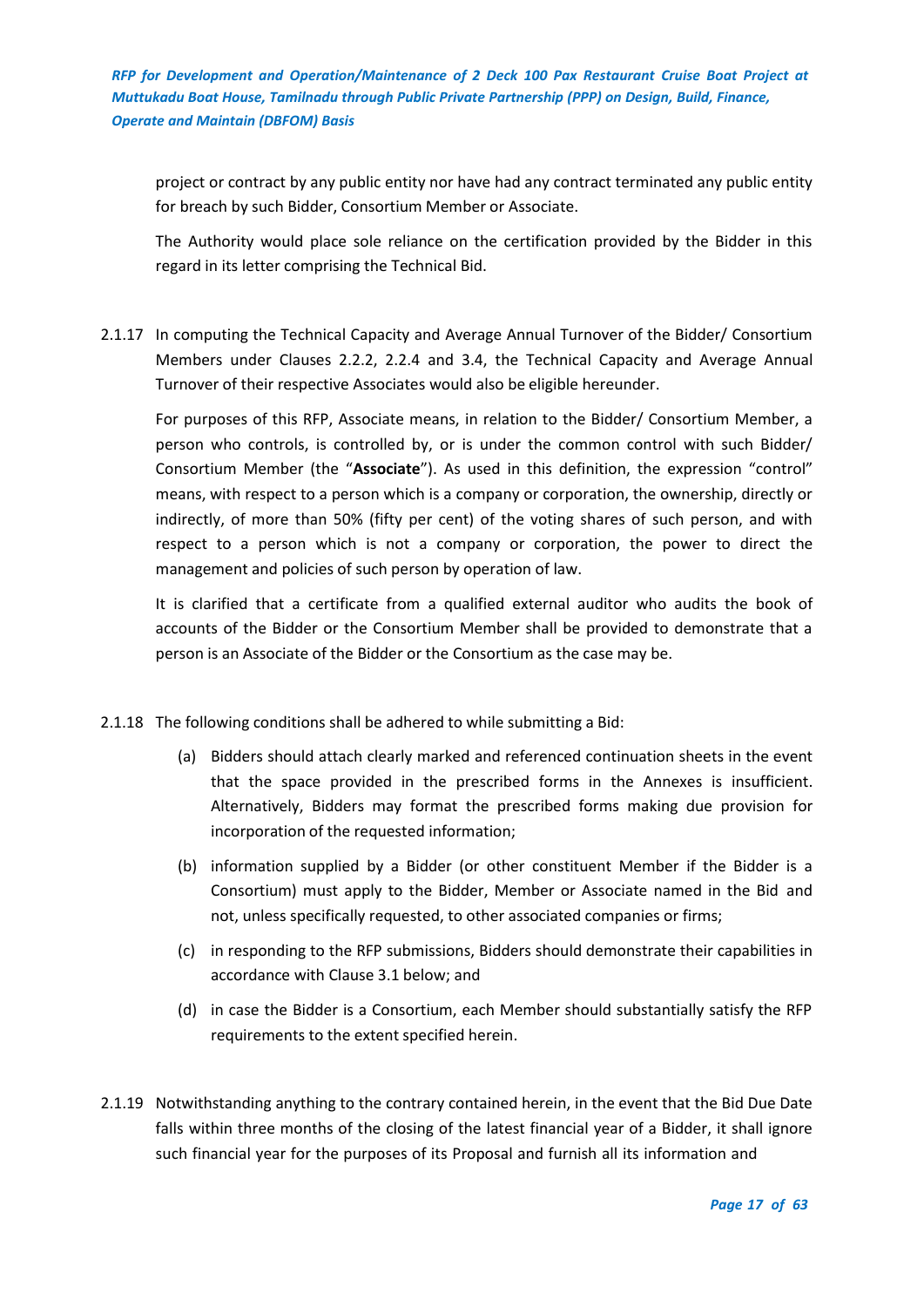project or contract by any public entity nor have had any contract terminated any public entity for breach by such Bidder, Consortium Member or Associate.

The Authority would place sole reliance on the certification provided by the Bidder in this regard in its letter comprising the Technical Bid.

2.1.17 In computing the Technical Capacity and Average Annual Turnover of the Bidder/ Consortium Members under Clauses 2.2.2, 2.2.4 and 3.4, the Technical Capacity and Average Annual Turnover of their respective Associates would also be eligible hereunder.

For purposes of this RFP, Associate means, in relation to the Bidder/ Consortium Member, a person who controls, is controlled by, or is under the common control with such Bidder/ Consortium Member (the "**Associate**"). As used in this definition, the expression "control" means, with respect to a person which is a company or corporation, the ownership, directly or indirectly, of more than 50% (fifty per cent) of the voting shares of such person, and with respect to a person which is not a company or corporation, the power to direct the management and policies of such person by operation of law.

It is clarified that a certificate from a qualified external auditor who audits the book of accounts of the Bidder or the Consortium Member shall be provided to demonstrate that a person is an Associate of the Bidder or the Consortium as the case may be.

- 2.1.18 The following conditions shall be adhered to while submitting a Bid:
	- (a) Bidders should attach clearly marked and referenced continuation sheets in the event that the space provided in the prescribed forms in the Annexes is insufficient. Alternatively, Bidders may format the prescribed forms making due provision for incorporation of the requested information;
	- (b) information supplied by a Bidder (or other constituent Member if the Bidder is a Consortium) must apply to the Bidder, Member or Associate named in the Bid and not, unless specifically requested, to other associated companies or firms;
	- (c) in responding to the RFP submissions, Bidders should demonstrate their capabilities in accordance with Clause 3.1 below; and
	- (d) in case the Bidder is a Consortium, each Member should substantially satisfy the RFP requirements to the extent specified herein.
- 2.1.19 Notwithstanding anything to the contrary contained herein, in the event that the Bid Due Date falls within three months of the closing of the latest financial year of a Bidder, it shall ignore such financial year for the purposes of its Proposal and furnish all its information and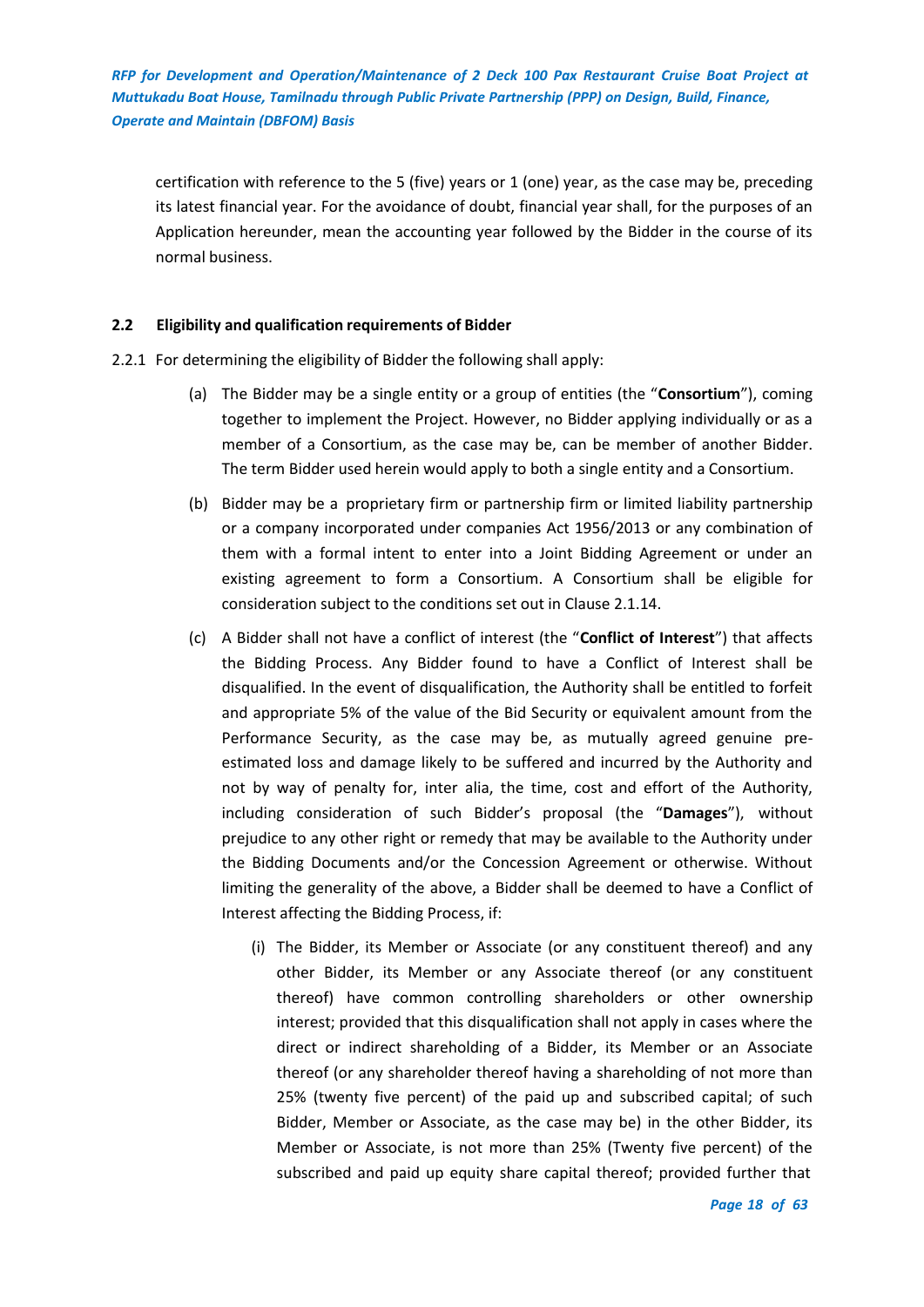certification with reference to the 5 (five) years or 1 (one) year, as the case may be, preceding its latest financial year. For the avoidance of doubt, financial year shall, for the purposes of an Application hereunder, mean the accounting year followed by the Bidder in the course of its normal business.

## <span id="page-17-0"></span>**2.2 Eligibility and qualification requirements of Bidder**

- 2.2.1 For determining the eligibility of Bidder the following shall apply:
	- (a) The Bidder may be a single entity or a group of entities (the "**Consortium**"), coming together to implement the Project. However, no Bidder applying individually or as a member of a Consortium, as the case may be, can be member of another Bidder. The term Bidder used herein would apply to both a single entity and a Consortium.
	- (b) Bidder may be a proprietary firm or partnership firm or limited liability partnership or a company incorporated under companies Act 1956/2013 or any combination of them with a formal intent to enter into a Joint Bidding Agreement or under an existing agreement to form a Consortium. A Consortium shall be eligible for consideration subject to the conditions set out in Clause 2.1.14.
	- (c) A Bidder shall not have a conflict of interest (the "**Conflict of Interest**") that affects the Bidding Process. Any Bidder found to have a Conflict of Interest shall be disqualified. In the event of disqualification, the Authority shall be entitled to forfeit and appropriate 5% of the value of the Bid Security or equivalent amount from the Performance Security, as the case may be, as mutually agreed genuine preestimated loss and damage likely to be suffered and incurred by the Authority and not by way of penalty for, inter alia, the time, cost and effort of the Authority, including consideration of such Bidder's proposal (the "**Damages**"), without prejudice to any other right or remedy that may be available to the Authority under the Bidding Documents and/or the Concession Agreement or otherwise. Without limiting the generality of the above, a Bidder shall be deemed to have a Conflict of Interest affecting the Bidding Process, if:
		- (i) The Bidder, its Member or Associate (or any constituent thereof) and any other Bidder, its Member or any Associate thereof (or any constituent thereof) have common controlling shareholders or other ownership interest; provided that this disqualification shall not apply in cases where the direct or indirect shareholding of a Bidder, its Member or an Associate thereof (or any shareholder thereof having a shareholding of not more than 25% (twenty five percent) of the paid up and subscribed capital; of such Bidder, Member or Associate, as the case may be) in the other Bidder, its Member or Associate, is not more than 25% (Twenty five percent) of the subscribed and paid up equity share capital thereof; provided further that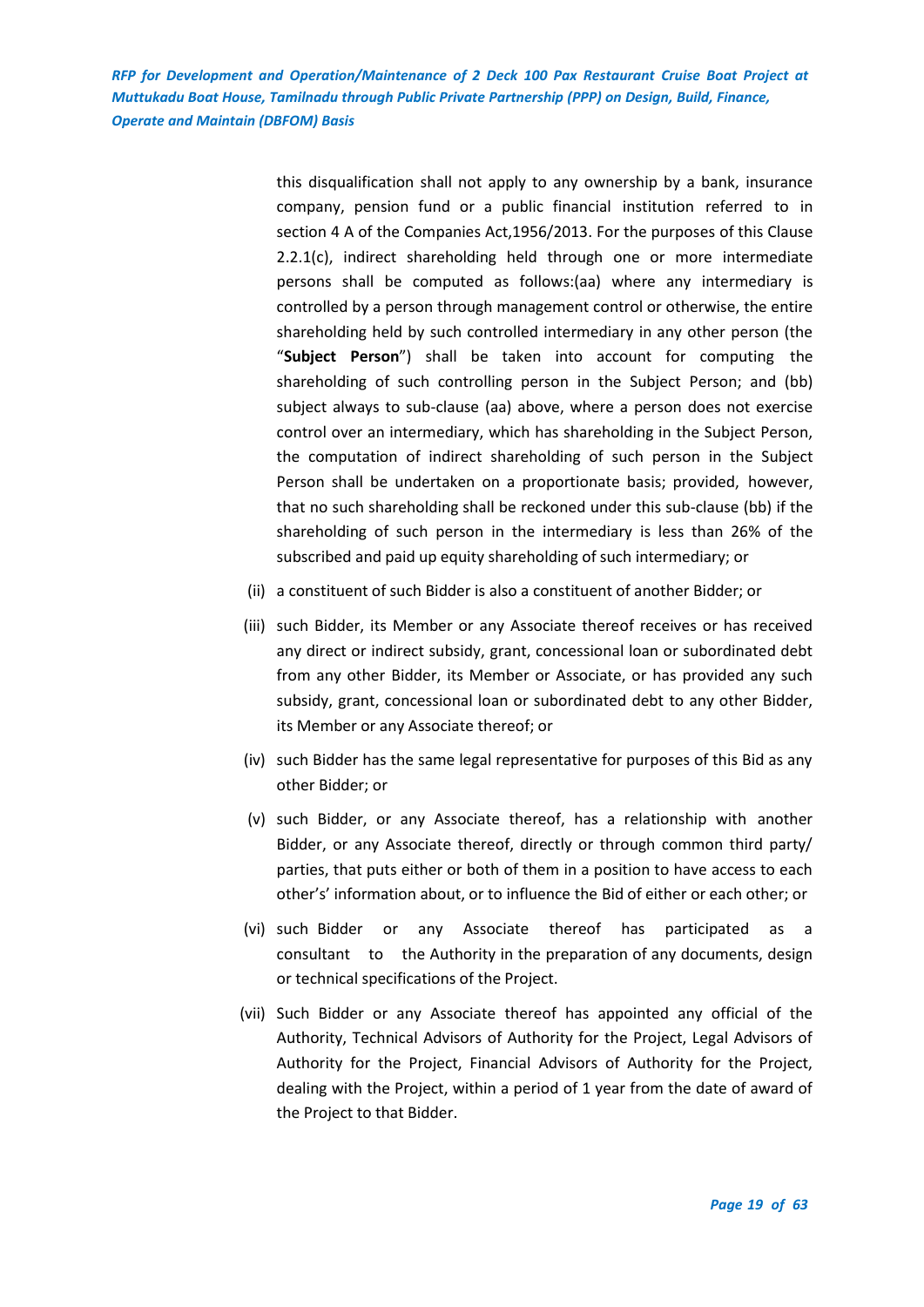> this disqualification shall not apply to any ownership by a bank, insurance company, pension fund or a public financial institution referred to in section 4 A of the Companies Act,1956/2013. For the purposes of this Clause 2.2.1(c), indirect shareholding held through one or more intermediate persons shall be computed as follows:(aa) where any intermediary is controlled by a person through management control or otherwise, the entire shareholding held by such controlled intermediary in any other person (the "**Subject Person**") shall be taken into account for computing the shareholding of such controlling person in the Subject Person; and (bb) subject always to sub-clause (aa) above, where a person does not exercise control over an intermediary, which has shareholding in the Subject Person, the computation of indirect shareholding of such person in the Subject Person shall be undertaken on a proportionate basis; provided, however, that no such shareholding shall be reckoned under this sub-clause (bb) if the shareholding of such person in the intermediary is less than 26% of the subscribed and paid up equity shareholding of such intermediary; or

- (ii) a constituent of such Bidder is also a constituent of another Bidder; or
- (iii) such Bidder, its Member or any Associate thereof receives or has received any direct or indirect subsidy, grant, concessional loan or subordinated debt from any other Bidder, its Member or Associate, or has provided any such subsidy, grant, concessional loan or subordinated debt to any other Bidder, its Member or any Associate thereof; or
- (iv) such Bidder has the same legal representative for purposes of this Bid as any other Bidder; or
- (v) such Bidder, or any Associate thereof, has a relationship with another Bidder, or any Associate thereof, directly or through common third party/ parties, that puts either or both of them in a position to have access to each other's' information about, or to influence the Bid of either or each other; or
- (vi) such Bidder or any Associate thereof has participated as a consultant to the Authority in the preparation of any documents, design or technical specifications of the Project.
- (vii) Such Bidder or any Associate thereof has appointed any official of the Authority, Technical Advisors of Authority for the Project, Legal Advisors of Authority for the Project, Financial Advisors of Authority for the Project, dealing with the Project, within a period of 1 year from the date of award of the Project to that Bidder.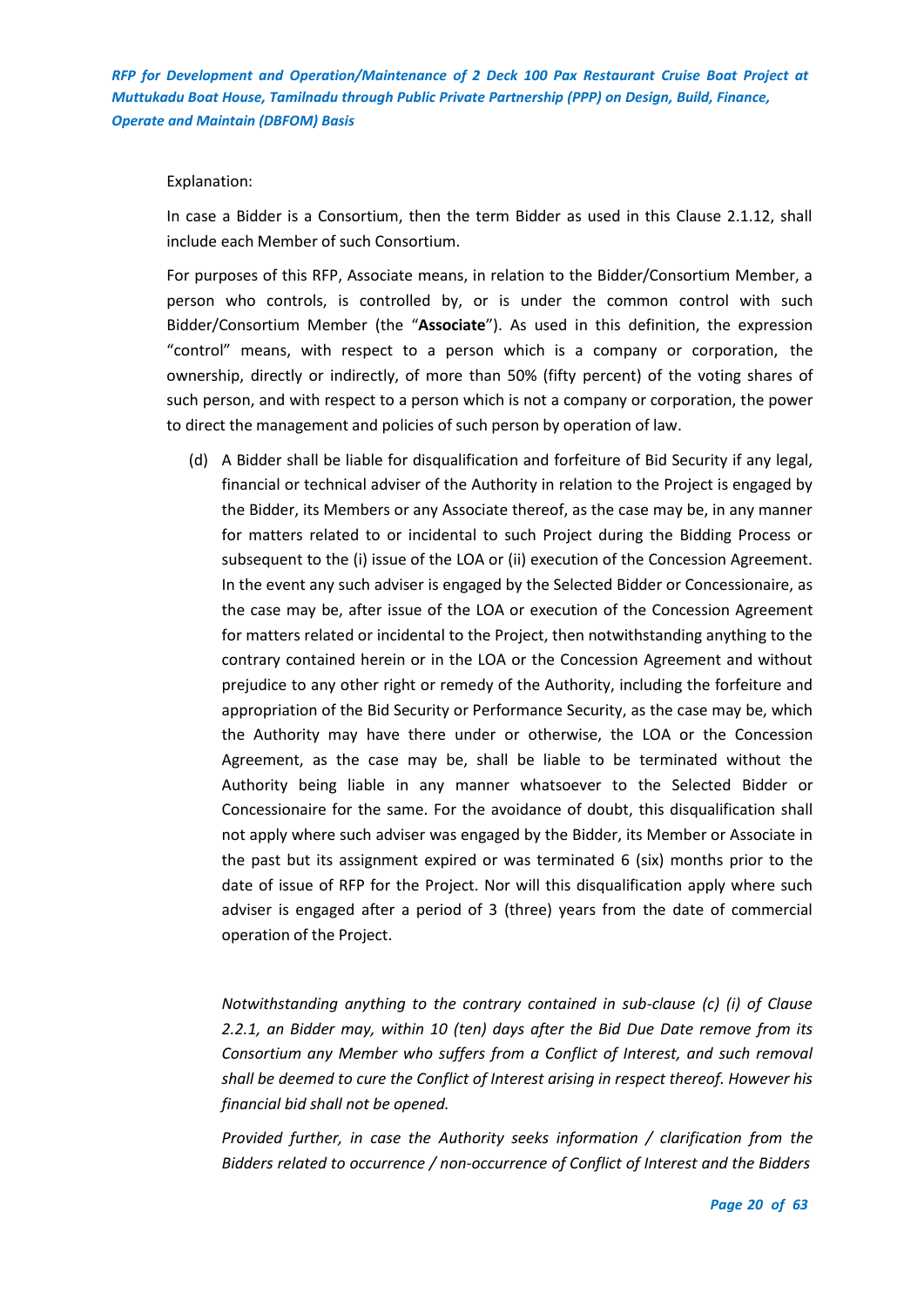#### Explanation:

In case a Bidder is a Consortium, then the term Bidder as used in this Clause 2.1.12, shall include each Member of such Consortium.

For purposes of this RFP, Associate means, in relation to the Bidder/Consortium Member, a person who controls, is controlled by, or is under the common control with such Bidder/Consortium Member (the "**Associate**"). As used in this definition, the expression "control" means, with respect to a person which is a company or corporation, the ownership, directly or indirectly, of more than 50% (fifty percent) of the voting shares of such person, and with respect to a person which is not a company or corporation, the power to direct the management and policies of such person by operation of law.

(d) A Bidder shall be liable for disqualification and forfeiture of Bid Security if any legal, financial or technical adviser of the Authority in relation to the Project is engaged by the Bidder, its Members or any Associate thereof, as the case may be, in any manner for matters related to or incidental to such Project during the Bidding Process or subsequent to the (i) issue of the LOA or (ii) execution of the Concession Agreement. In the event any such adviser is engaged by the Selected Bidder or Concessionaire, as the case may be, after issue of the LOA or execution of the Concession Agreement for matters related or incidental to the Project, then notwithstanding anything to the contrary contained herein or in the LOA or the Concession Agreement and without prejudice to any other right or remedy of the Authority, including the forfeiture and appropriation of the Bid Security or Performance Security, as the case may be, which the Authority may have there under or otherwise, the LOA or the Concession Agreement, as the case may be, shall be liable to be terminated without the Authority being liable in any manner whatsoever to the Selected Bidder or Concessionaire for the same. For the avoidance of doubt, this disqualification shall not apply where such adviser was engaged by the Bidder, its Member or Associate in the past but its assignment expired or was terminated 6 (six) months prior to the date of issue of RFP for the Project. Nor will this disqualification apply where such adviser is engaged after a period of 3 (three) years from the date of commercial operation of the Project.

*Notwithstanding anything to the contrary contained in sub-clause (c) (i) of Clause 2.2.1, an Bidder may, within 10 (ten) days after the Bid Due Date remove from its Consortium any Member who suffers from a Conflict of Interest, and such removal shall be deemed to cure the Conflict of Interest arising in respect thereof. However his financial bid shall not be opened.*

*Provided further, in case the Authority seeks information / clarification from the Bidders related to occurrence / non-occurrence of Conflict of Interest and the Bidders*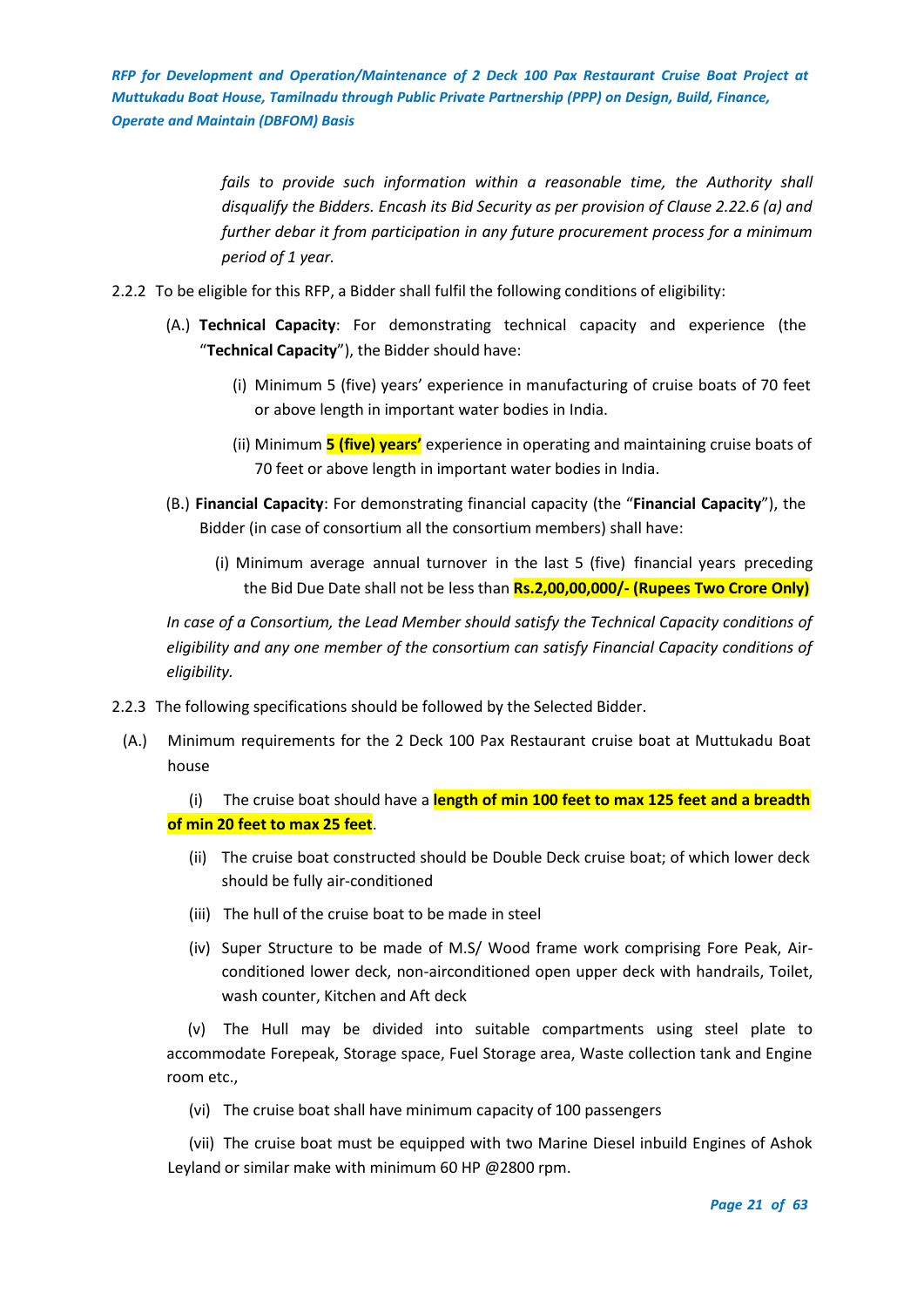> *fails to provide such information within a reasonable time, the Authority shall disqualify the Bidders. Encash its Bid Security as per provision of Clause 2.22.6 (a) and further debar it from participation in any future procurement process for a minimum period of 1 year.*

- 2.2.2 To be eligible for this RFP, a Bidder shall fulfil the following conditions of eligibility:
	- (A.) **Technical Capacity**: For demonstrating technical capacity and experience (the "**Technical Capacity**"), the Bidder should have:
		- (i) Minimum 5 (five) years' experience in manufacturing of cruise boats of 70 feet or above length in important water bodies in India.
		- (ii) Minimum **5 (five) years'** experience in operating and maintaining cruise boats of 70 feet or above length in important water bodies in India.
	- (B.) **Financial Capacity**: For demonstrating financial capacity (the "**Financial Capacity**"), the Bidder (in case of consortium all the consortium members) shall have:
		- (i) Minimum average annual turnover in the last 5 (five) financial years preceding the Bid Due Date shall not be less than **Rs.2,00,00,000/- (Rupees Two Crore Only)**

*In case of a Consortium, the Lead Member should satisfy the Technical Capacity conditions of eligibility and any one member of the consortium can satisfy Financial Capacity conditions of eligibility.*

- 2.2.3 The following specifications should be followed by the Selected Bidder.
	- (A.) Minimum requirements for the 2 Deck 100 Pax Restaurant cruise boat at Muttukadu Boat house

(i) The cruise boat should have a **length of min 100 feet to max 125 feet and a breadth of min 20 feet to max 25 feet**.

- (ii) The cruise boat constructed should be Double Deck cruise boat; of which lower deck should be fully air-conditioned
- (iii) The hull of the cruise boat to be made in steel
- (iv) Super Structure to be made of M.S/ Wood frame work comprising Fore Peak, Airconditioned lower deck, non-airconditioned open upper deck with handrails, Toilet, wash counter, Kitchen and Aft deck

(v) The Hull may be divided into suitable compartments using steel plate to accommodate Forepeak, Storage space, Fuel Storage area, Waste collection tank and Engine room etc.,

(vi) The cruise boat shall have minimum capacity of 100 passengers

(vii) The cruise boat must be equipped with two Marine Diesel inbuild Engines of Ashok Leyland or similar make with minimum 60 HP @2800 rpm.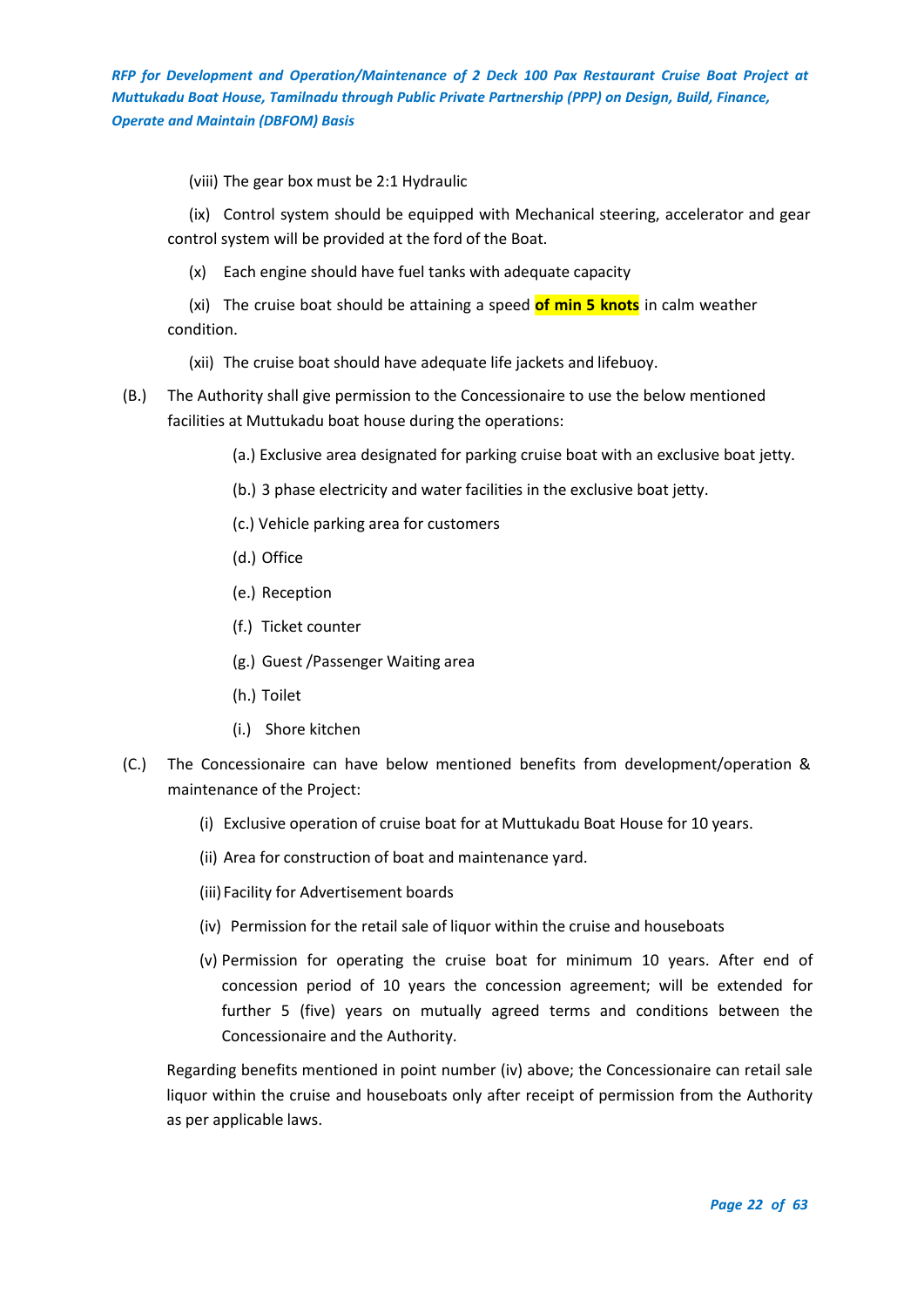(viii) The gear box must be 2:1 Hydraulic

(ix) Control system should be equipped with Mechanical steering, accelerator and gear control system will be provided at the ford of the Boat.

(x) Each engine should have fuel tanks with adequate capacity

(xi) The cruise boat should be attaining a speed **of min 5 knots** in calm weather condition.

- (xii) The cruise boat should have adequate life jackets and lifebuoy.
- (B.) The Authority shall give permission to the Concessionaire to use the below mentioned facilities at Muttukadu boat house during the operations:
	- (a.) Exclusive area designated for parking cruise boat with an exclusive boat jetty.
	- (b.) 3 phase electricity and water facilities in the exclusive boat jetty.
	- (c.) Vehicle parking area for customers
	- (d.) Office
	- (e.) Reception
	- (f.) Ticket counter
	- (g.) Guest /Passenger Waiting area
	- (h.) Toilet
	- (i.) Shore kitchen
- (C.) The Concessionaire can have below mentioned benefits from development/operation & maintenance of the Project:
	- (i) Exclusive operation of cruise boat for at Muttukadu Boat House for 10 years.
	- (ii) Area for construction of boat and maintenance yard.
	- (iii)Facility for Advertisement boards
	- (iv) Permission for the retail sale of liquor within the cruise and houseboats
	- (v) Permission for operating the cruise boat for minimum 10 years. After end of concession period of 10 years the concession agreement; will be extended for further 5 (five) years on mutually agreed terms and conditions between the Concessionaire and the Authority.

Regarding benefits mentioned in point number (iv) above; the Concessionaire can retail sale liquor within the cruise and houseboats only after receipt of permission from the Authority as per applicable laws.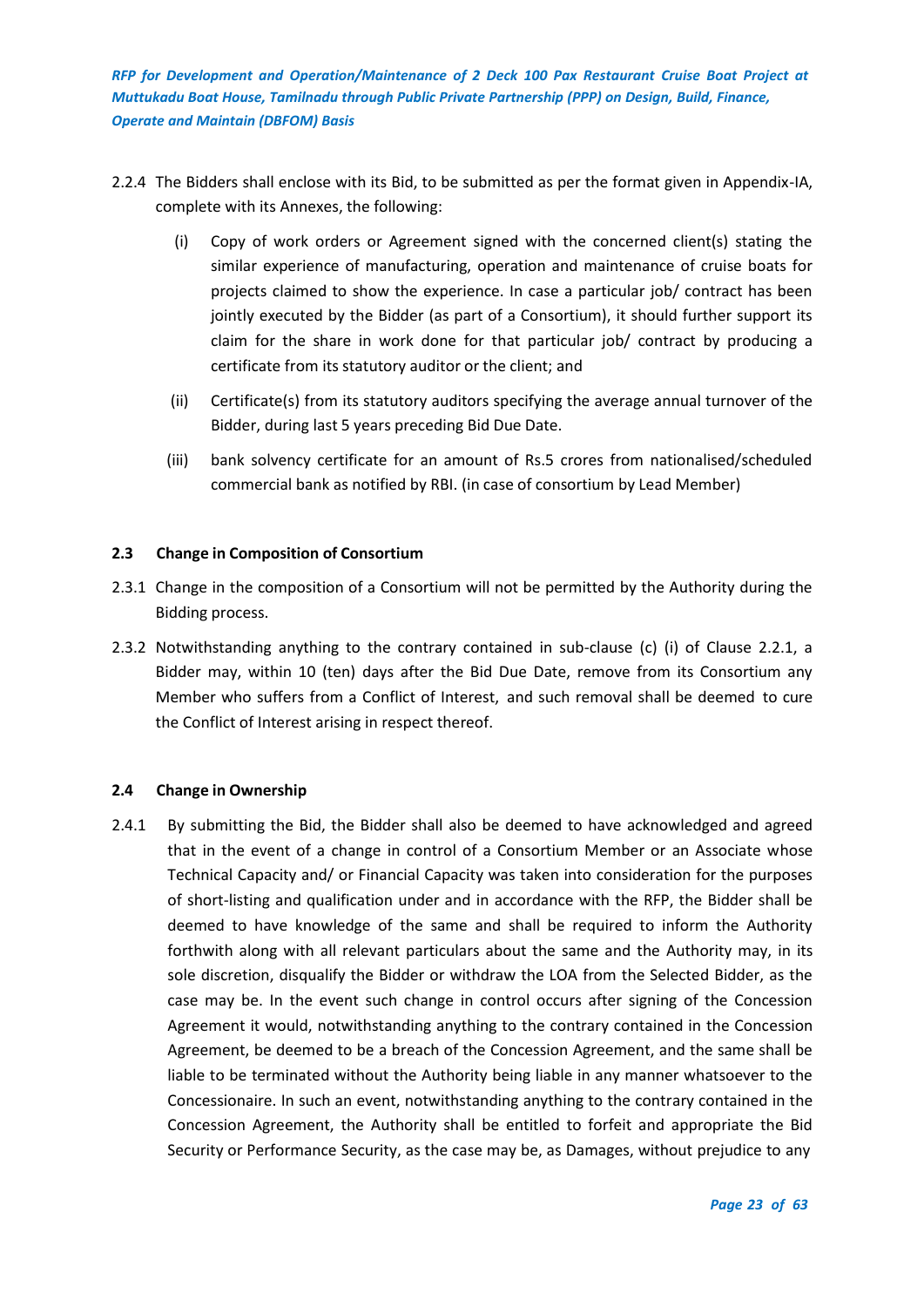- 2.2.4 The Bidders shall enclose with its Bid, to be submitted as per the format given in Appendix-IA, complete with its Annexes, the following:
	- (i) Copy of work orders or Agreement signed with the concerned client(s) stating the similar experience of manufacturing, operation and maintenance of cruise boats for projects claimed to show the experience. In case a particular job/ contract has been jointly executed by the Bidder (as part of a Consortium), it should further support its claim for the share in work done for that particular job/ contract by producing a certificate from its statutory auditor or the client; and
	- (ii) Certificate(s) from its statutory auditors specifying the average annual turnover of the Bidder, during last 5 years preceding Bid Due Date.
	- (iii) bank solvency certificate for an amount of Rs.5 crores from nationalised/scheduled commercial bank as notified by RBI. (in case of consortium by Lead Member)

## <span id="page-22-0"></span>**2.3 Change in Composition of Consortium**

- 2.3.1 Change in the composition of a Consortium will not be permitted by the Authority during the Bidding process.
- 2.3.2 Notwithstanding anything to the contrary contained in sub-clause (c) (i) of Clause 2.2.1, a Bidder may, within 10 (ten) days after the Bid Due Date, remove from its Consortium any Member who suffers from a Conflict of Interest, and such removal shall be deemed to cure the Conflict of Interest arising in respect thereof.

## <span id="page-22-1"></span>**2.4 Change in Ownership**

2.4.1 By submitting the Bid, the Bidder shall also be deemed to have acknowledged and agreed that in the event of a change in control of a Consortium Member or an Associate whose Technical Capacity and/ or Financial Capacity was taken into consideration for the purposes of short-listing and qualification under and in accordance with the RFP, the Bidder shall be deemed to have knowledge of the same and shall be required to inform the Authority forthwith along with all relevant particulars about the same and the Authority may, in its sole discretion, disqualify the Bidder or withdraw the LOA from the Selected Bidder, as the case may be. In the event such change in control occurs after signing of the Concession Agreement it would, notwithstanding anything to the contrary contained in the Concession Agreement, be deemed to be a breach of the Concession Agreement, and the same shall be liable to be terminated without the Authority being liable in any manner whatsoever to the Concessionaire. In such an event, notwithstanding anything to the contrary contained in the Concession Agreement, the Authority shall be entitled to forfeit and appropriate the Bid Security or Performance Security, as the case may be, as Damages, without prejudice to any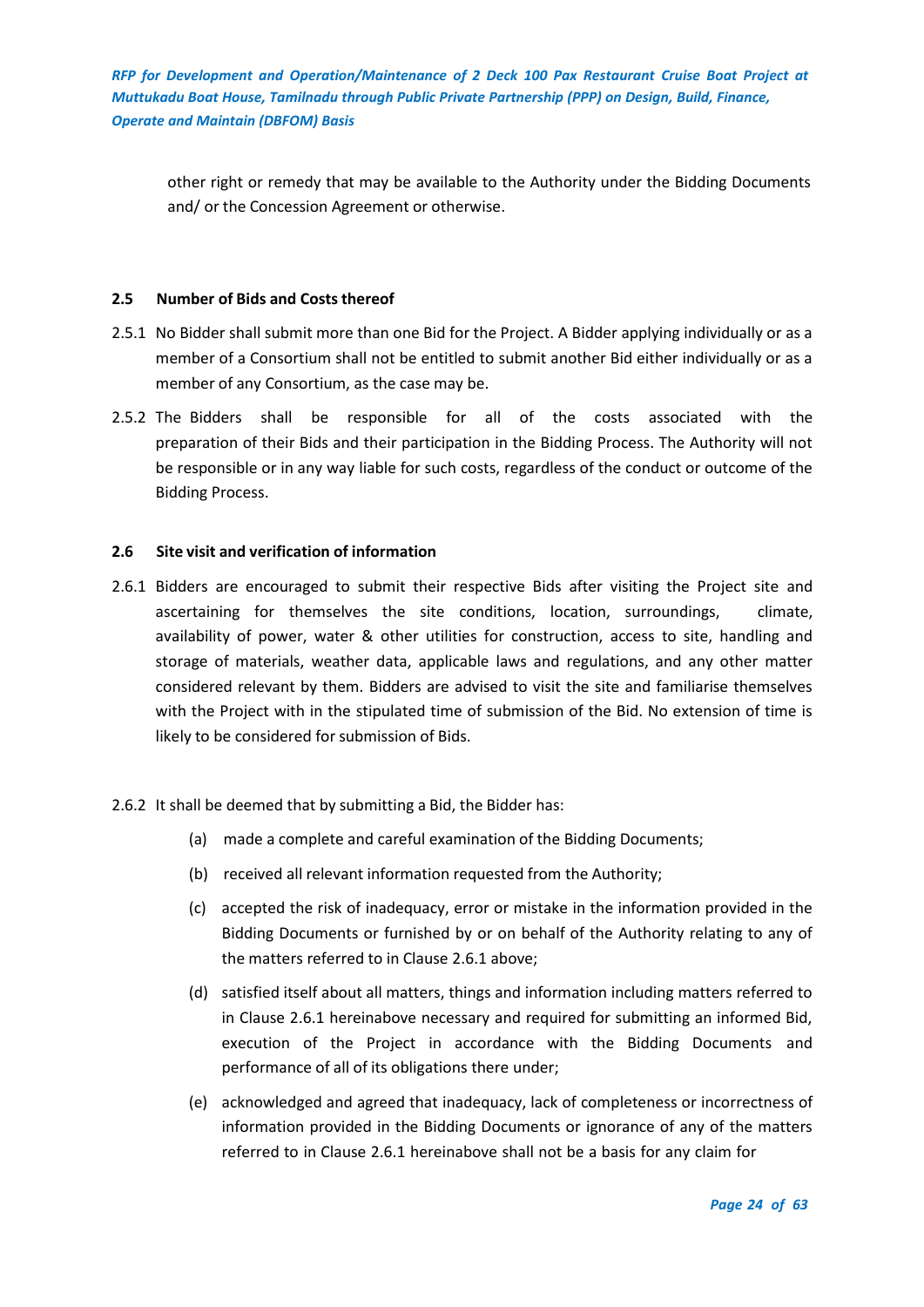other right or remedy that may be available to the Authority under the Bidding Documents and/ or the Concession Agreement or otherwise.

## <span id="page-23-0"></span>**2.5 Number of Bids and Costs thereof**

- 2.5.1 No Bidder shall submit more than one Bid for the Project. A Bidder applying individually or as a member of a Consortium shall not be entitled to submit another Bid either individually or as a member of any Consortium, as the case may be.
- 2.5.2 The Bidders shall be responsible for all of the costs associated with the preparation of their Bids and their participation in the Bidding Process. The Authority will not be responsible or in any way liable for such costs, regardless of the conduct or outcome of the Bidding Process.

## <span id="page-23-1"></span>**2.6 Site visit and verification of information**

2.6.1 Bidders are encouraged to submit their respective Bids after visiting the Project site and ascertaining for themselves the site conditions, location, surroundings, climate, availability of power, water & other utilities for construction, access to site, handling and storage of materials, weather data, applicable laws and regulations, and any other matter considered relevant by them. Bidders are advised to visit the site and familiarise themselves with the Project with in the stipulated time of submission of the Bid. No extension of time is likely to be considered for submission of Bids.

## 2.6.2 It shall be deemed that by submitting a Bid, the Bidder has:

- (a) made a complete and careful examination of the Bidding Documents;
- (b) received all relevant information requested from the Authority;
- (c) accepted the risk of inadequacy, error or mistake in the information provided in the Bidding Documents or furnished by or on behalf of the Authority relating to any of the matters referred to in Clause 2.6.1 above;
- (d) satisfied itself about all matters, things and information including matters referred to in Clause 2.6.1 hereinabove necessary and required for submitting an informed Bid, execution of the Project in accordance with the Bidding Documents and performance of all of its obligations there under;
- (e) acknowledged and agreed that inadequacy, lack of completeness or incorrectness of information provided in the Bidding Documents or ignorance of any of the matters referred to in Clause 2.6.1 hereinabove shall not be a basis for any claim for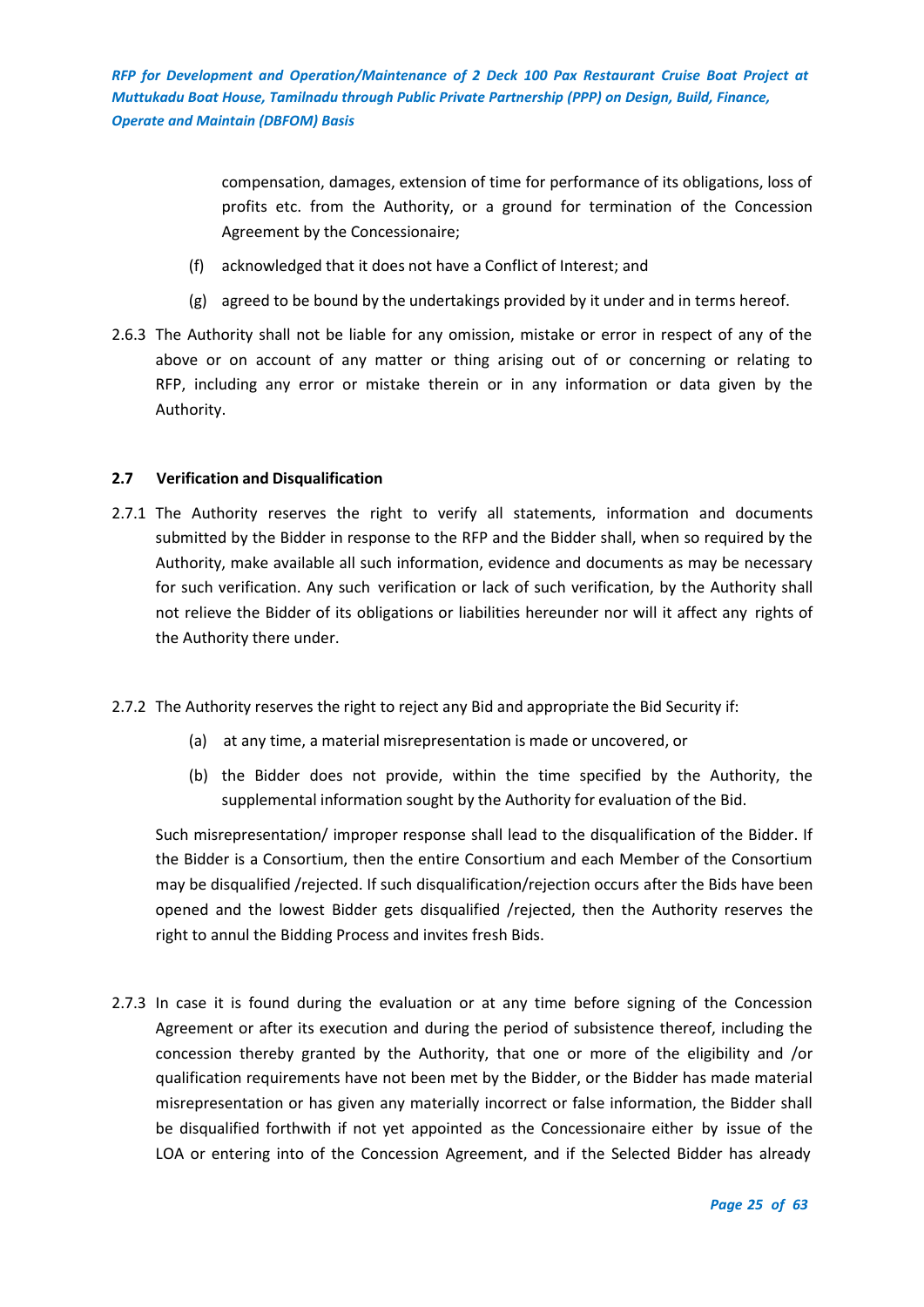> compensation, damages, extension of time for performance of its obligations, loss of profits etc. from the Authority, or a ground for termination of the Concession Agreement by the Concessionaire;

- (f) acknowledged that it does not have a Conflict of Interest; and
- (g) agreed to be bound by the undertakings provided by it under and in terms hereof.
- 2.6.3 The Authority shall not be liable for any omission, mistake or error in respect of any of the above or on account of any matter or thing arising out of or concerning or relating to RFP, including any error or mistake therein or in any information or data given by the Authority.

## <span id="page-24-0"></span>**2.7 Verification and Disqualification**

- 2.7.1 The Authority reserves the right to verify all statements, information and documents submitted by the Bidder in response to the RFP and the Bidder shall, when so required by the Authority, make available all such information, evidence and documents as may be necessary for such verification. Any such verification or lack of such verification, by the Authority shall not relieve the Bidder of its obligations or liabilities hereunder nor will it affect any rights of the Authority there under.
- 2.7.2 The Authority reserves the right to reject any Bid and appropriate the Bid Security if:
	- (a) at any time, a material misrepresentation is made or uncovered, or
	- (b) the Bidder does not provide, within the time specified by the Authority, the supplemental information sought by the Authority for evaluation of the Bid.

Such misrepresentation/ improper response shall lead to the disqualification of the Bidder. If the Bidder is a Consortium, then the entire Consortium and each Member of the Consortium may be disqualified /rejected. If such disqualification/rejection occurs after the Bids have been opened and the lowest Bidder gets disqualified /rejected, then the Authority reserves the right to annul the Bidding Process and invites fresh Bids.

2.7.3 In case it is found during the evaluation or at any time before signing of the Concession Agreement or after its execution and during the period of subsistence thereof, including the concession thereby granted by the Authority, that one or more of the eligibility and /or qualification requirements have not been met by the Bidder, or the Bidder has made material misrepresentation or has given any materially incorrect or false information, the Bidder shall be disqualified forthwith if not yet appointed as the Concessionaire either by issue of the LOA or entering into of the Concession Agreement, and if the Selected Bidder has already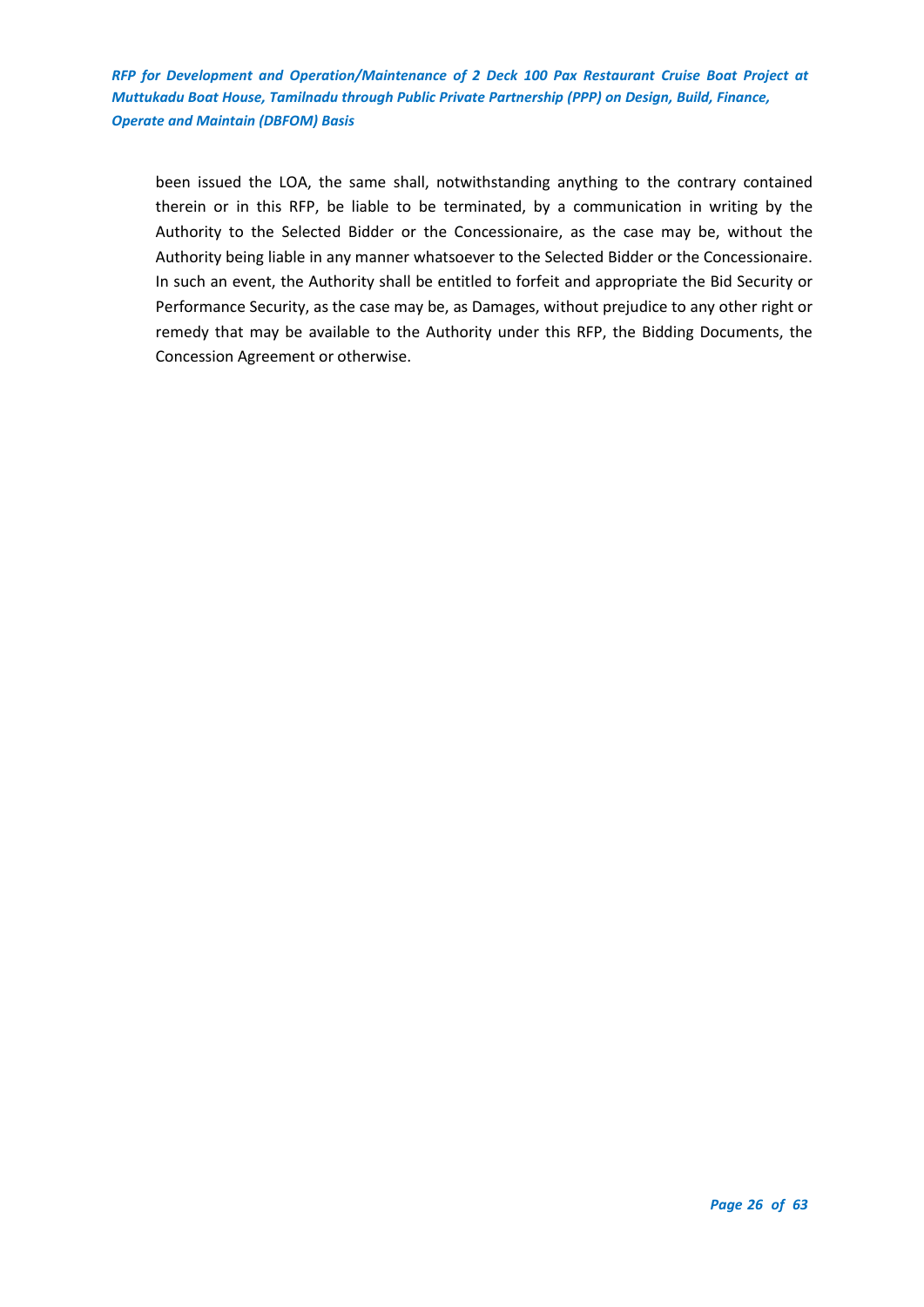been issued the LOA, the same shall, notwithstanding anything to the contrary contained therein or in this RFP, be liable to be terminated, by a communication in writing by the Authority to the Selected Bidder or the Concessionaire, as the case may be, without the Authority being liable in any manner whatsoever to the Selected Bidder or the Concessionaire. In such an event, the Authority shall be entitled to forfeit and appropriate the Bid Security or Performance Security, as the case may be, as Damages, without prejudice to any other right or remedy that may be available to the Authority under this RFP, the Bidding Documents, the Concession Agreement or otherwise.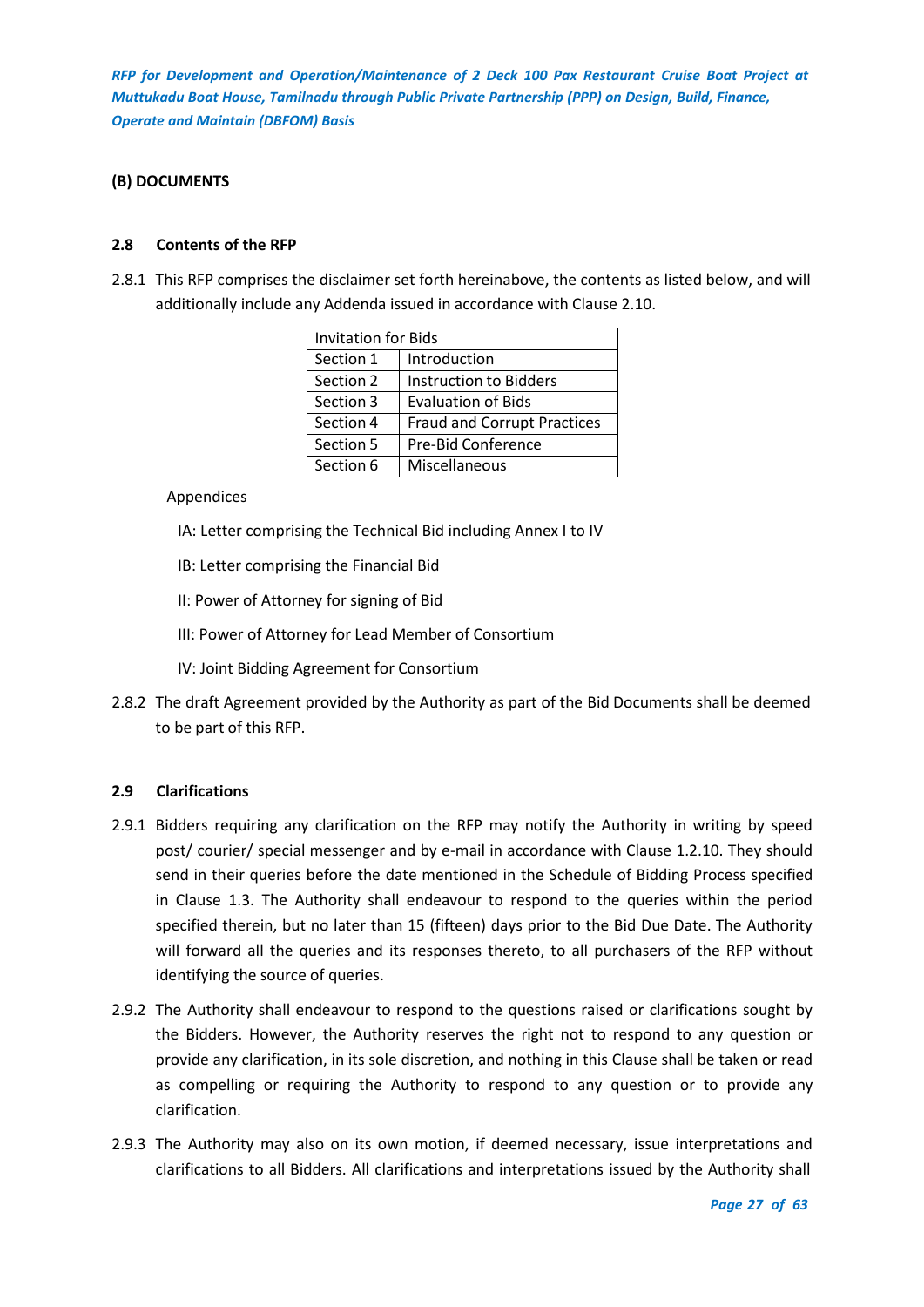## <span id="page-26-0"></span>**(B) DOCUMENTS**

## <span id="page-26-1"></span>**2.8 Contents of the RFP**

2.8.1 This RFP comprises the disclaimer set forth hereinabove, the contents as listed below, and will additionally include any Addenda issued in accordance with Clause 2.10.

| <b>Invitation for Bids</b> |                                    |  |  |
|----------------------------|------------------------------------|--|--|
| Section 1                  | Introduction                       |  |  |
| Section 2                  | Instruction to Bidders             |  |  |
| Section 3                  | <b>Evaluation of Bids</b>          |  |  |
| Section 4                  | <b>Fraud and Corrupt Practices</b> |  |  |
| Section 5                  | Pre-Bid Conference                 |  |  |
| Section 6                  | Miscellaneous                      |  |  |

#### Appendices

- IA: Letter comprising the Technical Bid including Annex I to IV
- IB: Letter comprising the Financial Bid
- II: Power of Attorney for signing of Bid
- III: Power of Attorney for Lead Member of Consortium
- IV: Joint Bidding Agreement for Consortium
- 2.8.2 The draft Agreement provided by the Authority as part of the Bid Documents shall be deemed to be part of this RFP.

## <span id="page-26-2"></span>**2.9 Clarifications**

- 2.9.1 Bidders requiring any clarification on the RFP may notify the Authority in writing by speed post/ courier/ special messenger and by e-mail in accordance with Clause 1.2.10. They should send in their queries before the date mentioned in the Schedule of Bidding Process specified in Clause 1.3. The Authority shall endeavour to respond to the queries within the period specified therein, but no later than 15 (fifteen) days prior to the Bid Due Date. The Authority will forward all the queries and its responses thereto, to all purchasers of the RFP without identifying the source of queries.
- 2.9.2 The Authority shall endeavour to respond to the questions raised or clarifications sought by the Bidders. However, the Authority reserves the right not to respond to any question or provide any clarification, in its sole discretion, and nothing in this Clause shall be taken or read as compelling or requiring the Authority to respond to any question or to provide any clarification.
- 2.9.3 The Authority may also on its own motion, if deemed necessary, issue interpretations and clarifications to all Bidders. All clarifications and interpretations issued by the Authority shall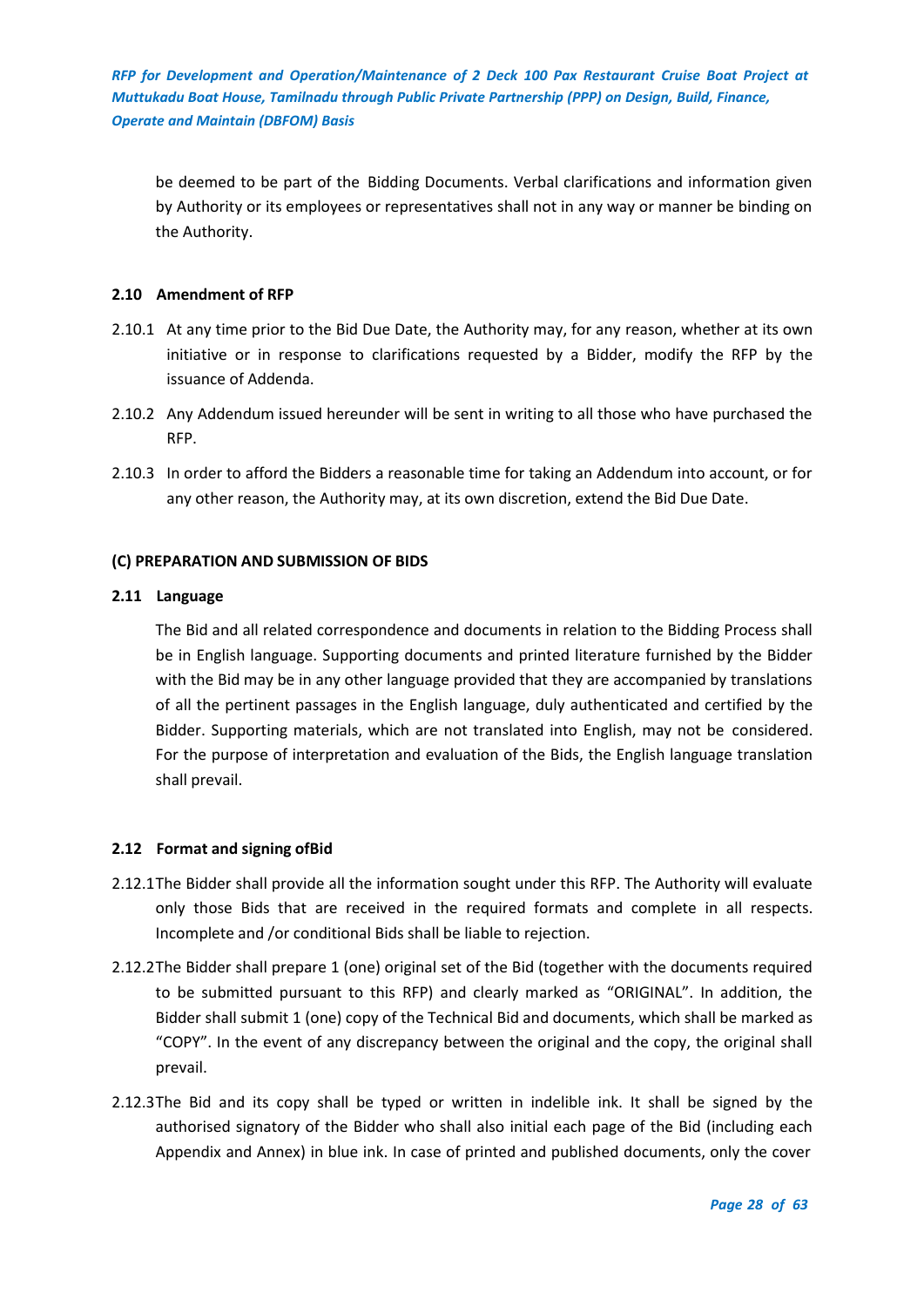be deemed to be part of the Bidding Documents. Verbal clarifications and information given by Authority or its employees or representatives shall not in any way or manner be binding on the Authority.

## <span id="page-27-0"></span>**2.10 Amendment of RFP**

- 2.10.1 At any time prior to the Bid Due Date, the Authority may, for any reason, whether at its own initiative or in response to clarifications requested by a Bidder, modify the RFP by the issuance of Addenda.
- 2.10.2 Any Addendum issued hereunder will be sent in writing to all those who have purchased the RFP.
- 2.10.3 In order to afford the Bidders a reasonable time for taking an Addendum into account, or for any other reason, the Authority may, at its own discretion, extend the Bid Due Date.

## <span id="page-27-1"></span>**(C) PREPARATION AND SUBMISSION OF BIDS**

#### <span id="page-27-2"></span>**2.11 Language**

The Bid and all related correspondence and documents in relation to the Bidding Process shall be in English language. Supporting documents and printed literature furnished by the Bidder with the Bid may be in any other language provided that they are accompanied by translations of all the pertinent passages in the English language, duly authenticated and certified by the Bidder. Supporting materials, which are not translated into English, may not be considered. For the purpose of interpretation and evaluation of the Bids, the English language translation shall prevail.

#### <span id="page-27-3"></span>**2.12 Format and signing ofBid**

- 2.12.1The Bidder shall provide all the information sought under this RFP. The Authority will evaluate only those Bids that are received in the required formats and complete in all respects. Incomplete and /or conditional Bids shall be liable to rejection.
- 2.12.2The Bidder shall prepare 1 (one) original set of the Bid (together with the documents required to be submitted pursuant to this RFP) and clearly marked as "ORIGINAL". In addition, the Bidder shall submit 1 (one) copy of the Technical Bid and documents, which shall be marked as "COPY". In the event of any discrepancy between the original and the copy, the original shall prevail.
- 2.12.3The Bid and its copy shall be typed or written in indelible ink. It shall be signed by the authorised signatory of the Bidder who shall also initial each page of the Bid (including each Appendix and Annex) in blue ink. In case of printed and published documents, only the cover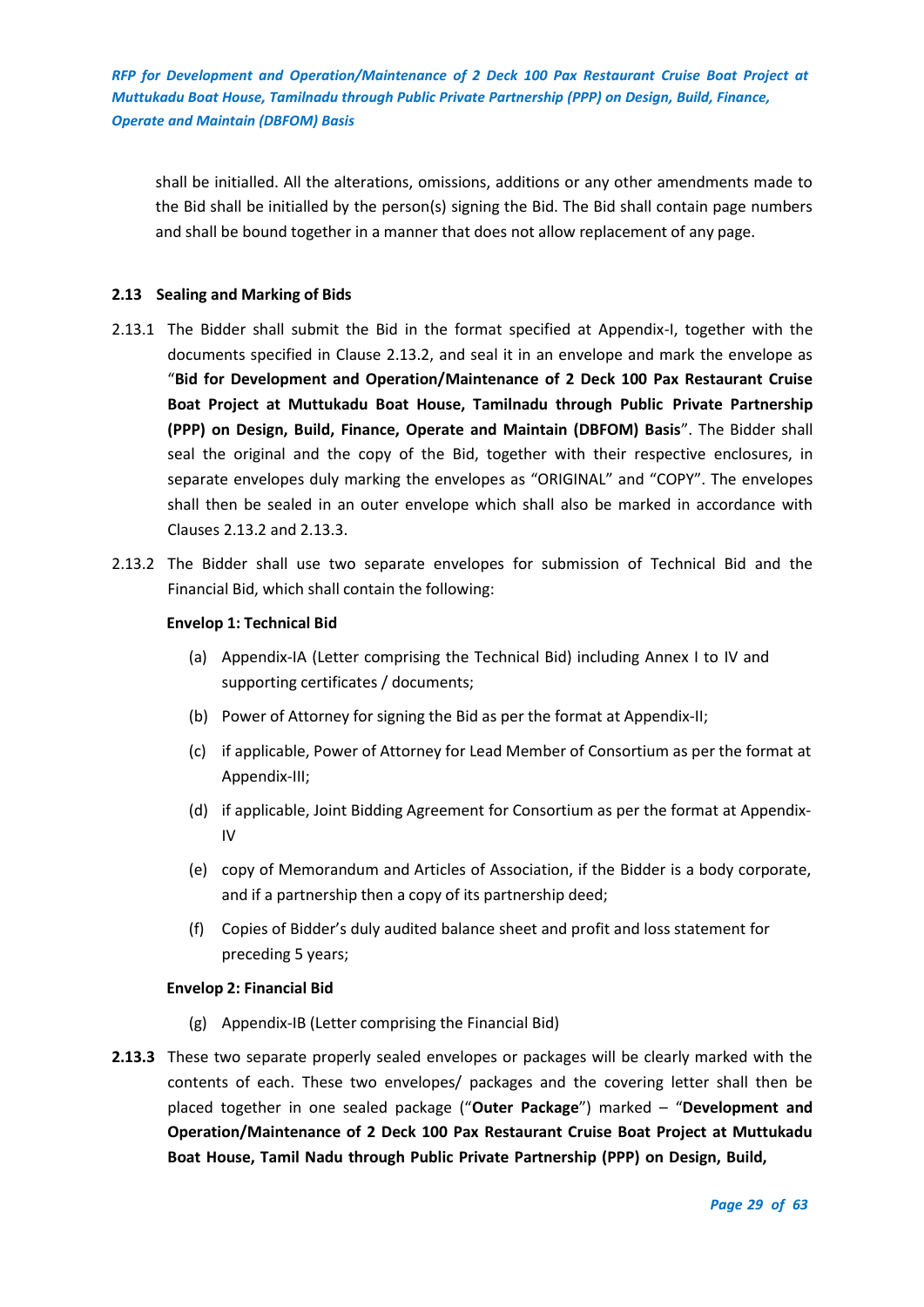shall be initialled. All the alterations, omissions, additions or any other amendments made to the Bid shall be initialled by the person(s) signing the Bid. The Bid shall contain page numbers and shall be bound together in a manner that does not allow replacement of any page.

## <span id="page-28-0"></span>**2.13 Sealing and Marking of Bids**

- 2.13.1 The Bidder shall submit the Bid in the format specified at Appendix-I, together with the documents specified in Clause 2.13.2, and seal it in an envelope and mark the envelope as "**Bid for Development and Operation/Maintenance of 2 Deck 100 Pax Restaurant Cruise Boat Project at Muttukadu Boat House, Tamilnadu through Public Private Partnership (PPP) on Design, Build, Finance, Operate and Maintain (DBFOM) Basis**". The Bidder shall seal the original and the copy of the Bid, together with their respective enclosures, in separate envelopes duly marking the envelopes as "ORIGINAL" and "COPY". The envelopes shall then be sealed in an outer envelope which shall also be marked in accordance with Clauses 2.13.2 and 2.13.3.
- 2.13.2 The Bidder shall use two separate envelopes for submission of Technical Bid and the Financial Bid, which shall contain the following:

## **Envelop 1: Technical Bid**

- (a) Appendix-IA (Letter comprising the Technical Bid) including Annex I to IV and supporting certificates / documents;
- (b) Power of Attorney for signing the Bid as per the format at Appendix-II;
- (c) if applicable, Power of Attorney for Lead Member of Consortium as per the format at Appendix-III;
- (d) if applicable, Joint Bidding Agreement for Consortium as per the format at Appendix-IV
- (e) copy of Memorandum and Articles of Association, if the Bidder is a body corporate, and if a partnership then a copy of its partnership deed;
- (f) Copies of Bidder's duly audited balance sheet and profit and loss statement for preceding 5 years;

#### **Envelop 2: Financial Bid**

- (g) Appendix-IB (Letter comprising the Financial Bid)
- **2.13.3** These two separate properly sealed envelopes or packages will be clearly marked with the contents of each. These two envelopes/ packages and the covering letter shall then be placed together in one sealed package ("**Outer Package**") marked – "**Development and Operation/Maintenance of 2 Deck 100 Pax Restaurant Cruise Boat Project at Muttukadu Boat House, Tamil Nadu through Public Private Partnership (PPP) on Design, Build,**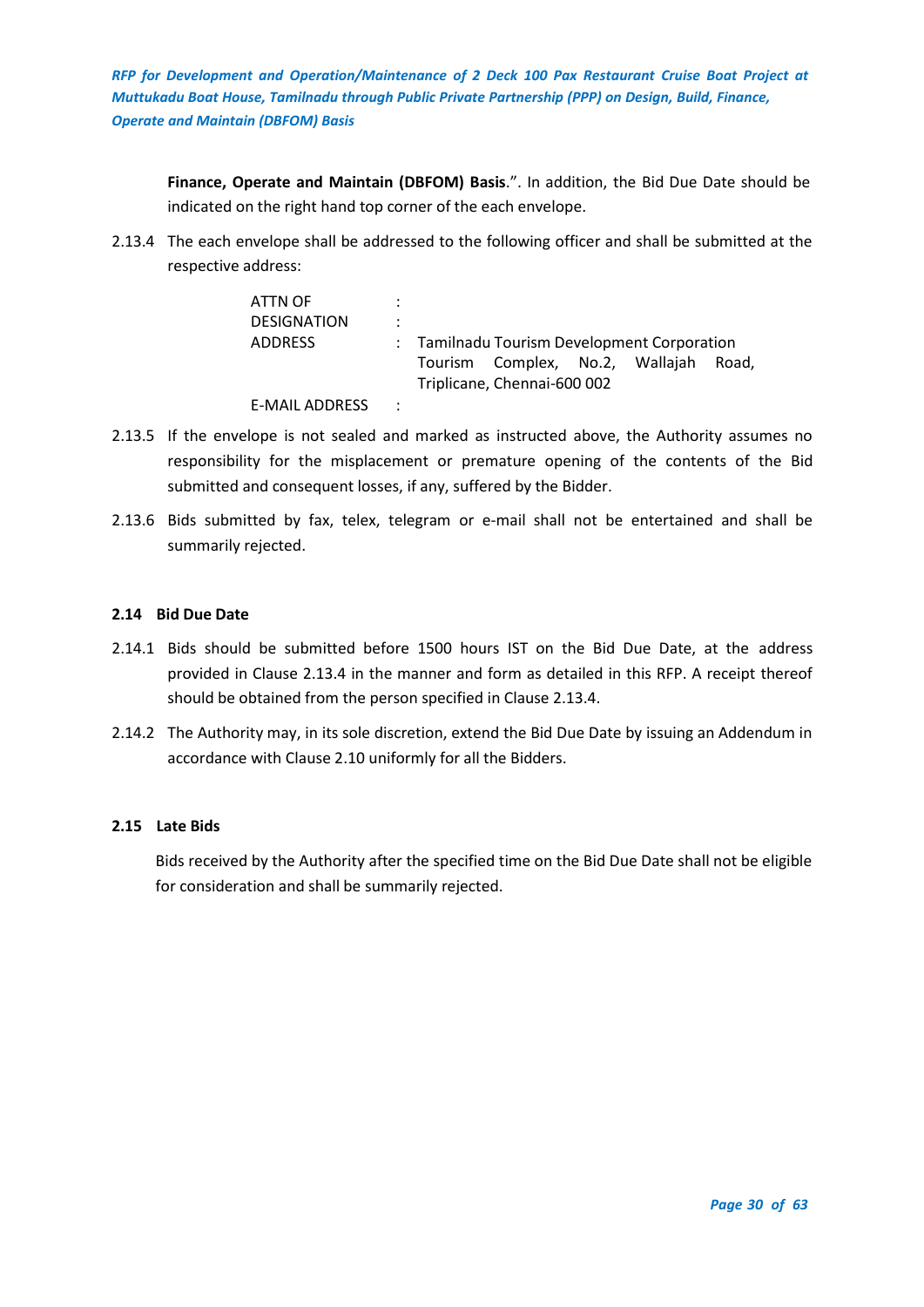**Finance, Operate and Maintain (DBFOM) Basis**.". In addition, the Bid Due Date should be indicated on the right hand top corner of the each envelope.

2.13.4 The each envelope shall be addressed to the following officer and shall be submitted at the respective address:

| ATTN OF               |         |                                             |                                 |  |  |       |
|-----------------------|---------|---------------------------------------------|---------------------------------|--|--|-------|
| <b>DESIGNATION</b>    | ÷       |                                             |                                 |  |  |       |
| <b>ADDRESS</b>        |         | : Tamilnadu Tourism Development Corporation |                                 |  |  |       |
|                       |         |                                             | Tourism Complex, No.2, Wallajah |  |  | Road. |
|                       |         | Triplicane, Chennai-600 002                 |                                 |  |  |       |
| <b>E-MAIL ADDRESS</b> | $\cdot$ |                                             |                                 |  |  |       |

- 2.13.5 If the envelope is not sealed and marked as instructed above, the Authority assumes no responsibility for the misplacement or premature opening of the contents of the Bid submitted and consequent losses, if any, suffered by the Bidder.
- 2.13.6 Bids submitted by fax, telex, telegram or e-mail shall not be entertained and shall be summarily rejected.

## <span id="page-29-0"></span>**2.14 Bid Due Date**

- 2.14.1 Bids should be submitted before 1500 hours IST on the Bid Due Date, at the address provided in Clause 2.13.4 in the manner and form as detailed in this RFP. A receipt thereof should be obtained from the person specified in Clause 2.13.4.
- 2.14.2 The Authority may, in its sole discretion, extend the Bid Due Date by issuing an Addendum in accordance with Clause 2.10 uniformly for all the Bidders.

## <span id="page-29-1"></span>**2.15 Late Bids**

Bids received by the Authority after the specified time on the Bid Due Date shall not be eligible for consideration and shall be summarily rejected.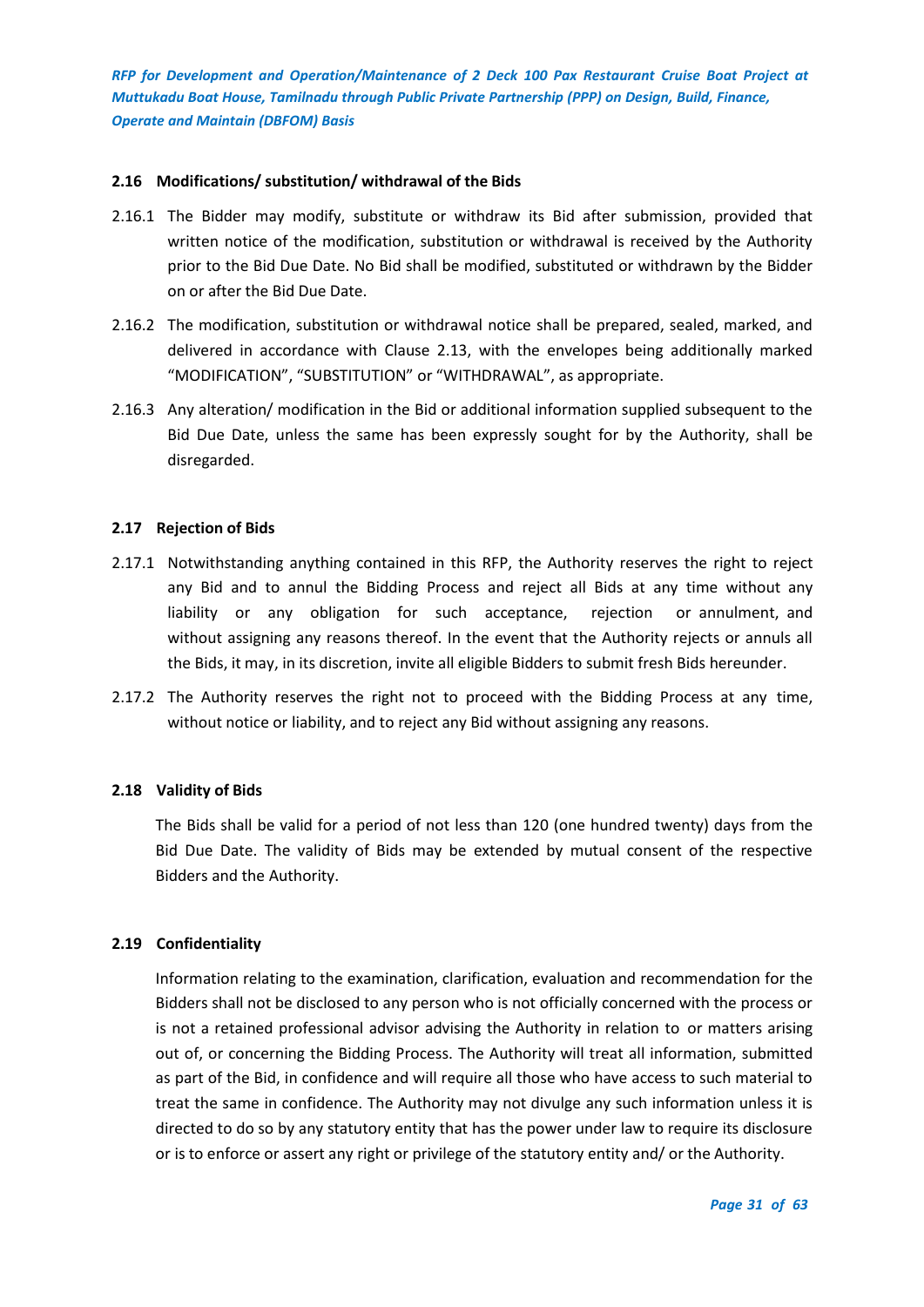## <span id="page-30-0"></span>**2.16 Modifications/ substitution/ withdrawal of the Bids**

- 2.16.1 The Bidder may modify, substitute or withdraw its Bid after submission, provided that written notice of the modification, substitution or withdrawal is received by the Authority prior to the Bid Due Date. No Bid shall be modified, substituted or withdrawn by the Bidder on or after the Bid Due Date.
- 2.16.2 The modification, substitution or withdrawal notice shall be prepared, sealed, marked, and delivered in accordance with Clause 2.13, with the envelopes being additionally marked "MODIFICATION", "SUBSTITUTION" or "WITHDRAWAL", as appropriate.
- 2.16.3 Any alteration/ modification in the Bid or additional information supplied subsequent to the Bid Due Date, unless the same has been expressly sought for by the Authority, shall be disregarded.

## <span id="page-30-1"></span>**2.17 Rejection of Bids**

- 2.17.1 Notwithstanding anything contained in this RFP, the Authority reserves the right to reject any Bid and to annul the Bidding Process and reject all Bids at any time without any liability or any obligation for such acceptance, rejection or annulment, and without assigning any reasons thereof. In the event that the Authority rejects or annuls all the Bids, it may, in its discretion, invite all eligible Bidders to submit fresh Bids hereunder.
- 2.17.2 The Authority reserves the right not to proceed with the Bidding Process at any time, without notice or liability, and to reject any Bid without assigning any reasons.

#### <span id="page-30-2"></span>**2.18 Validity of Bids**

The Bids shall be valid for a period of not less than 120 (one hundred twenty) days from the Bid Due Date. The validity of Bids may be extended by mutual consent of the respective Bidders and the Authority.

#### <span id="page-30-3"></span>**2.19 Confidentiality**

Information relating to the examination, clarification, evaluation and recommendation for the Bidders shall not be disclosed to any person who is not officially concerned with the process or is not a retained professional advisor advising the Authority in relation to or matters arising out of, or concerning the Bidding Process. The Authority will treat all information, submitted as part of the Bid, in confidence and will require all those who have access to such material to treat the same in confidence. The Authority may not divulge any such information unless it is directed to do so by any statutory entity that has the power under law to require its disclosure or is to enforce or assert any right or privilege of the statutory entity and/ or the Authority.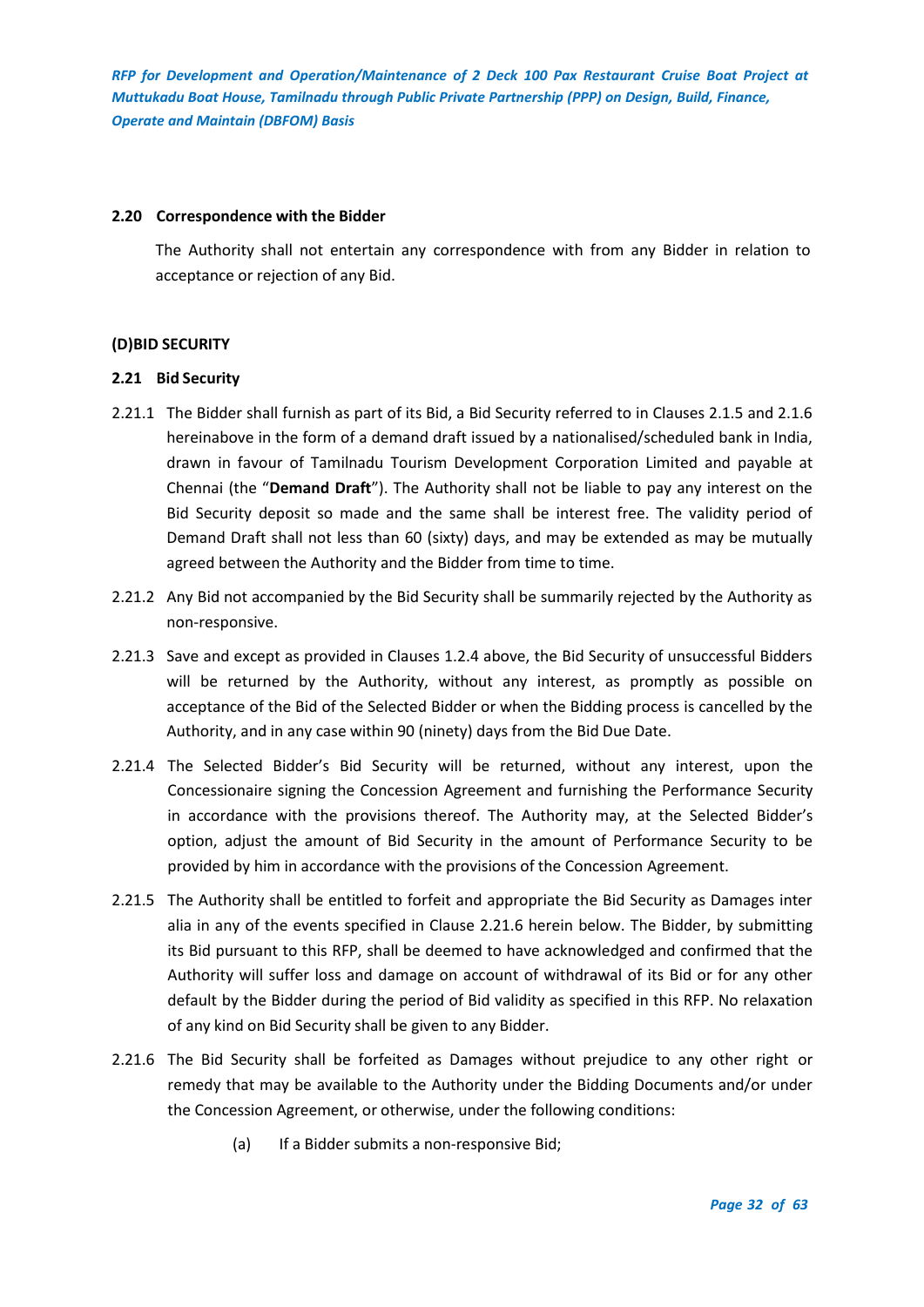#### <span id="page-31-0"></span>**2.20 Correspondence with the Bidder**

The Authority shall not entertain any correspondence with from any Bidder in relation to acceptance or rejection of any Bid.

## <span id="page-31-1"></span>**(D)BID SECURITY**

## <span id="page-31-2"></span>**2.21 Bid Security**

- 2.21.1 The Bidder shall furnish as part of its Bid, a Bid Security referred to in Clauses 2.1.5 and 2.1.6 hereinabove in the form of a demand draft issued by a nationalised/scheduled bank in India, drawn in favour of Tamilnadu Tourism Development Corporation Limited and payable at Chennai (the "**Demand Draft**"). The Authority shall not be liable to pay any interest on the Bid Security deposit so made and the same shall be interest free. The validity period of Demand Draft shall not less than 60 (sixty) days, and may be extended as may be mutually agreed between the Authority and the Bidder from time to time.
- 2.21.2 Any Bid not accompanied by the Bid Security shall be summarily rejected by the Authority as non-responsive.
- 2.21.3 Save and except as provided in Clauses 1.2.4 above, the Bid Security of unsuccessful Bidders will be returned by the Authority, without any interest, as promptly as possible on acceptance of the Bid of the Selected Bidder or when the Bidding process is cancelled by the Authority, and in any case within 90 (ninety) days from the Bid Due Date.
- 2.21.4 The Selected Bidder's Bid Security will be returned, without any interest, upon the Concessionaire signing the Concession Agreement and furnishing the Performance Security in accordance with the provisions thereof. The Authority may, at the Selected Bidder's option, adjust the amount of Bid Security in the amount of Performance Security to be provided by him in accordance with the provisions of the Concession Agreement.
- 2.21.5 The Authority shall be entitled to forfeit and appropriate the Bid Security as Damages inter alia in any of the events specified in Clause 2.21.6 herein below. The Bidder, by submitting its Bid pursuant to this RFP, shall be deemed to have acknowledged and confirmed that the Authority will suffer loss and damage on account of withdrawal of its Bid or for any other default by the Bidder during the period of Bid validity as specified in this RFP. No relaxation of any kind on Bid Security shall be given to any Bidder.
- 2.21.6 The Bid Security shall be forfeited as Damages without prejudice to any other right or remedy that may be available to the Authority under the Bidding Documents and/or under the Concession Agreement, or otherwise, under the following conditions:
	- (a) If a Bidder submits a non-responsive Bid;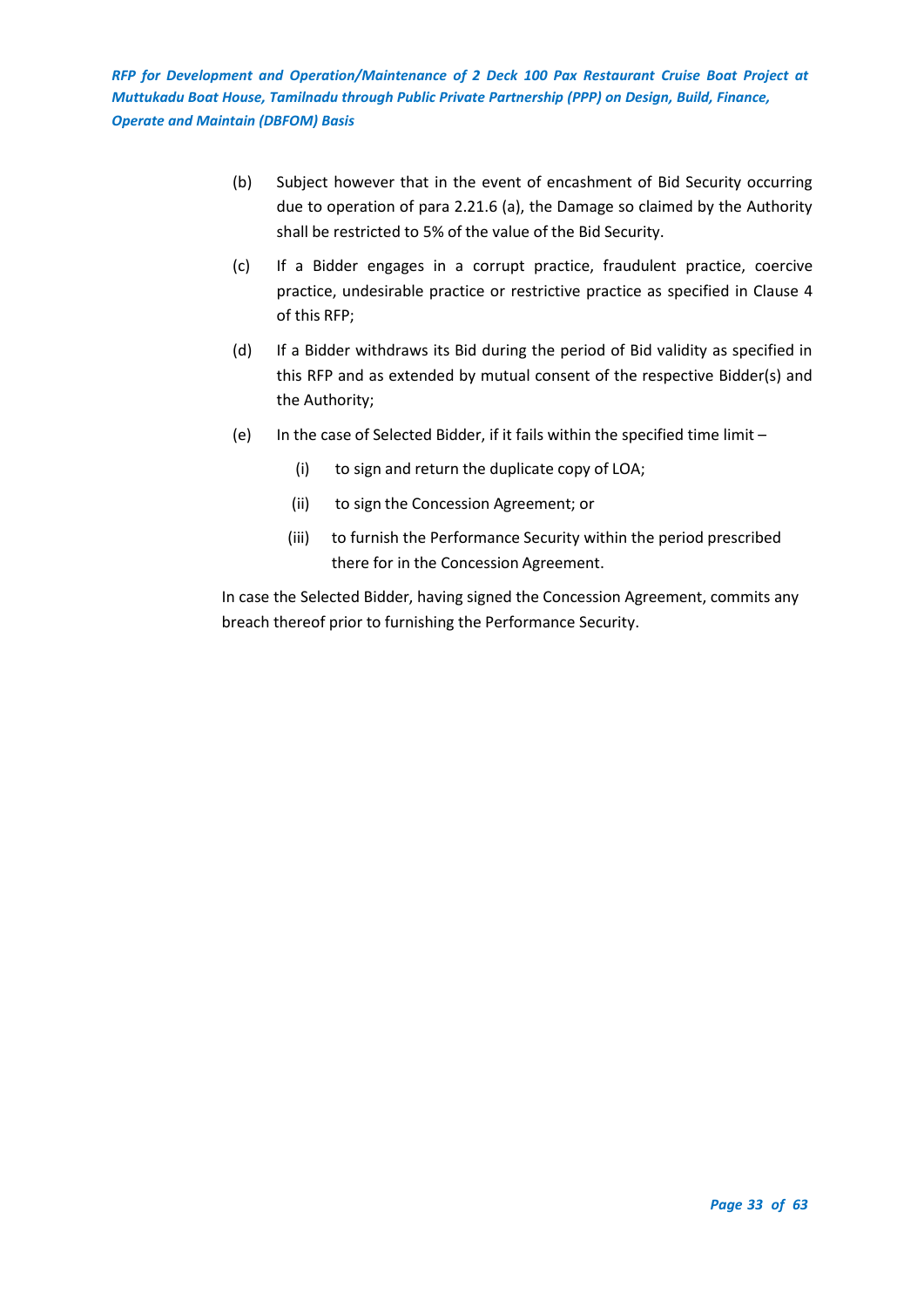- (b) Subject however that in the event of encashment of Bid Security occurring due to operation of para 2.21.6 (a), the Damage so claimed by the Authority shall be restricted to 5% of the value of the Bid Security.
- (c) If a Bidder engages in a corrupt practice, fraudulent practice, coercive practice, undesirable practice or restrictive practice as specified in Clause 4 of this RFP;
- (d) If a Bidder withdraws its Bid during the period of Bid validity as specified in this RFP and as extended by mutual consent of the respective Bidder(s) and the Authority;
- (e) In the case of Selected Bidder, if it fails within the specified time limit
	- (i) to sign and return the duplicate copy of LOA;
	- (ii) to sign the Concession Agreement; or
	- (iii) to furnish the Performance Security within the period prescribed there for in the Concession Agreement.

In case the Selected Bidder, having signed the Concession Agreement, commits any breach thereof prior to furnishing the Performance Security.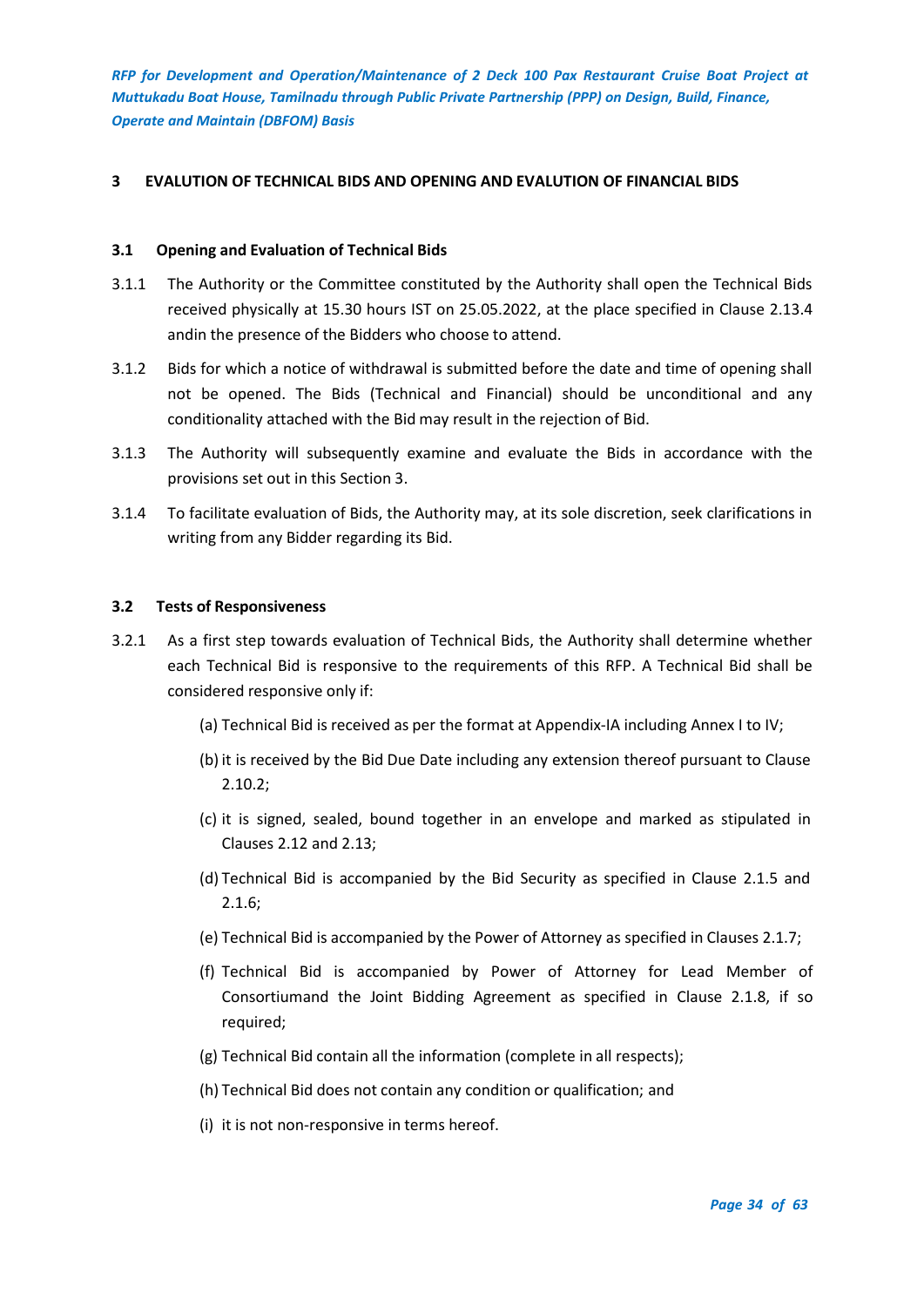## <span id="page-33-0"></span>**3 EVALUTION OF TECHNICAL BIDS AND OPENING AND EVALUTION OF FINANCIAL BIDS**

#### <span id="page-33-1"></span>**3.1 Opening and Evaluation of Technical Bids**

- 3.1.1 The Authority or the Committee constituted by the Authority shall open the Technical Bids received physically at 15.30 hours IST on 25.05.2022, at the place specified in Clause 2.13.4 andin the presence of the Bidders who choose to attend.
- 3.1.2 Bids for which a notice of withdrawal is submitted before the date and time of opening shall not be opened. The Bids (Technical and Financial) should be unconditional and any conditionality attached with the Bid may result in the rejection of Bid.
- 3.1.3 The Authority will subsequently examine and evaluate the Bids in accordance with the provisions set out in this Section 3.
- 3.1.4 To facilitate evaluation of Bids, the Authority may, at its sole discretion, seek clarifications in writing from any Bidder regarding its Bid.

#### <span id="page-33-2"></span>**3.2 Tests of Responsiveness**

- 3.2.1 As a first step towards evaluation of Technical Bids, the Authority shall determine whether each Technical Bid is responsive to the requirements of this RFP. A Technical Bid shall be considered responsive only if:
	- (a) Technical Bid is received as per the format at Appendix-IA including Annex I to IV;
	- (b) it is received by the Bid Due Date including any extension thereof pursuant to Clause 2.10.2;
	- (c) it is signed, sealed, bound together in an envelope and marked as stipulated in Clauses 2.12 and 2.13;
	- (d) Technical Bid is accompanied by the Bid Security as specified in Clause 2.1.5 and 2.1.6;
	- (e) Technical Bid is accompanied by the Power of Attorney as specified in Clauses 2.1.7;
	- (f) Technical Bid is accompanied by Power of Attorney for Lead Member of Consortiumand the Joint Bidding Agreement as specified in Clause 2.1.8, if so required;
	- (g) Technical Bid contain all the information (complete in all respects);
	- (h) Technical Bid does not contain any condition or qualification; and
	- (i) it is not non-responsive in terms hereof.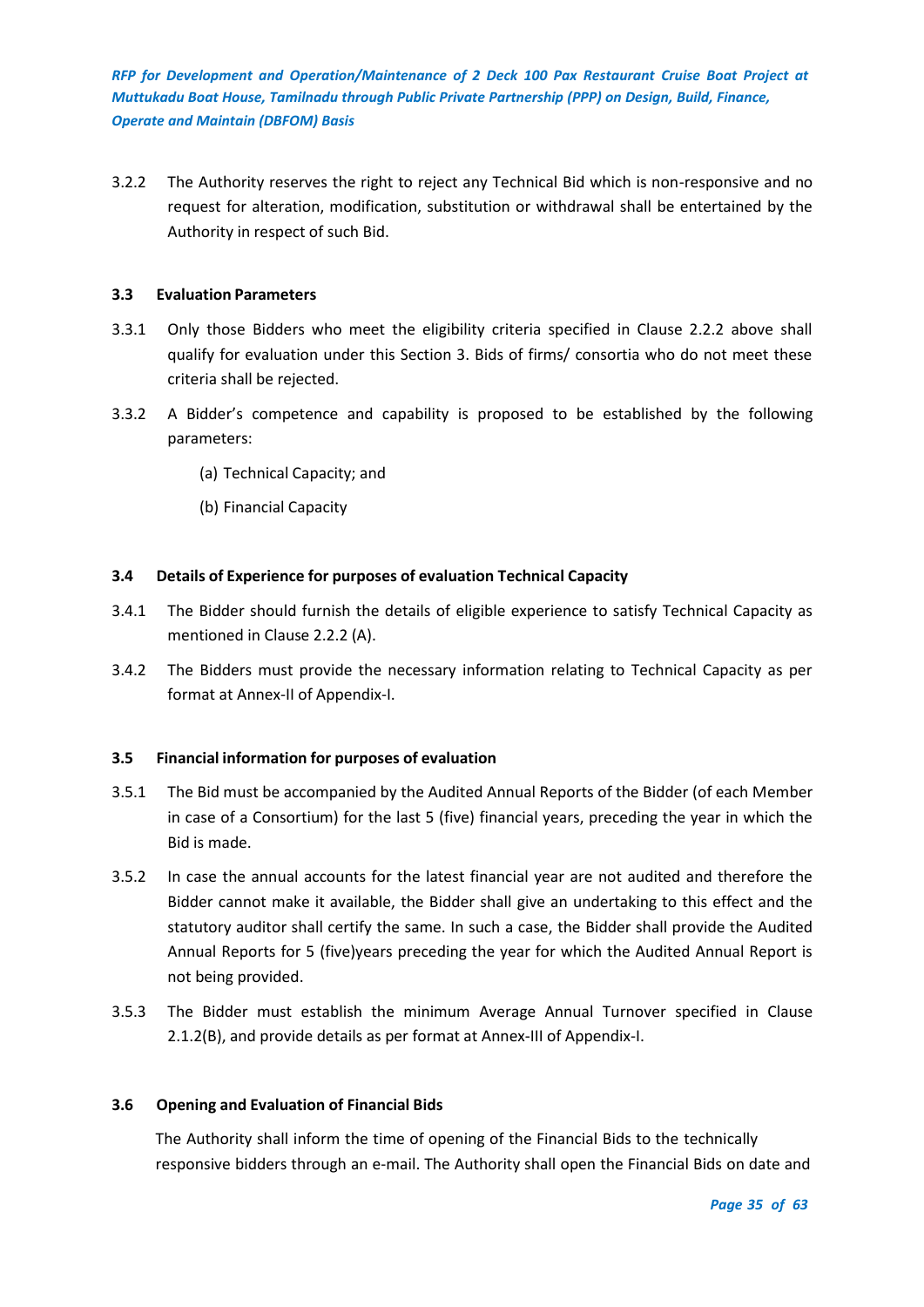3.2.2 The Authority reserves the right to reject any Technical Bid which is non-responsive and no request for alteration, modification, substitution or withdrawal shall be entertained by the Authority in respect of such Bid.

## <span id="page-34-0"></span>**3.3 Evaluation Parameters**

- 3.3.1 Only those Bidders who meet the eligibility criteria specified in Clause 2.2.2 above shall qualify for evaluation under this Section 3. Bids of firms/ consortia who do not meet these criteria shall be rejected.
- 3.3.2 A Bidder's competence and capability is proposed to be established by the following parameters:
	- (a) Technical Capacity; and
	- (b) Financial Capacity

## <span id="page-34-1"></span>**3.4 Details of Experience for purposes of evaluation Technical Capacity**

- 3.4.1 The Bidder should furnish the details of eligible experience to satisfy Technical Capacity as mentioned in Clause 2.2.2 (A).
- 3.4.2 The Bidders must provide the necessary information relating to Technical Capacity as per format at Annex-II of Appendix-I.

## <span id="page-34-2"></span>**3.5 Financial information for purposes of evaluation**

- 3.5.1 The Bid must be accompanied by the Audited Annual Reports of the Bidder (of each Member in case of a Consortium) for the last 5 (five) financial years, preceding the year in which the Bid is made.
- 3.5.2 In case the annual accounts for the latest financial year are not audited and therefore the Bidder cannot make it available, the Bidder shall give an undertaking to this effect and the statutory auditor shall certify the same. In such a case, the Bidder shall provide the Audited Annual Reports for 5 (five)years preceding the year for which the Audited Annual Report is not being provided.
- 3.5.3 The Bidder must establish the minimum Average Annual Turnover specified in Clause 2.1.2(B), and provide details as per format at Annex-III of Appendix-I.

#### <span id="page-34-3"></span>**3.6 Opening and Evaluation of Financial Bids**

The Authority shall inform the time of opening of the Financial Bids to the technically responsive bidders through an e-mail. The Authority shall open the Financial Bids on date and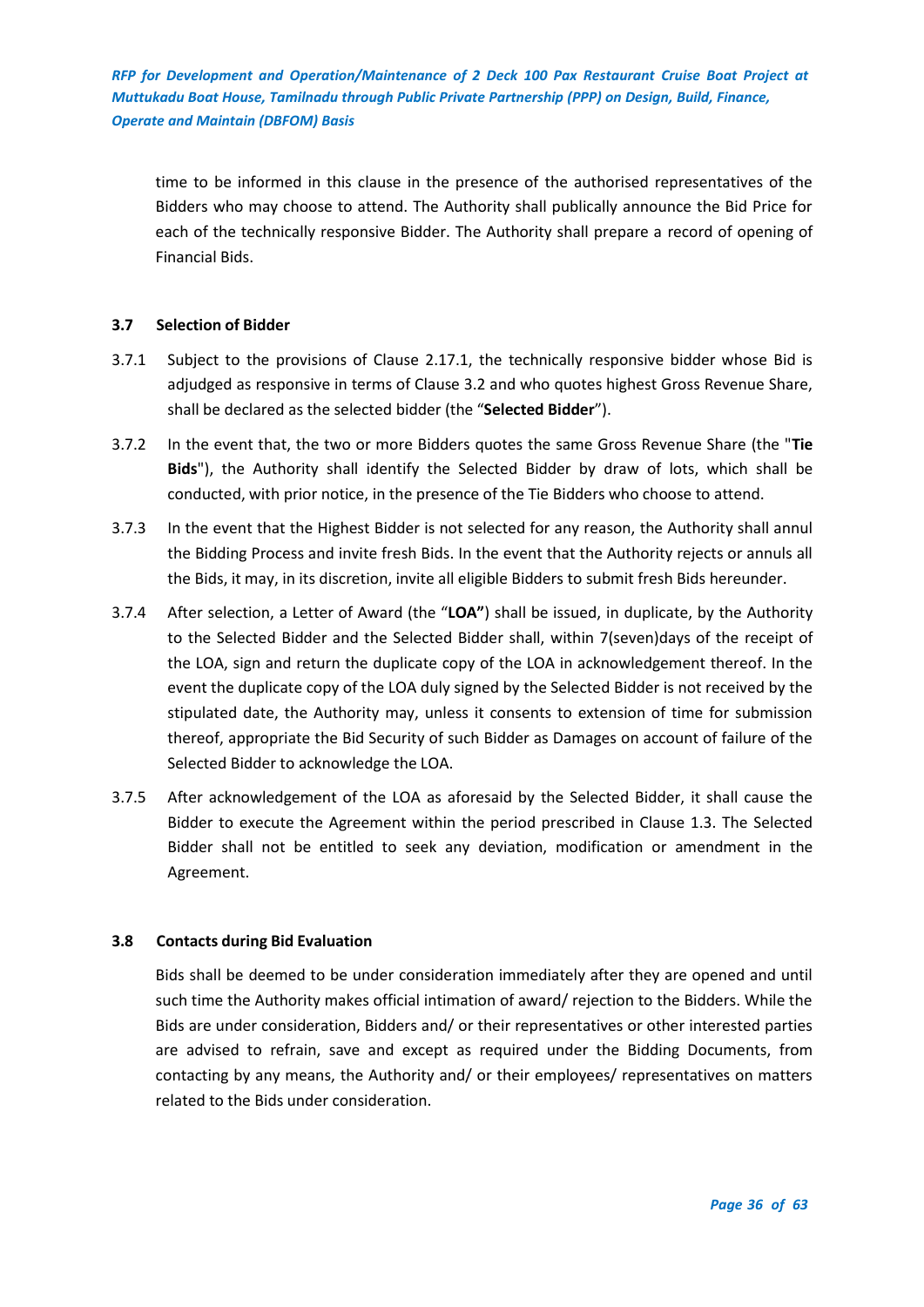time to be informed in this clause in the presence of the authorised representatives of the Bidders who may choose to attend. The Authority shall publically announce the Bid Price for each of the technically responsive Bidder. The Authority shall prepare a record of opening of Financial Bids.

## <span id="page-35-0"></span>**3.7 Selection of Bidder**

- 3.7.1 Subject to the provisions of Clause 2.17.1, the technically responsive bidder whose Bid is adjudged as responsive in terms of Clause 3.2 and who quotes highest Gross Revenue Share, shall be declared as the selected bidder (the "**Selected Bidder**").
- 3.7.2 In the event that, the two or more Bidders quotes the same Gross Revenue Share (the "**Tie Bids**"), the Authority shall identify the Selected Bidder by draw of lots, which shall be conducted, with prior notice, in the presence of the Tie Bidders who choose to attend.
- 3.7.3 In the event that the Highest Bidder is not selected for any reason, the Authority shall annul the Bidding Process and invite fresh Bids. In the event that the Authority rejects or annuls all the Bids, it may, in its discretion, invite all eligible Bidders to submit fresh Bids hereunder.
- 3.7.4 After selection, a Letter of Award (the "**LOA"**) shall be issued, in duplicate, by the Authority to the Selected Bidder and the Selected Bidder shall, within 7(seven)days of the receipt of the LOA, sign and return the duplicate copy of the LOA in acknowledgement thereof. In the event the duplicate copy of the LOA duly signed by the Selected Bidder is not received by the stipulated date, the Authority may, unless it consents to extension of time for submission thereof, appropriate the Bid Security of such Bidder as Damages on account of failure of the Selected Bidder to acknowledge the LOA.
- 3.7.5 After acknowledgement of the LOA as aforesaid by the Selected Bidder, it shall cause the Bidder to execute the Agreement within the period prescribed in Clause 1.3. The Selected Bidder shall not be entitled to seek any deviation, modification or amendment in the Agreement.

## <span id="page-35-1"></span>**3.8 Contacts during Bid Evaluation**

Bids shall be deemed to be under consideration immediately after they are opened and until such time the Authority makes official intimation of award/ rejection to the Bidders. While the Bids are under consideration, Bidders and/ or their representatives or other interested parties are advised to refrain, save and except as required under the Bidding Documents, from contacting by any means, the Authority and/ or their employees/ representatives on matters related to the Bids under consideration.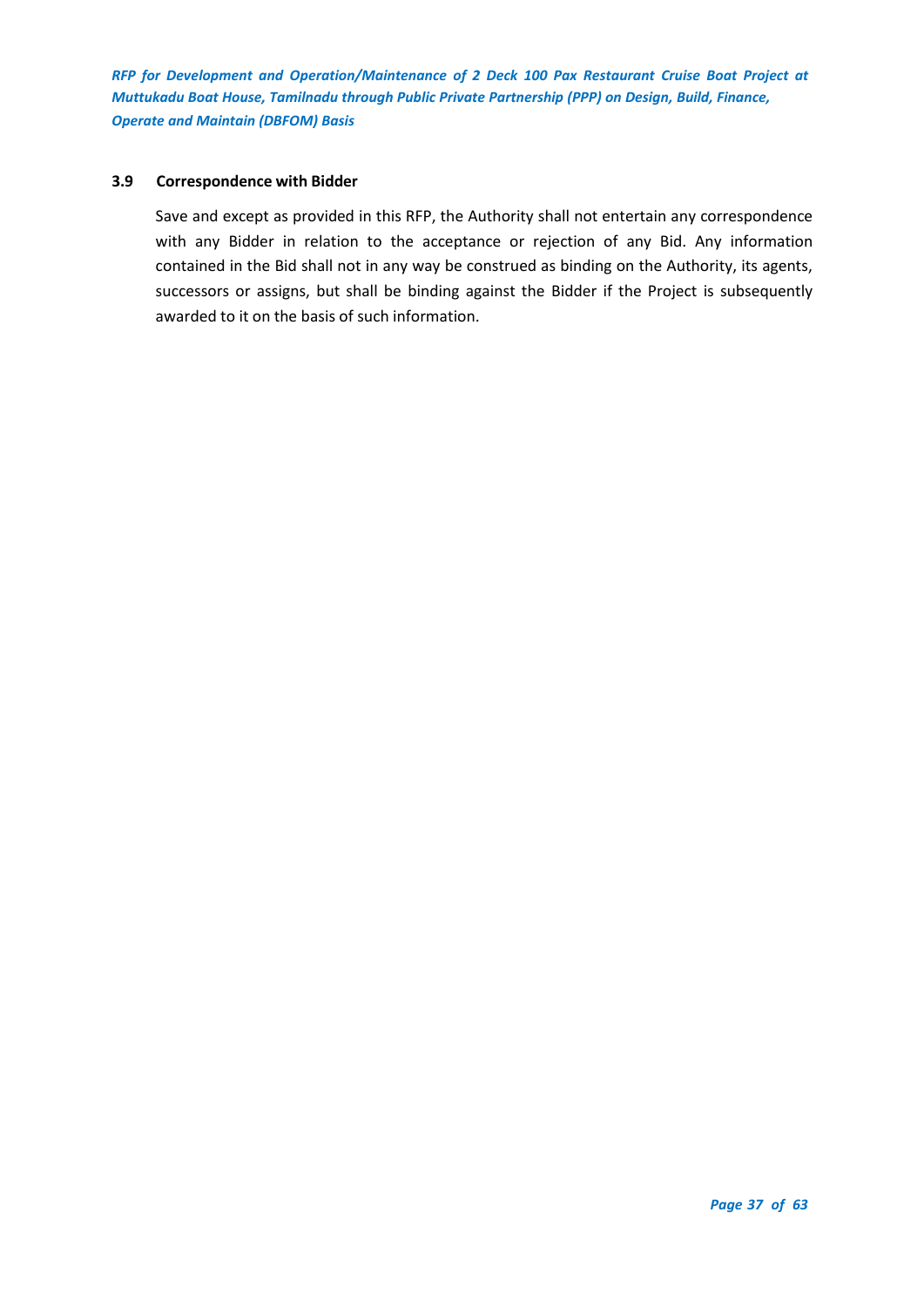## <span id="page-36-0"></span>**3.9 Correspondence with Bidder**

Save and except as provided in this RFP, the Authority shall not entertain any correspondence with any Bidder in relation to the acceptance or rejection of any Bid. Any information contained in the Bid shall not in any way be construed as binding on the Authority, its agents, successors or assigns, but shall be binding against the Bidder if the Project is subsequently awarded to it on the basis of such information.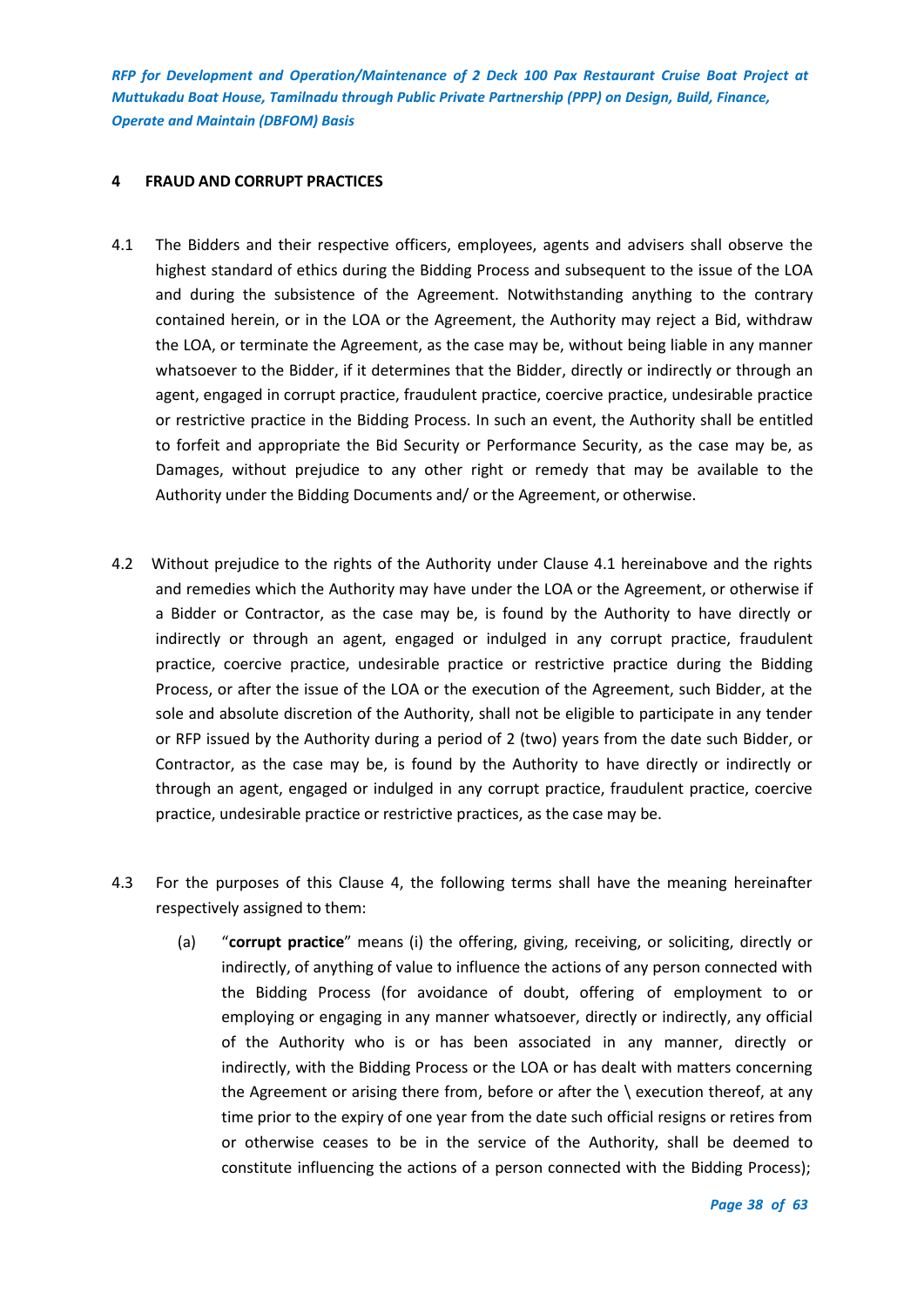## <span id="page-37-0"></span>**4 FRAUD AND CORRUPT PRACTICES**

- 4.1 The Bidders and their respective officers, employees, agents and advisers shall observe the highest standard of ethics during the Bidding Process and subsequent to the issue of the LOA and during the subsistence of the Agreement. Notwithstanding anything to the contrary contained herein, or in the LOA or the Agreement, the Authority may reject a Bid, withdraw the LOA, or terminate the Agreement, as the case may be, without being liable in any manner whatsoever to the Bidder, if it determines that the Bidder, directly or indirectly or through an agent, engaged in corrupt practice, fraudulent practice, coercive practice, undesirable practice or restrictive practice in the Bidding Process. In such an event, the Authority shall be entitled to forfeit and appropriate the Bid Security or Performance Security, as the case may be, as Damages, without prejudice to any other right or remedy that may be available to the Authority under the Bidding Documents and/ or the Agreement, or otherwise.
- 4.2 Without prejudice to the rights of the Authority under Clause 4.1 hereinabove and the rights and remedies which the Authority may have under the LOA or the Agreement, or otherwise if a Bidder or Contractor, as the case may be, is found by the Authority to have directly or indirectly or through an agent, engaged or indulged in any corrupt practice, fraudulent practice, coercive practice, undesirable practice or restrictive practice during the Bidding Process, or after the issue of the LOA or the execution of the Agreement, such Bidder, at the sole and absolute discretion of the Authority, shall not be eligible to participate in any tender or RFP issued by the Authority during a period of 2 (two) years from the date such Bidder, or Contractor, as the case may be, is found by the Authority to have directly or indirectly or through an agent, engaged or indulged in any corrupt practice, fraudulent practice, coercive practice, undesirable practice or restrictive practices, as the case may be.
- 4.3 For the purposes of this Clause 4, the following terms shall have the meaning hereinafter respectively assigned to them:
	- (a) "**corrupt practice**" means (i) the offering, giving, receiving, or soliciting, directly or indirectly, of anything of value to influence the actions of any person connected with the Bidding Process (for avoidance of doubt, offering of employment to or employing or engaging in any manner whatsoever, directly or indirectly, any official of the Authority who is or has been associated in any manner, directly or indirectly, with the Bidding Process or the LOA or has dealt with matters concerning the Agreement or arising there from, before or after the  $\backslash$  execution thereof, at any time prior to the expiry of one year from the date such official resigns or retires from or otherwise ceases to be in the service of the Authority, shall be deemed to constitute influencing the actions of a person connected with the Bidding Process);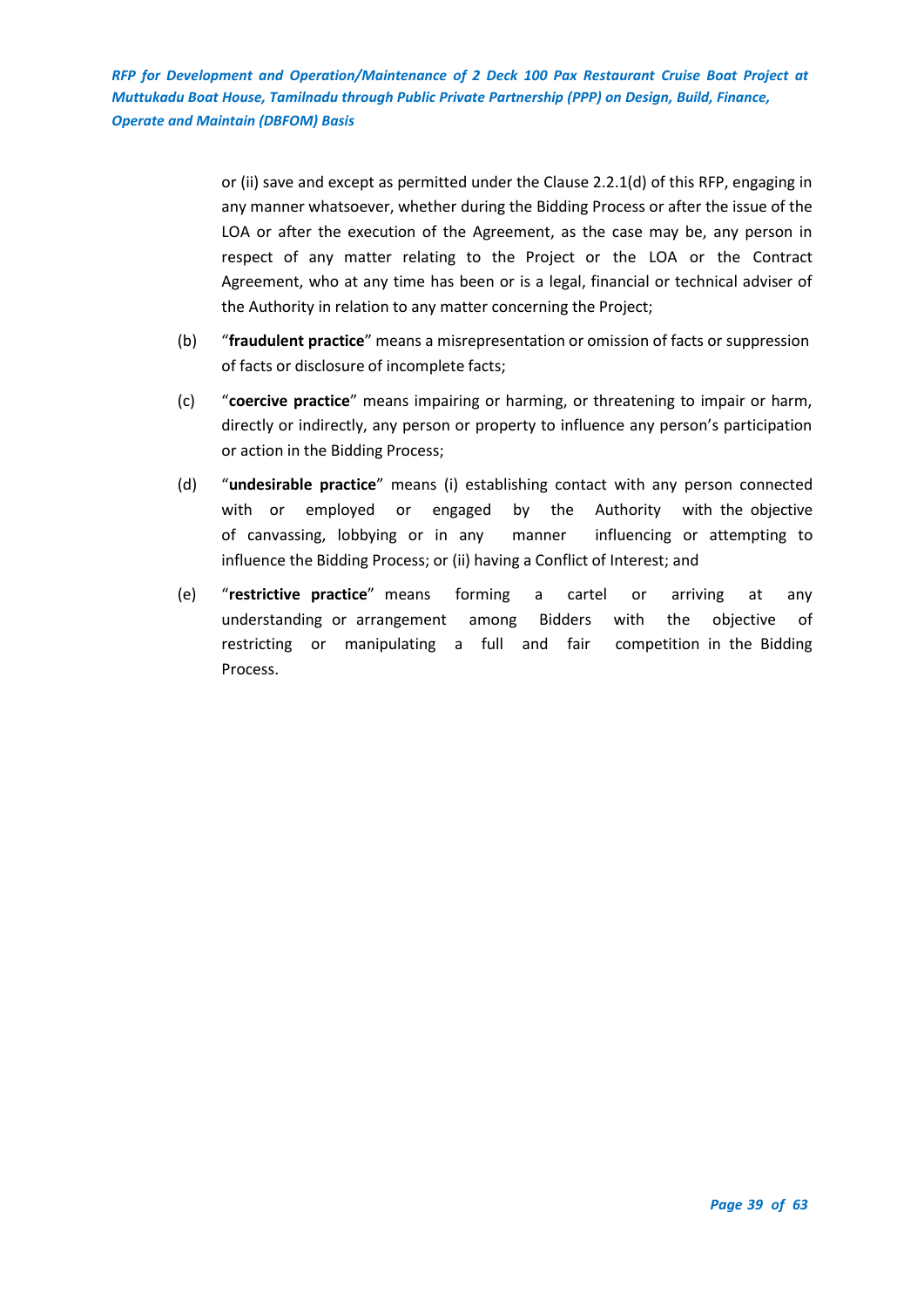> or (ii) save and except as permitted under the Clause 2.2.1(d) of this RFP, engaging in any manner whatsoever, whether during the Bidding Process or after the issue of the LOA or after the execution of the Agreement, as the case may be, any person in respect of any matter relating to the Project or the LOA or the Contract Agreement, who at any time has been or is a legal, financial or technical adviser of the Authority in relation to any matter concerning the Project;

- (b) "**fraudulent practice**" means a misrepresentation or omission of facts or suppression of facts or disclosure of incomplete facts;
- (c) "**coercive practice**" means impairing or harming, or threatening to impair or harm, directly or indirectly, any person or property to influence any person's participation or action in the Bidding Process;
- (d) "**undesirable practice**" means (i) establishing contact with any person connected with or employed or engaged by the Authority with the objective of canvassing, lobbying or in any manner influencing or attempting to influence the Bidding Process; or (ii) having a Conflict of Interest; and
- (e) "**restrictive practice**" means forming a cartel or arriving at any understanding or arrangement among Bidders with the objective of restricting or manipulating a full and fair competition in the Bidding Process.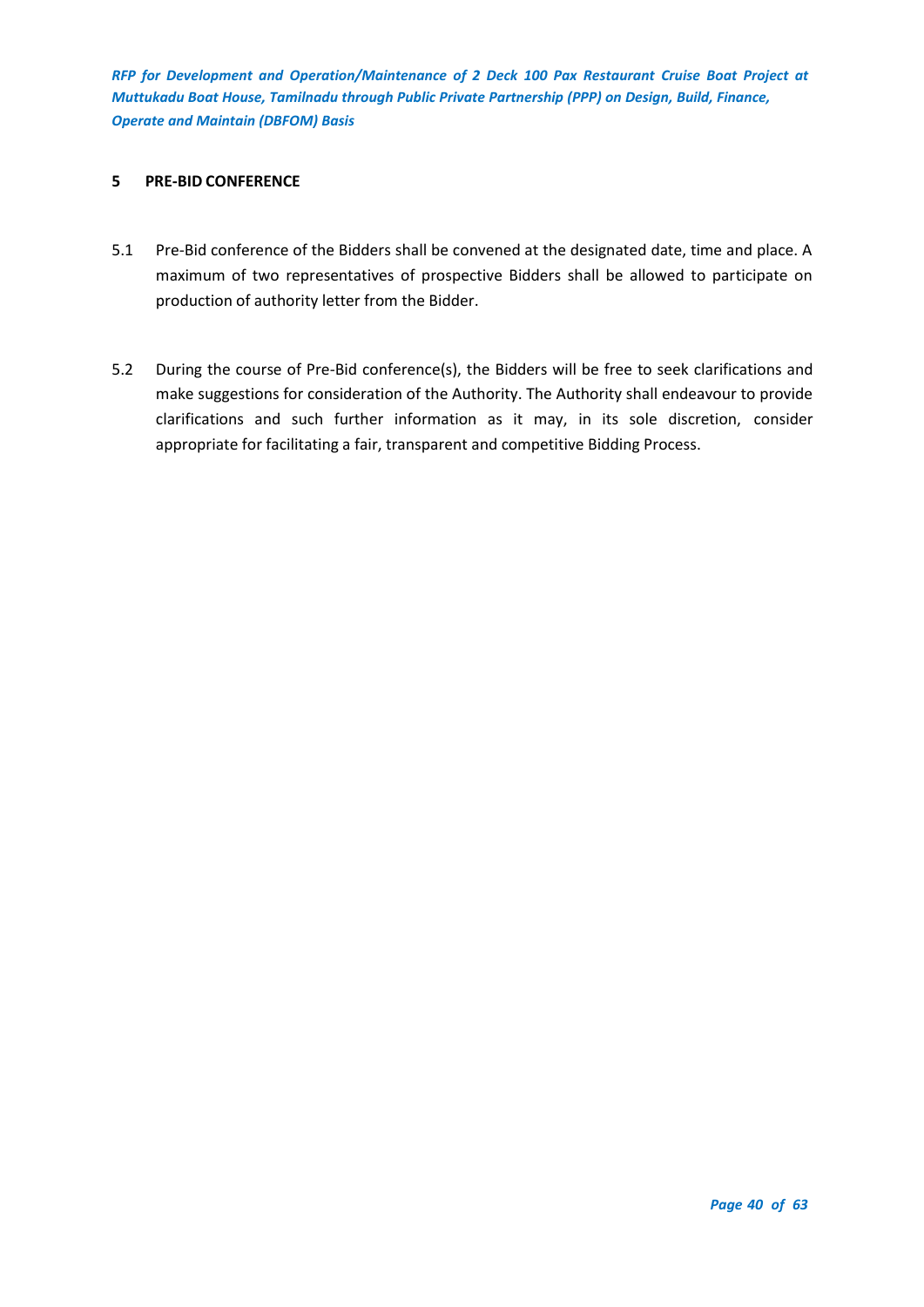#### <span id="page-39-0"></span>**5 PRE-BID CONFERENCE**

- 5.1 Pre-Bid conference of the Bidders shall be convened at the designated date, time and place. A maximum of two representatives of prospective Bidders shall be allowed to participate on production of authority letter from the Bidder.
- 5.2 During the course of Pre-Bid conference(s), the Bidders will be free to seek clarifications and make suggestions for consideration of the Authority. The Authority shall endeavour to provide clarifications and such further information as it may, in its sole discretion, consider appropriate for facilitating a fair, transparent and competitive Bidding Process.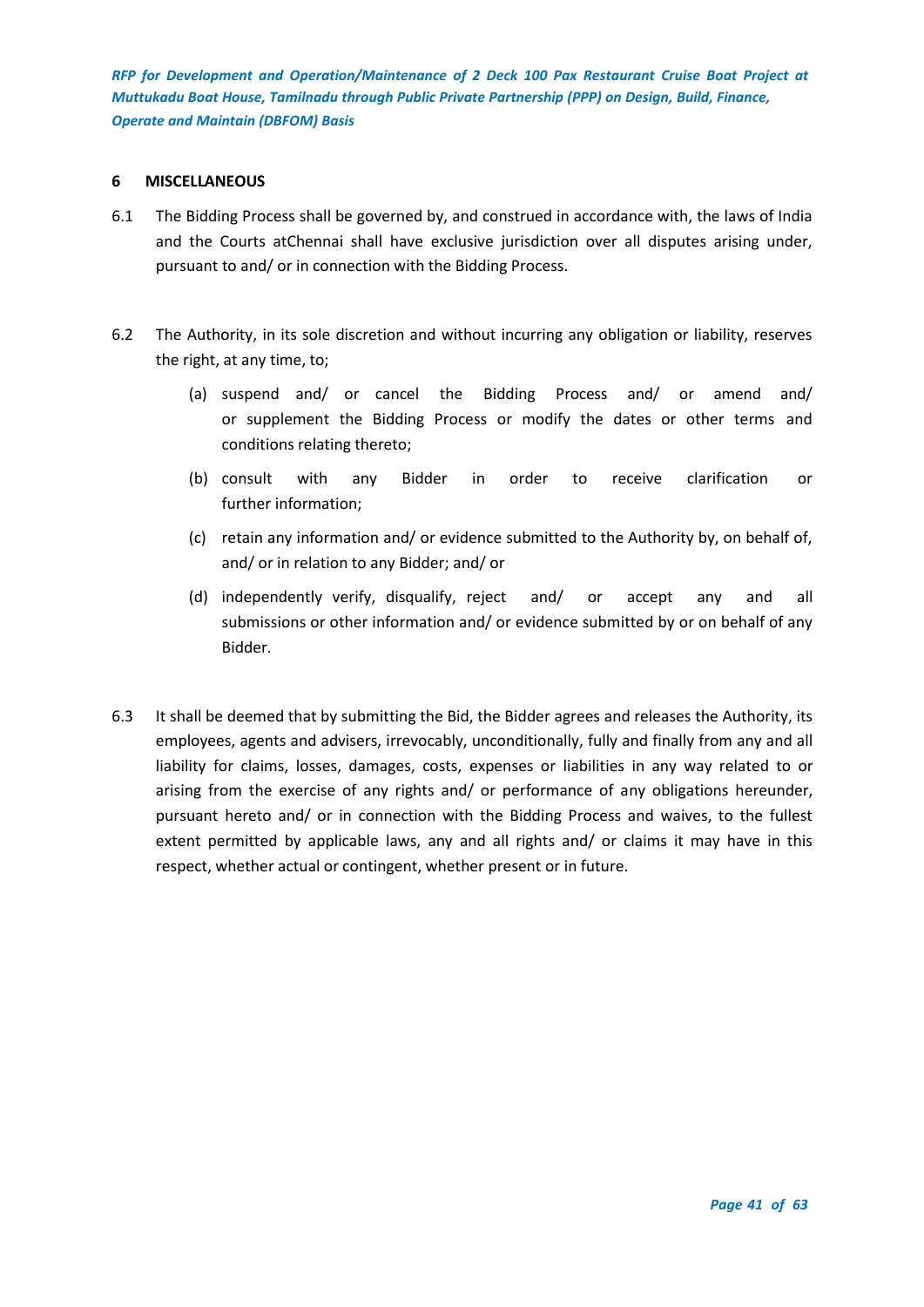#### <span id="page-40-0"></span>**6 MISCELLANEOUS**

- 6.1 The Bidding Process shall be governed by, and construed in accordance with, the laws of India and the Courts atChennai shall have exclusive jurisdiction over all disputes arising under, pursuant to and/ or in connection with the Bidding Process.
- 6.2 The Authority, in its sole discretion and without incurring any obligation or liability, reserves the right, at any time, to;
	- (a) suspend and/ or cancel the Bidding Process and/ or amend and/ or supplement the Bidding Process or modify the dates or other terms and conditions relating thereto;
	- (b) consult with any Bidder in order to receive clarification or further information;
	- (c) retain any information and/ or evidence submitted to the Authority by, on behalf of, and/ or in relation to any Bidder; and/ or
	- (d) independently verify, disqualify, reject and/ or accept any and all submissions or other information and/ or evidence submitted by or on behalf of any Bidder.
- 6.3 It shall be deemed that by submitting the Bid, the Bidder agrees and releases the Authority, its employees, agents and advisers, irrevocably, unconditionally, fully and finally from any and all liability for claims, losses, damages, costs, expenses or liabilities in any way related to or arising from the exercise of any rights and/ or performance of any obligations hereunder, pursuant hereto and/ or in connection with the Bidding Process and waives, to the fullest extent permitted by applicable laws, any and all rights and/ or claims it may have in this respect, whether actual or contingent, whether present or in future.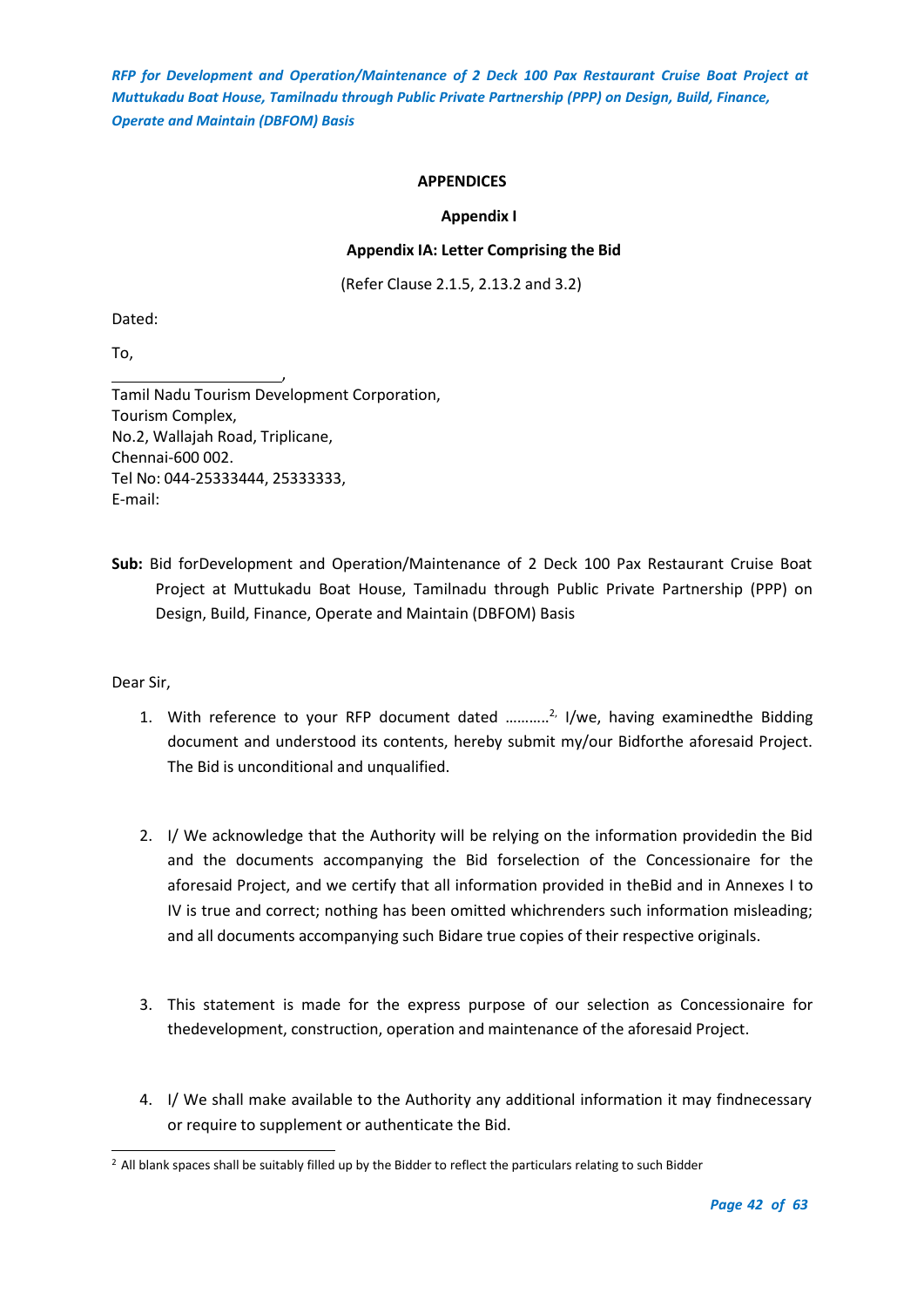## **APPENDICES**

## **Appendix I**

## **Appendix IA: Letter Comprising the Bid**

(Refer Clause 2.1.5, 2.13.2 and 3.2)

<span id="page-41-2"></span><span id="page-41-1"></span><span id="page-41-0"></span>Dated:

To,

, Tamil Nadu Tourism Development Corporation, Tourism Complex, No.2, Wallajah Road, Triplicane, Chennai-600 002. Tel No: 044-25333444, 25333333, E-mail:

**Sub:** Bid forDevelopment and Operation/Maintenance of 2 Deck 100 Pax Restaurant Cruise Boat Project at Muttukadu Boat House, Tamilnadu through Public Private Partnership (PPP) on Design, Build, Finance, Operate and Maintain (DBFOM) Basis

Dear Sir,

- 1. With reference to your RFP document dated ...........<sup>2,</sup> I/we, having examinedthe Bidding document and understood its contents, hereby submit my/our Bidforthe aforesaid Project. The Bid is unconditional and unqualified.
- 2. I/ We acknowledge that the Authority will be relying on the information providedin the Bid and the documents accompanying the Bid forselection of the Concessionaire for the aforesaid Project, and we certify that all information provided in theBid and in Annexes I to IV is true and correct; nothing has been omitted whichrenders such information misleading; and all documents accompanying such Bidare true copies of their respective originals.
- 3. This statement is made for the express purpose of our selection as Concessionaire for thedevelopment, construction, operation and maintenance of the aforesaid Project.
- 4. I/ We shall make available to the Authority any additional information it may findnecessary or require to supplement or authenticate the Bid.

<sup>&</sup>lt;sup>2</sup> All blank spaces shall be suitably filled up by the Bidder to reflect the particulars relating to such Bidder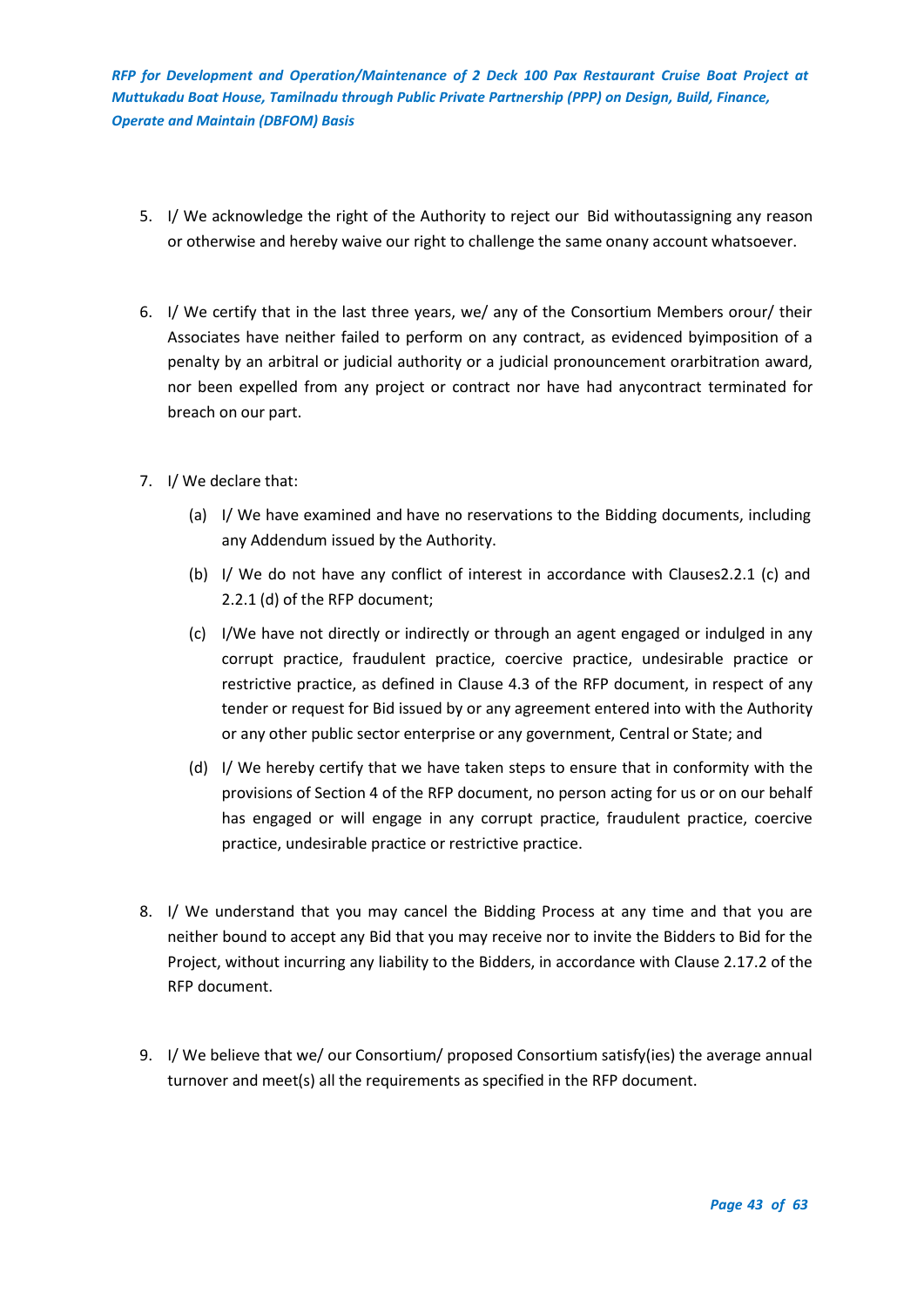- 5. I/ We acknowledge the right of the Authority to reject our Bid withoutassigning any reason or otherwise and hereby waive our right to challenge the same onany account whatsoever.
- 6. I/ We certify that in the last three years, we/ any of the Consortium Members orour/ their Associates have neither failed to perform on any contract, as evidenced byimposition of a penalty by an arbitral or judicial authority or a judicial pronouncement orarbitration award, nor been expelled from any project or contract nor have had anycontract terminated for breach on our part.
- 7. I/ We declare that:
	- (a) I/ We have examined and have no reservations to the Bidding documents, including any Addendum issued by the Authority.
	- (b) I/ We do not have any conflict of interest in accordance with Clauses2.2.1 (c) and 2.2.1 (d) of the RFP document;
	- (c) I/We have not directly or indirectly or through an agent engaged or indulged in any corrupt practice, fraudulent practice, coercive practice, undesirable practice or restrictive practice, as defined in Clause 4.3 of the RFP document, in respect of any tender or request for Bid issued by or any agreement entered into with the Authority or any other public sector enterprise or any government, Central or State; and
	- (d) I/ We hereby certify that we have taken steps to ensure that in conformity with the provisions of Section 4 of the RFP document, no person acting for us or on our behalf has engaged or will engage in any corrupt practice, fraudulent practice, coercive practice, undesirable practice or restrictive practice.
- 8. I/ We understand that you may cancel the Bidding Process at any time and that you are neither bound to accept any Bid that you may receive nor to invite the Bidders to Bid for the Project, without incurring any liability to the Bidders, in accordance with Clause 2.17.2 of the RFP document.
- 9. I/ We believe that we/ our Consortium/ proposed Consortium satisfy(ies) the average annual turnover and meet(s) all the requirements as specified in the RFP document.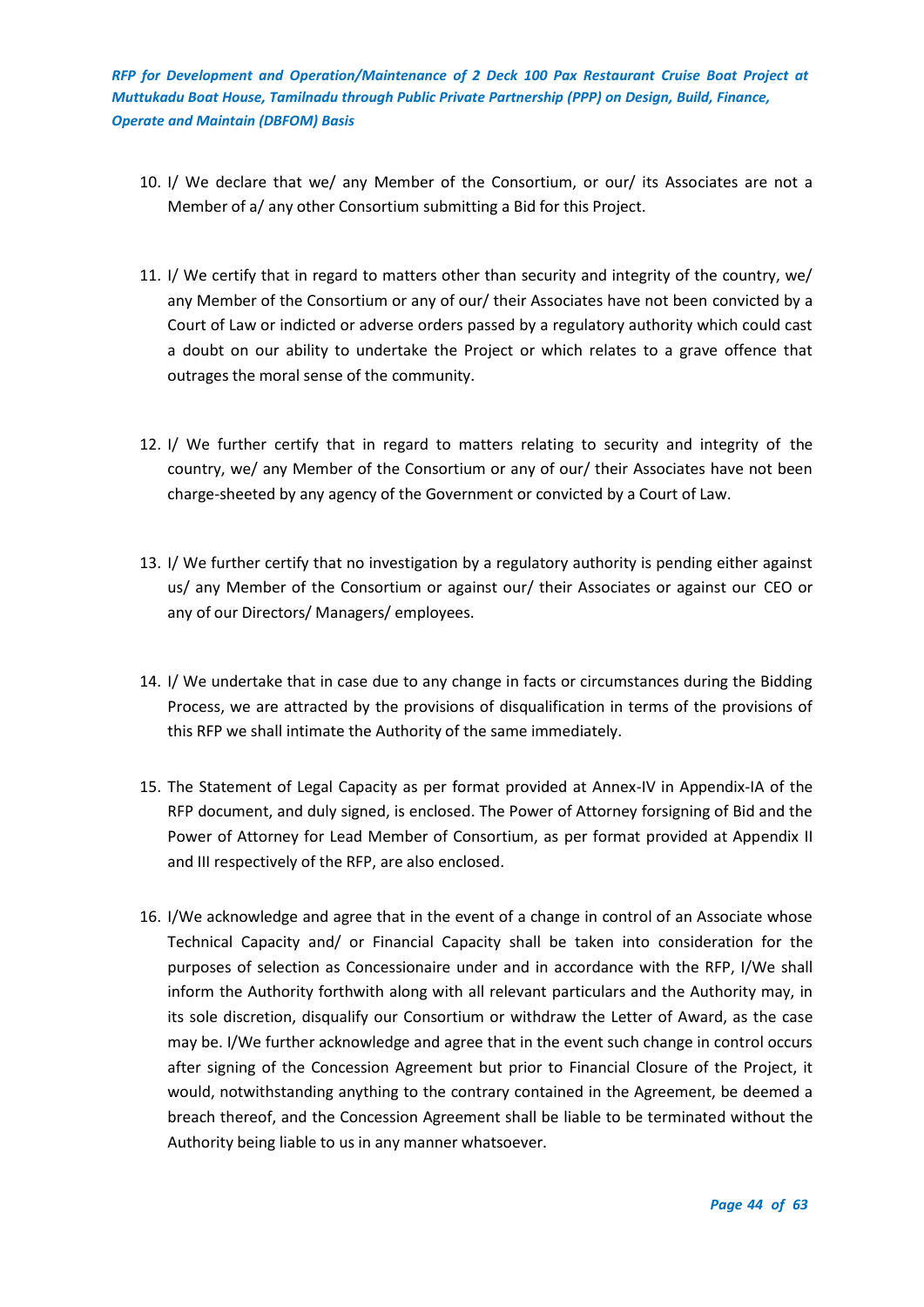- 10. I/ We declare that we/ any Member of the Consortium, or our/ its Associates are not a Member of a/ any other Consortium submitting a Bid for this Project.
- 11. I/ We certify that in regard to matters other than security and integrity of the country, we/ any Member of the Consortium or any of our/ their Associates have not been convicted by a Court of Law or indicted or adverse orders passed by a regulatory authority which could cast a doubt on our ability to undertake the Project or which relates to a grave offence that outrages the moral sense of the community.
- 12. I/ We further certify that in regard to matters relating to security and integrity of the country, we/ any Member of the Consortium or any of our/ their Associates have not been charge-sheeted by any agency of the Government or convicted by a Court of Law.
- 13. I/ We further certify that no investigation by a regulatory authority is pending either against us/ any Member of the Consortium or against our/ their Associates or against our CEO or any of our Directors/ Managers/ employees.
- 14. I/ We undertake that in case due to any change in facts or circumstances during the Bidding Process, we are attracted by the provisions of disqualification in terms of the provisions of this RFP we shall intimate the Authority of the same immediately.
- 15. The Statement of Legal Capacity as per format provided at Annex-IV in Appendix-IA of the RFP document, and duly signed, is enclosed. The Power of Attorney forsigning of Bid and the Power of Attorney for Lead Member of Consortium, as per format provided at Appendix II and III respectively of the RFP, are also enclosed.
- 16. I/We acknowledge and agree that in the event of a change in control of an Associate whose Technical Capacity and/ or Financial Capacity shall be taken into consideration for the purposes of selection as Concessionaire under and in accordance with the RFP, I/We shall inform the Authority forthwith along with all relevant particulars and the Authority may, in its sole discretion, disqualify our Consortium or withdraw the Letter of Award, as the case may be. I/We further acknowledge and agree that in the event such change in control occurs after signing of the Concession Agreement but prior to Financial Closure of the Project, it would, notwithstanding anything to the contrary contained in the Agreement, be deemed a breach thereof, and the Concession Agreement shall be liable to be terminated without the Authority being liable to us in any manner whatsoever.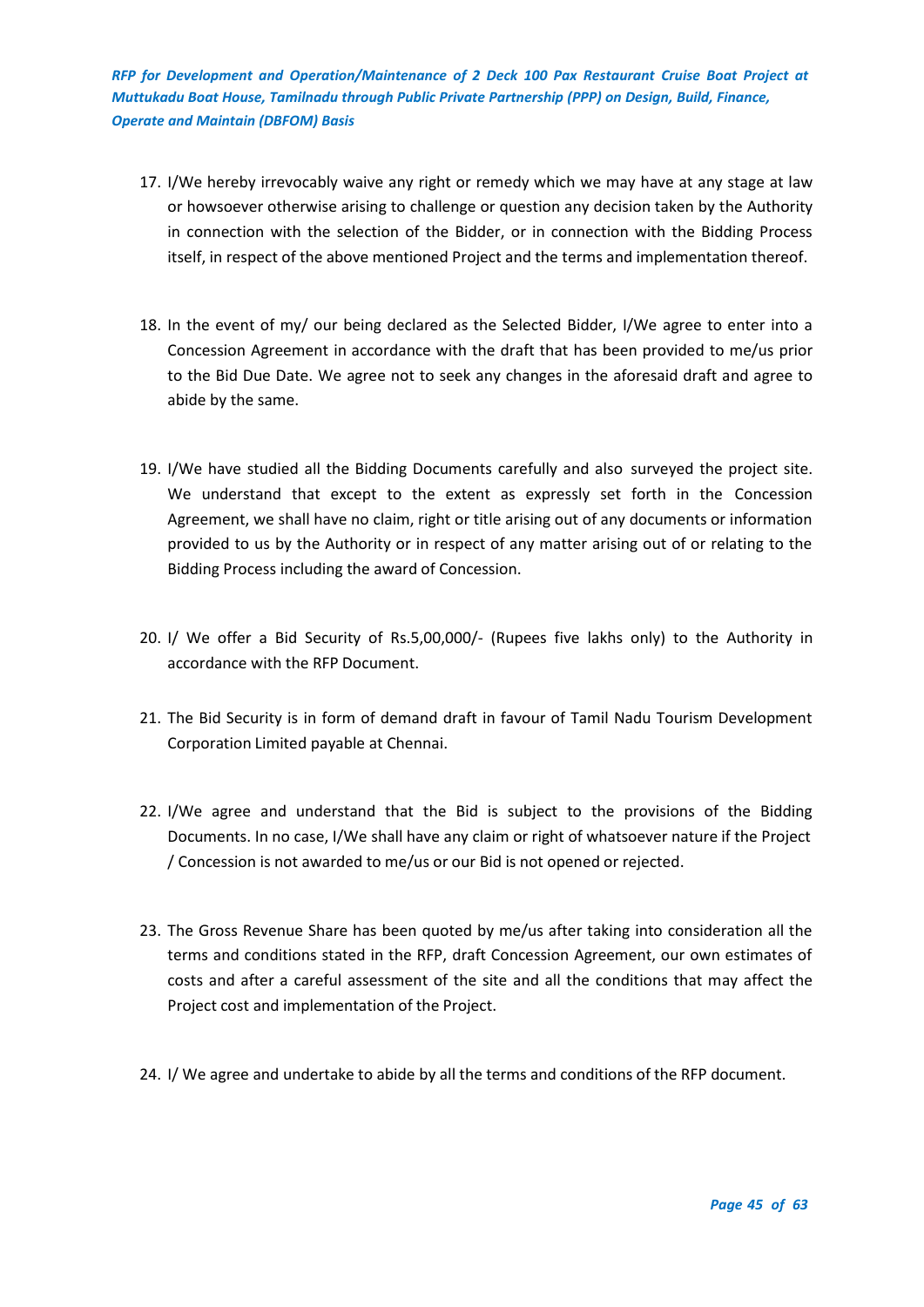- 17. I/We hereby irrevocably waive any right or remedy which we may have at any stage at law or howsoever otherwise arising to challenge or question any decision taken by the Authority in connection with the selection of the Bidder, or in connection with the Bidding Process itself, in respect of the above mentioned Project and the terms and implementation thereof.
- 18. In the event of my/ our being declared as the Selected Bidder, I/We agree to enter into a Concession Agreement in accordance with the draft that has been provided to me/us prior to the Bid Due Date. We agree not to seek any changes in the aforesaid draft and agree to abide by the same.
- 19. I/We have studied all the Bidding Documents carefully and also surveyed the project site. We understand that except to the extent as expressly set forth in the Concession Agreement, we shall have no claim, right or title arising out of any documents or information provided to us by the Authority or in respect of any matter arising out of or relating to the Bidding Process including the award of Concession.
- 20. I/ We offer a Bid Security of Rs.5,00,000/- (Rupees five lakhs only) to the Authority in accordance with the RFP Document.
- 21. The Bid Security is in form of demand draft in favour of Tamil Nadu Tourism Development Corporation Limited payable at Chennai.
- 22. I/We agree and understand that the Bid is subject to the provisions of the Bidding Documents. In no case, I/We shall have any claim or right of whatsoever nature if the Project / Concession is not awarded to me/us or our Bid is not opened or rejected.
- 23. The Gross Revenue Share has been quoted by me/us after taking into consideration all the terms and conditions stated in the RFP, draft Concession Agreement, our own estimates of costs and after a careful assessment of the site and all the conditions that may affect the Project cost and implementation of the Project.
- 24. I/ We agree and undertake to abide by all the terms and conditions of the RFP document.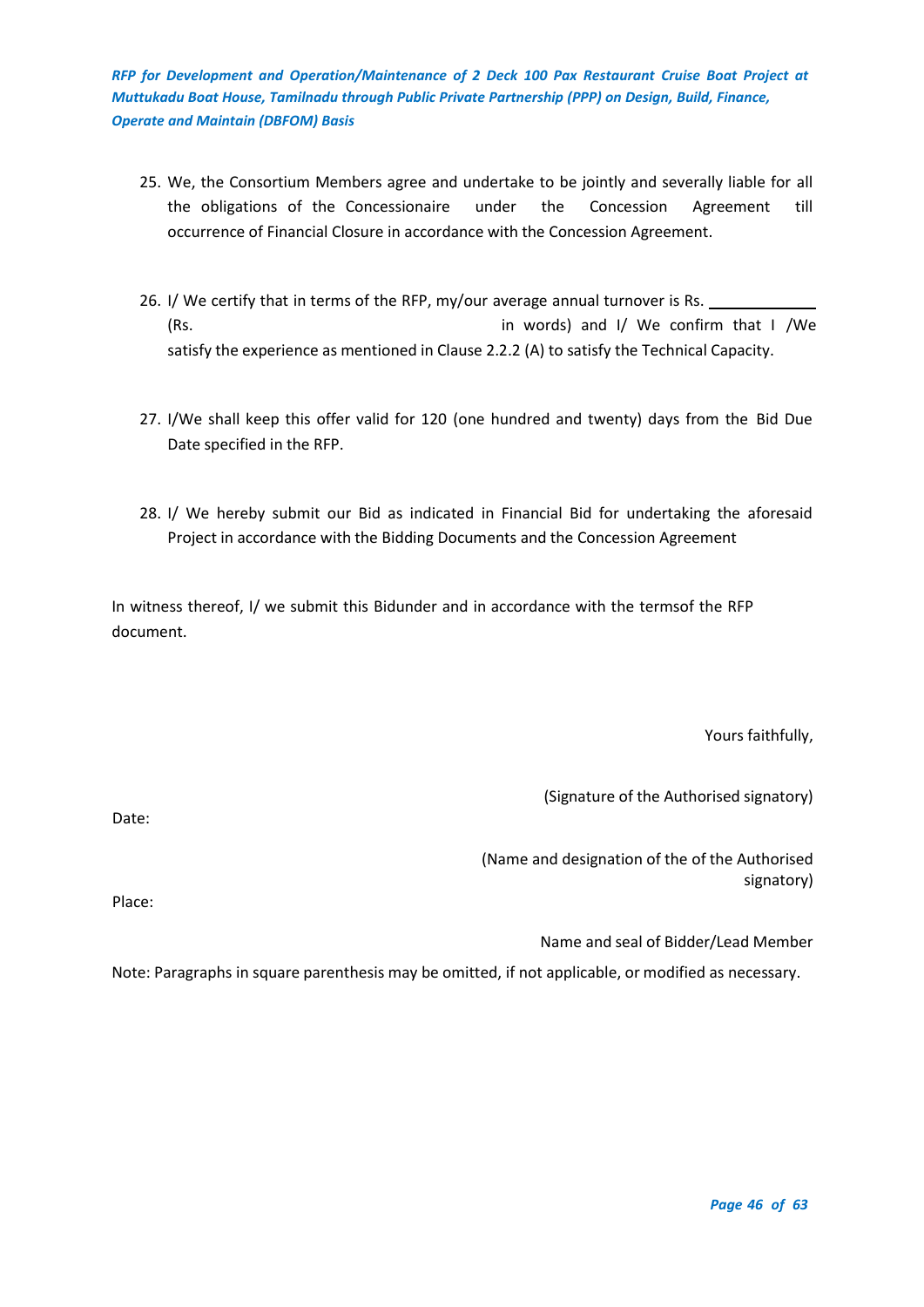- 25. We, the Consortium Members agree and undertake to be jointly and severally liable for all the obligations of the Concessionaire under the Concession Agreement till occurrence of Financial Closure in accordance with the Concession Agreement.
- 26. I/ We certify that in terms of the RFP, my/our average annual turnover is Rs. (Rs. in words) and I/ We confirm that I /We satisfy the experience as mentioned in Clause 2.2.2 (A) to satisfy the Technical Capacity.
- 27. I/We shall keep this offer valid for 120 (one hundred and twenty) days from the Bid Due Date specified in the RFP.
- 28. I/ We hereby submit our Bid as indicated in Financial Bid for undertaking the aforesaid Project in accordance with the Bidding Documents and the Concession Agreement

In witness thereof, I/ we submit this Bidunder and in accordance with the termsof the RFP document.

Yours faithfully,

(Signature of the Authorised signatory)

Date:

(Name and designation of the of the Authorised signatory)

Place:

Name and seal of Bidder/Lead Member

Note: Paragraphs in square parenthesis may be omitted, if not applicable, or modified as necessary.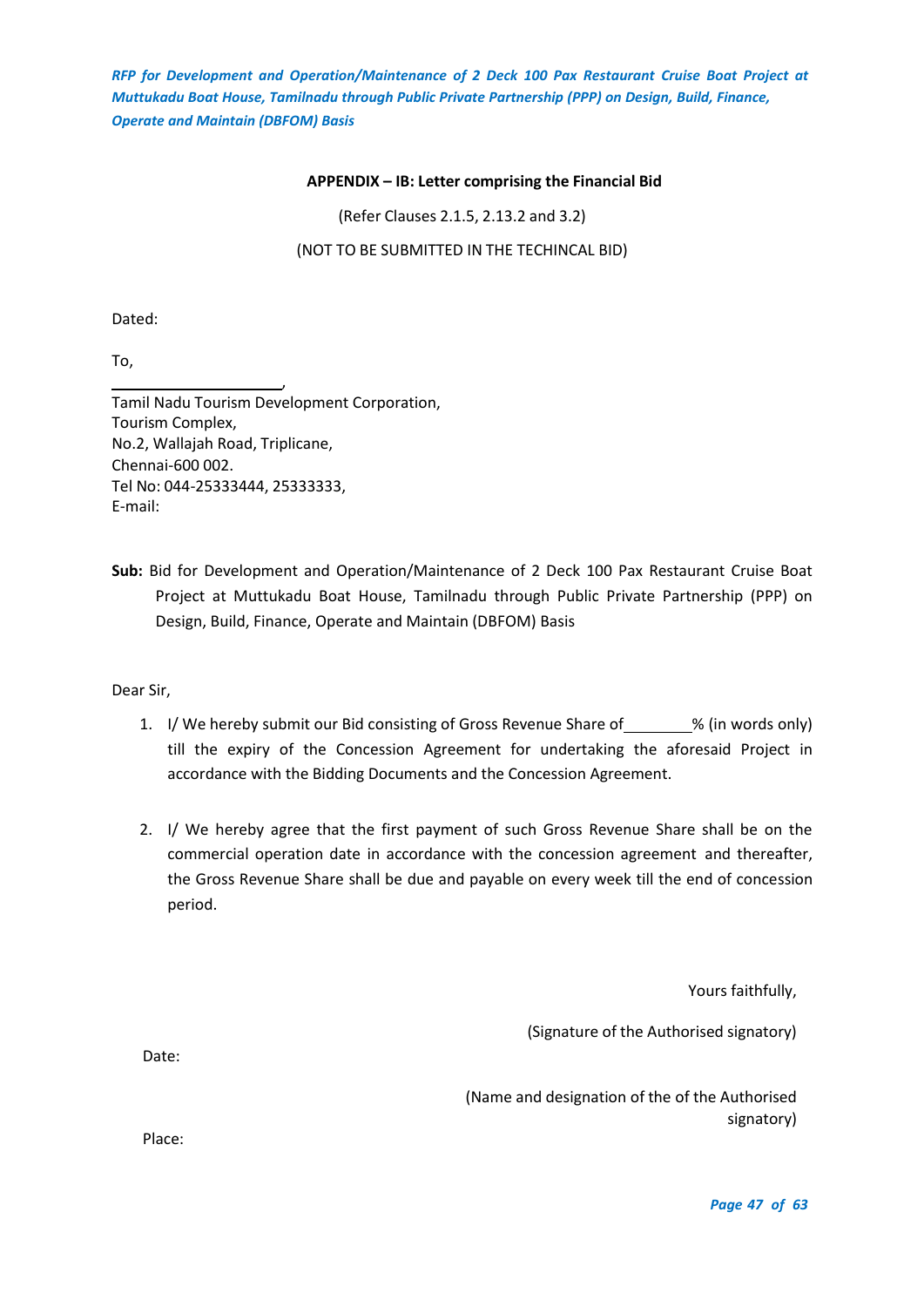#### **APPENDIX – IB: Letter comprising the Financial Bid**

(Refer Clauses 2.1.5, 2.13.2 and 3.2)

(NOT TO BE SUBMITTED IN THE TECHINCAL BID)

<span id="page-46-0"></span>Dated:

To,

, Tamil Nadu Tourism Development Corporation, Tourism Complex, No.2, Wallajah Road, Triplicane, Chennai-600 002. Tel No: 044-25333444, 25333333, E-mail:

**Sub:** Bid for Development and Operation/Maintenance of 2 Deck 100 Pax Restaurant Cruise Boat Project at Muttukadu Boat House, Tamilnadu through Public Private Partnership (PPP) on Design, Build, Finance, Operate and Maintain (DBFOM) Basis

Dear Sir,

- 1. I/ We hereby submit our Bid consisting of Gross Revenue Share of \_\_\_\_\_\_\_% (in words only) till the expiry of the Concession Agreement for undertaking the aforesaid Project in accordance with the Bidding Documents and the Concession Agreement.
- 2. I/ We hereby agree that the first payment of such Gross Revenue Share shall be on the commercial operation date in accordance with the concession agreement and thereafter, the Gross Revenue Share shall be due and payable on every week till the end of concession period.

Yours faithfully,

(Signature of the Authorised signatory)

Date:

(Name and designation of the of the Authorised signatory)

Place: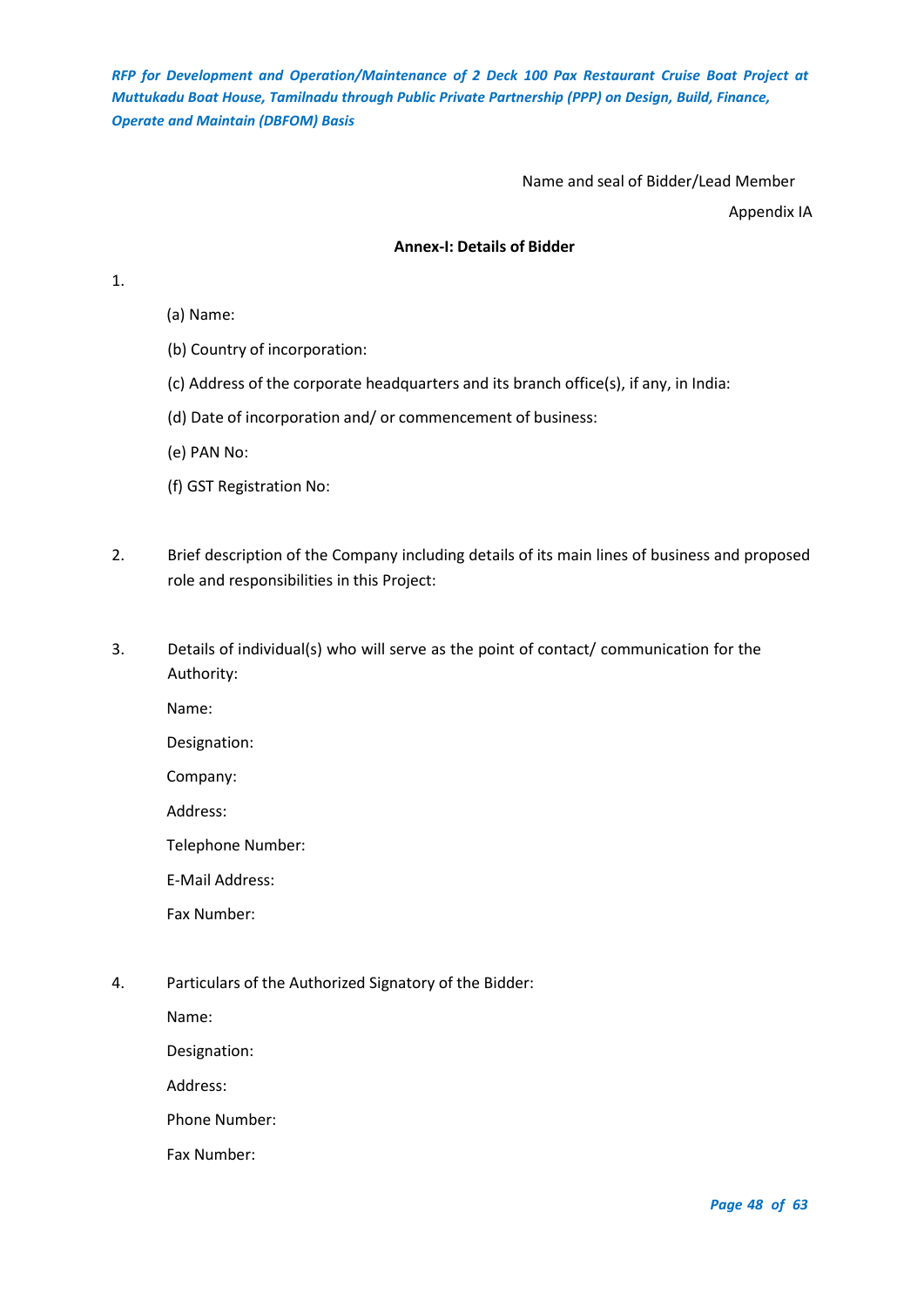## Name and seal of Bidder/Lead Member

Appendix IA

## **Annex-I: Details of Bidder**

<span id="page-47-0"></span>1.

- (a) Name:
- (b) Country of incorporation:
- (c) Address of the corporate headquarters and its branch office(s), if any, in India:
- (d) Date of incorporation and/ or commencement of business:
- (e) PAN No:
- (f) GST Registration No:
- 2. Brief description of the Company including details of its main lines of business and proposed role and responsibilities in this Project:
- 3. Details of individual(s) who will serve as the point of contact/ communication for the Authority:

Name:

Designation:

Company:

Address:

Telephone Number:

E-Mail Address:

Fax Number:

4. Particulars of the Authorized Signatory of the Bidder:

Name:

Designation:

Address:

Phone Number:

Fax Number: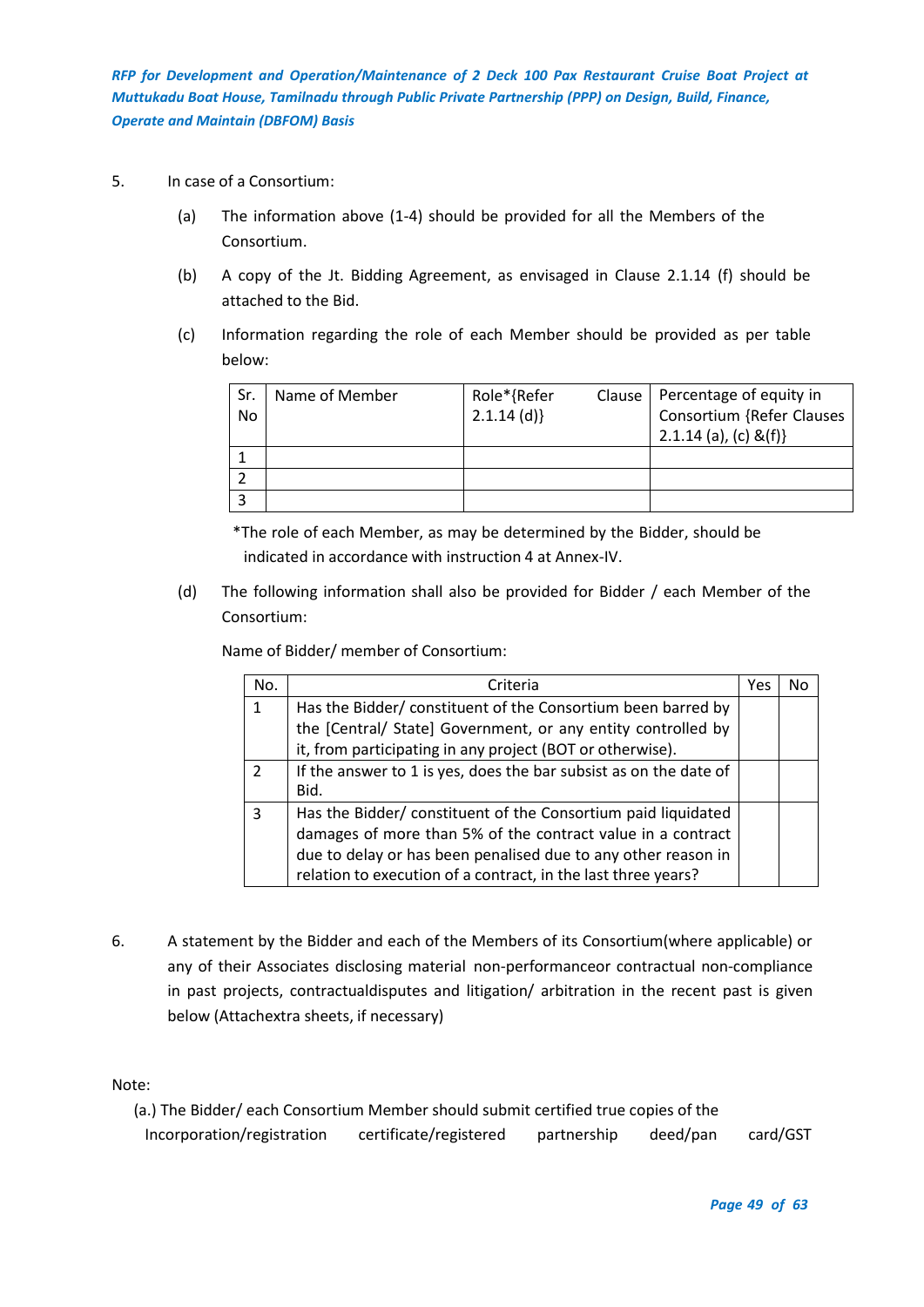- 5. In case of a Consortium:
	- (a) The information above (1-4) should be provided for all the Members of the Consortium.
	- (b) A copy of the Jt. Bidding Agreement, as envisaged in Clause 2.1.14 (f) should be attached to the Bid.
	- (c) Information regarding the role of each Member should be provided as per table below:

| Sr.<br>No. | Name of Member | Role*{Refer<br>$2.1.14$ (d)} | Clause | Percentage of equity in<br>Consortium {Refer Clauses<br>2.1.14 (a), (c) &(f)} |
|------------|----------------|------------------------------|--------|-------------------------------------------------------------------------------|
|            |                |                              |        |                                                                               |
|            |                |                              |        |                                                                               |
|            |                |                              |        |                                                                               |

\*The role of each Member, as may be determined by the Bidder, should be indicated in accordance with instruction 4 at Annex-IV.

(d) The following information shall also be provided for Bidder / each Member of the Consortium:

| Name of Bidder/ member of Consortium: |  |
|---------------------------------------|--|
|                                       |  |

| No.           | Criteria                                                          | Yes |  |
|---------------|-------------------------------------------------------------------|-----|--|
| $\mathbf{1}$  | Has the Bidder/ constituent of the Consortium been barred by      |     |  |
|               | the [Central/ State] Government, or any entity controlled by      |     |  |
|               | it, from participating in any project (BOT or otherwise).         |     |  |
| $\mathcal{L}$ | If the answer to 1 is yes, does the bar subsist as on the date of |     |  |
|               | Bid.                                                              |     |  |
| 3             | Has the Bidder/constituent of the Consortium paid liquidated      |     |  |
|               | damages of more than 5% of the contract value in a contract       |     |  |
|               | due to delay or has been penalised due to any other reason in     |     |  |
|               | relation to execution of a contract, in the last three years?     |     |  |

6. A statement by the Bidder and each of the Members of its Consortium(where applicable) or any of their Associates disclosing material non-performanceor contractual non-compliance in past projects, contractualdisputes and litigation/ arbitration in the recent past is given below (Attachextra sheets, if necessary)

Note:

(a.) The Bidder/ each Consortium Member should submit certified true copies of the Incorporation/registration certificate/registered partnership deed/pan card/GST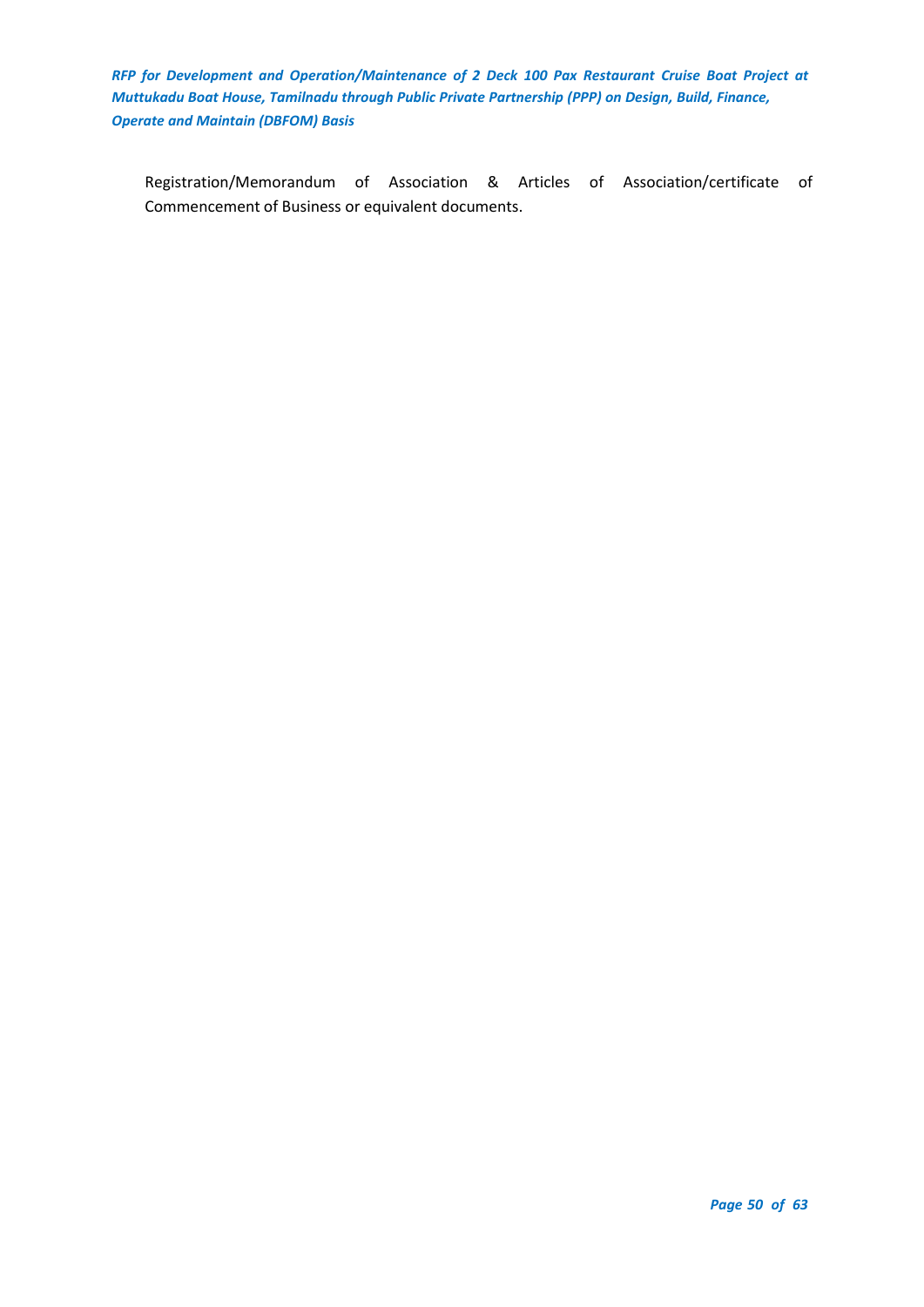Registration/Memorandum of Association & Articles of Association/certificate of Commencement of Business or equivalent documents.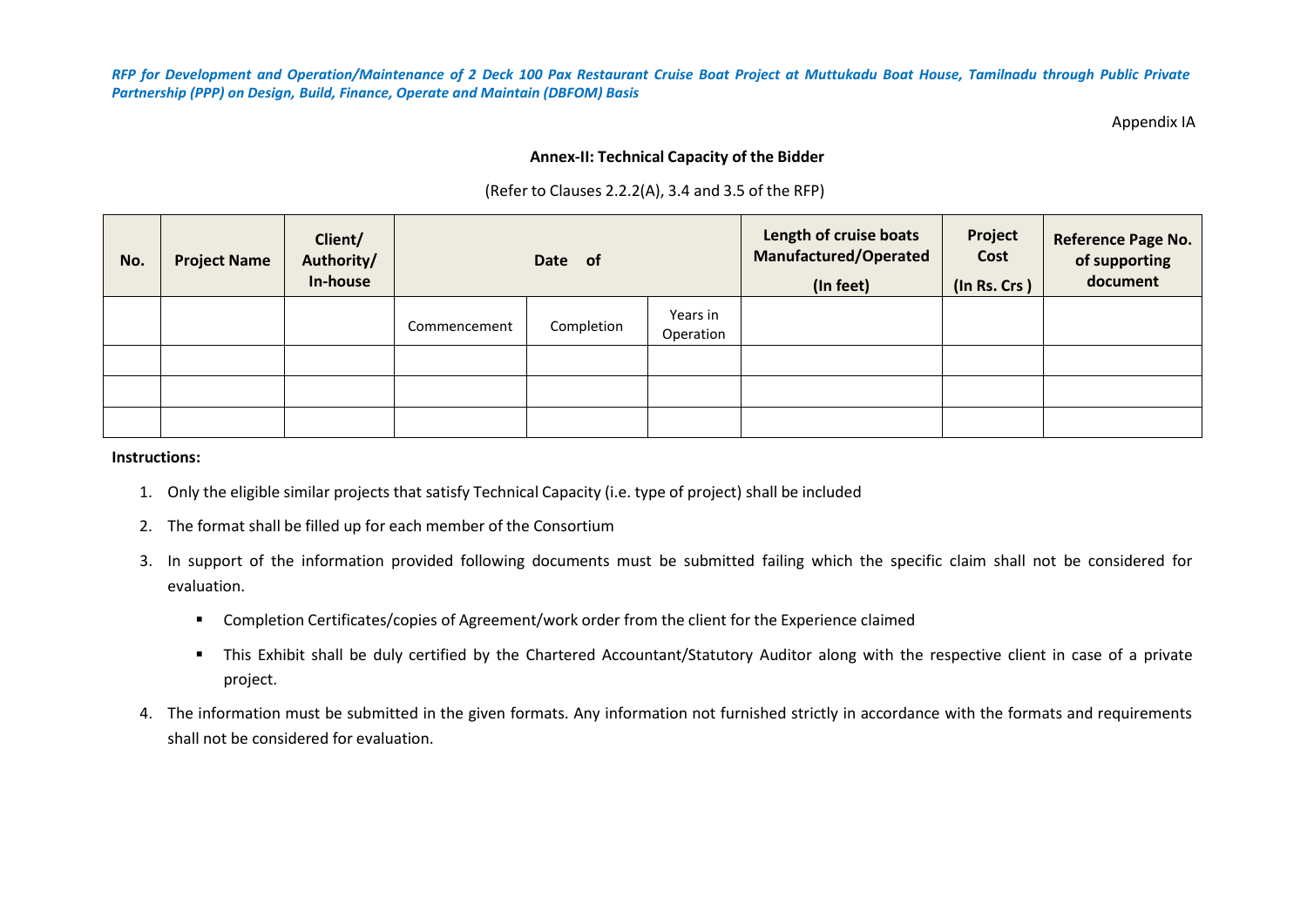Appendix IA

## **Annex-II: Technical Capacity of the Bidder**

|  |  |  | (Refer to Clauses 2.2.2(A), 3.4 and 3.5 of the RFP) |  |  |
|--|--|--|-----------------------------------------------------|--|--|
|--|--|--|-----------------------------------------------------|--|--|

| No. | <b>Project Name</b> | Client/<br>Authority/<br>In-house | Date of      |            |                       | Length of cruise boats<br><b>Manufactured/Operated</b><br>(In feet) | Project<br>Cost<br>(In Rs. Crs) | Reference Page No.<br>of supporting<br>document |
|-----|---------------------|-----------------------------------|--------------|------------|-----------------------|---------------------------------------------------------------------|---------------------------------|-------------------------------------------------|
|     |                     |                                   | Commencement | Completion | Years in<br>Operation |                                                                     |                                 |                                                 |
|     |                     |                                   |              |            |                       |                                                                     |                                 |                                                 |
|     |                     |                                   |              |            |                       |                                                                     |                                 |                                                 |
|     |                     |                                   |              |            |                       |                                                                     |                                 |                                                 |

#### **Instructions:**

- 1. Only the eligible similar projects that satisfy Technical Capacity (i.e. type of project) shall be included
- <span id="page-50-0"></span>2. The format shall be filled up for each member of the Consortium
- 3. In support of the information provided following documents must be submitted failing which the specific claim shall not be considered for evaluation.
	- Completion Certificates/copies of Agreement/work order from the client for the Experience claimed
	- This Exhibit shall be duly certified by the Chartered Accountant/Statutory Auditor along with the respective client in case of a private project.
- 4. The information must be submitted in the given formats. Any information not furnished strictly in accordance with the formats and requirements shall not be considered for evaluation.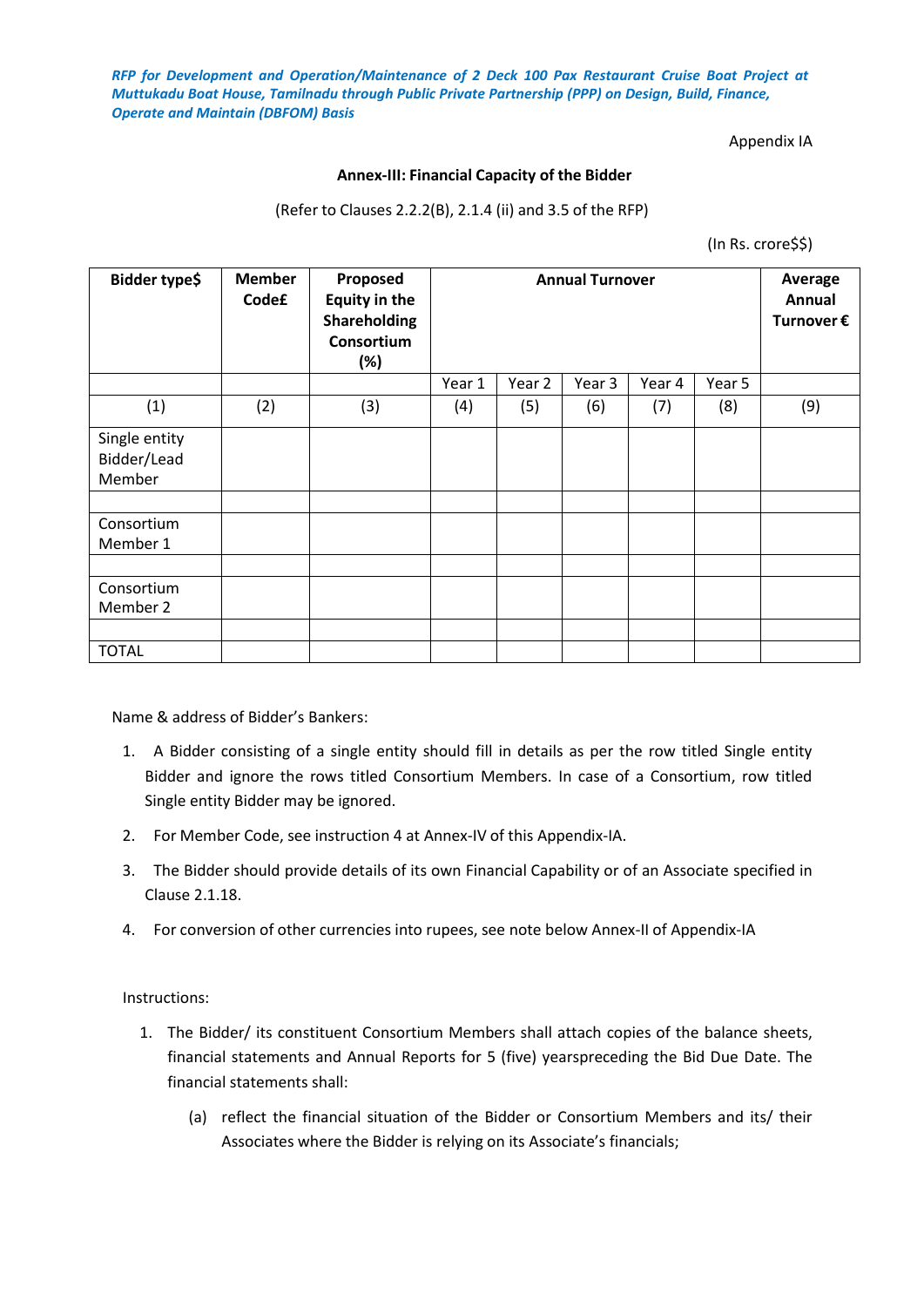## Appendix IA

## **Annex-III: Financial Capacity of the Bidder**

(Refer to Clauses 2.2.2(B), 2.1.4 (ii) and 3.5 of the RFP)

(In Rs. crore\$\$)

<span id="page-51-0"></span>

| Bidder type\$                          | <b>Member</b><br>Code£ | Proposed<br><b>Equity in the</b><br>Shareholding<br>Consortium<br>$(\%)$ | <b>Annual Turnover</b> |        |        |        | Average<br>Annual<br>Turnover $\epsilon$ |     |
|----------------------------------------|------------------------|--------------------------------------------------------------------------|------------------------|--------|--------|--------|------------------------------------------|-----|
|                                        |                        |                                                                          | Year 1                 | Year 2 | Year 3 | Year 4 | Year 5                                   |     |
| (1)                                    | (2)                    | (3)                                                                      | (4)                    | (5)    | (6)    | (7)    | (8)                                      | (9) |
| Single entity<br>Bidder/Lead<br>Member |                        |                                                                          |                        |        |        |        |                                          |     |
|                                        |                        |                                                                          |                        |        |        |        |                                          |     |
| Consortium<br>Member 1                 |                        |                                                                          |                        |        |        |        |                                          |     |
|                                        |                        |                                                                          |                        |        |        |        |                                          |     |
| Consortium<br>Member 2                 |                        |                                                                          |                        |        |        |        |                                          |     |
|                                        |                        |                                                                          |                        |        |        |        |                                          |     |
| <b>TOTAL</b>                           |                        |                                                                          |                        |        |        |        |                                          |     |

Name & address of Bidder's Bankers:

- 1. A Bidder consisting of a single entity should fill in details as per the row titled Single entity Bidder and ignore the rows titled Consortium Members. In case of a Consortium, row titled Single entity Bidder may be ignored.
- 2. For Member Code, see instruction 4 at Annex-IV of this Appendix-IA.
- 3. The Bidder should provide details of its own Financial Capability or of an Associate specified in Clause 2.1.18.
- 4. For conversion of other currencies into rupees, see note below Annex-II of Appendix-IA

Instructions:

- 1. The Bidder/ its constituent Consortium Members shall attach copies of the balance sheets, financial statements and Annual Reports for 5 (five) yearspreceding the Bid Due Date. The financial statements shall:
	- (a) reflect the financial situation of the Bidder or Consortium Members and its/ their Associates where the Bidder is relying on its Associate's financials;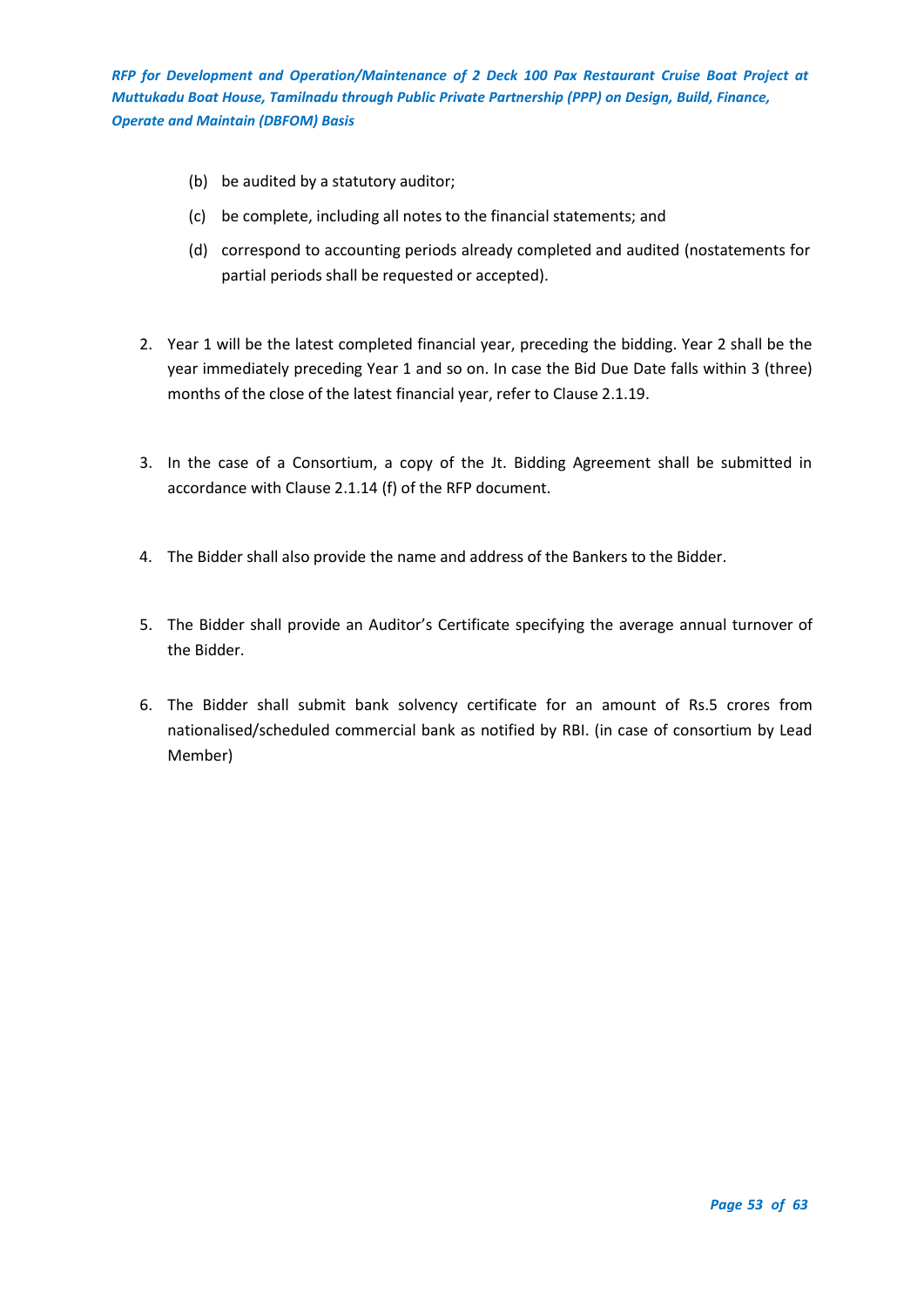- (b) be audited by a statutory auditor;
- (c) be complete, including all notes to the financial statements; and
- (d) correspond to accounting periods already completed and audited (nostatements for partial periods shall be requested or accepted).
- 2. Year 1 will be the latest completed financial year, preceding the bidding. Year 2 shall be the year immediately preceding Year 1 and so on. In case the Bid Due Date falls within 3 (three) months of the close of the latest financial year, refer to Clause 2.1.19.
- 3. In the case of a Consortium, a copy of the Jt. Bidding Agreement shall be submitted in accordance with Clause 2.1.14 (f) of the RFP document.
- 4. The Bidder shall also provide the name and address of the Bankers to the Bidder.
- 5. The Bidder shall provide an Auditor's Certificate specifying the average annual turnover of the Bidder.
- 6. The Bidder shall submit bank solvency certificate for an amount of Rs.5 crores from nationalised/scheduled commercial bank as notified by RBI. (in case of consortium by Lead Member)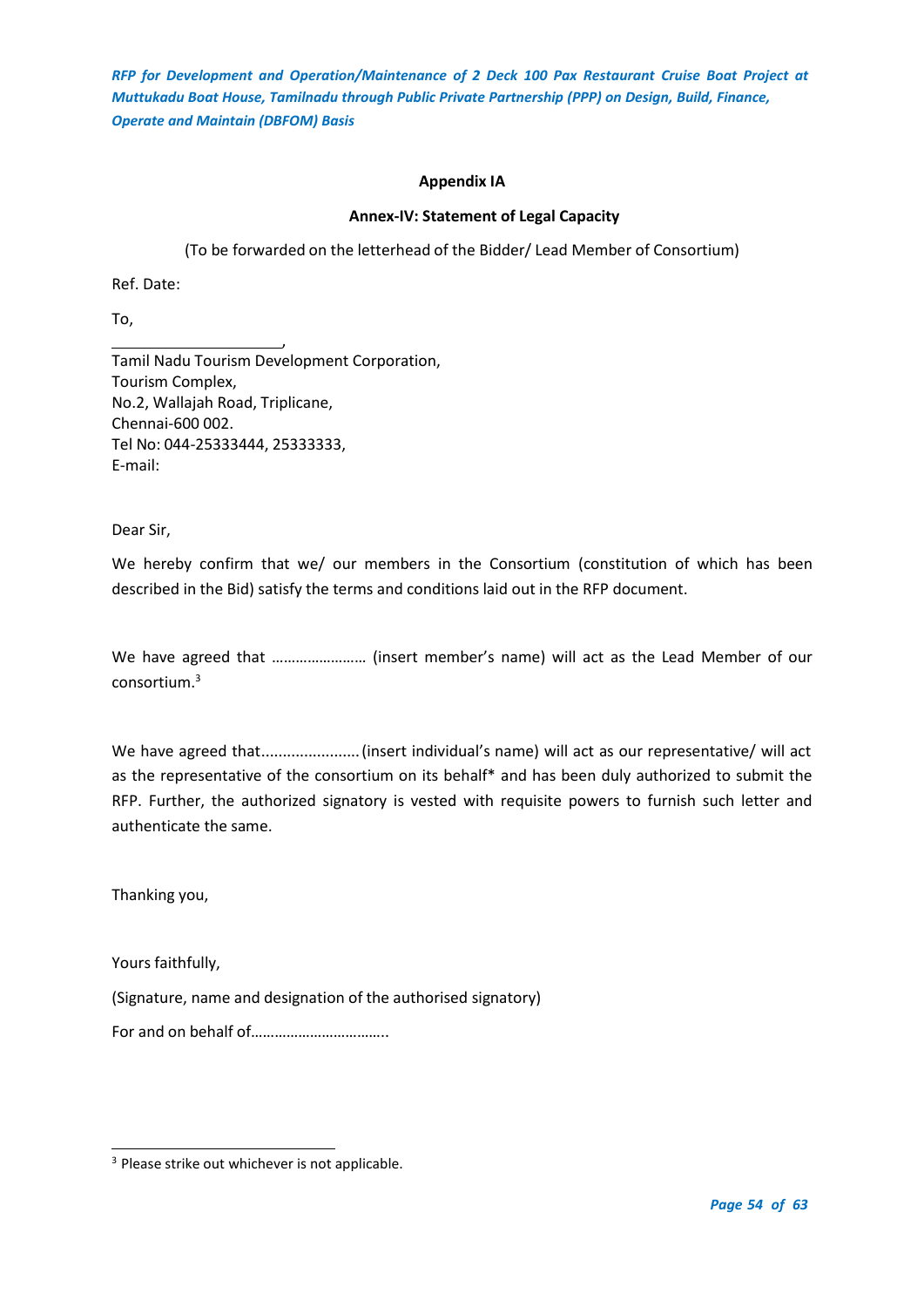## **Appendix IA**

## **Annex-IV: Statement of Legal Capacity**

(To be forwarded on the letterhead of the Bidder/ Lead Member of Consortium)

<span id="page-53-0"></span>Ref. Date:

To,

, Tamil Nadu Tourism Development Corporation, Tourism Complex, No.2, Wallajah Road, Triplicane, Chennai-600 002. Tel No: 044-25333444, 25333333, E-mail:

Dear Sir,

We hereby confirm that we/ our members in the Consortium (constitution of which has been described in the Bid) satisfy the terms and conditions laid out in the RFP document.

We have agreed that …………………… (insert member's name) will act as the Lead Member of our consortium.<sup>3</sup>

We have agreed that.......................(insert individual's name) will act as our representative/ will act as the representative of the consortium on its behalf\* and has been duly authorized to submit the RFP. Further, the authorized signatory is vested with requisite powers to furnish such letter and authenticate the same.

Thanking you,

Yours faithfully,

(Signature, name and designation of the authorised signatory)

For and on behalf of……………………………..

<sup>&</sup>lt;sup>3</sup> Please strike out whichever is not applicable.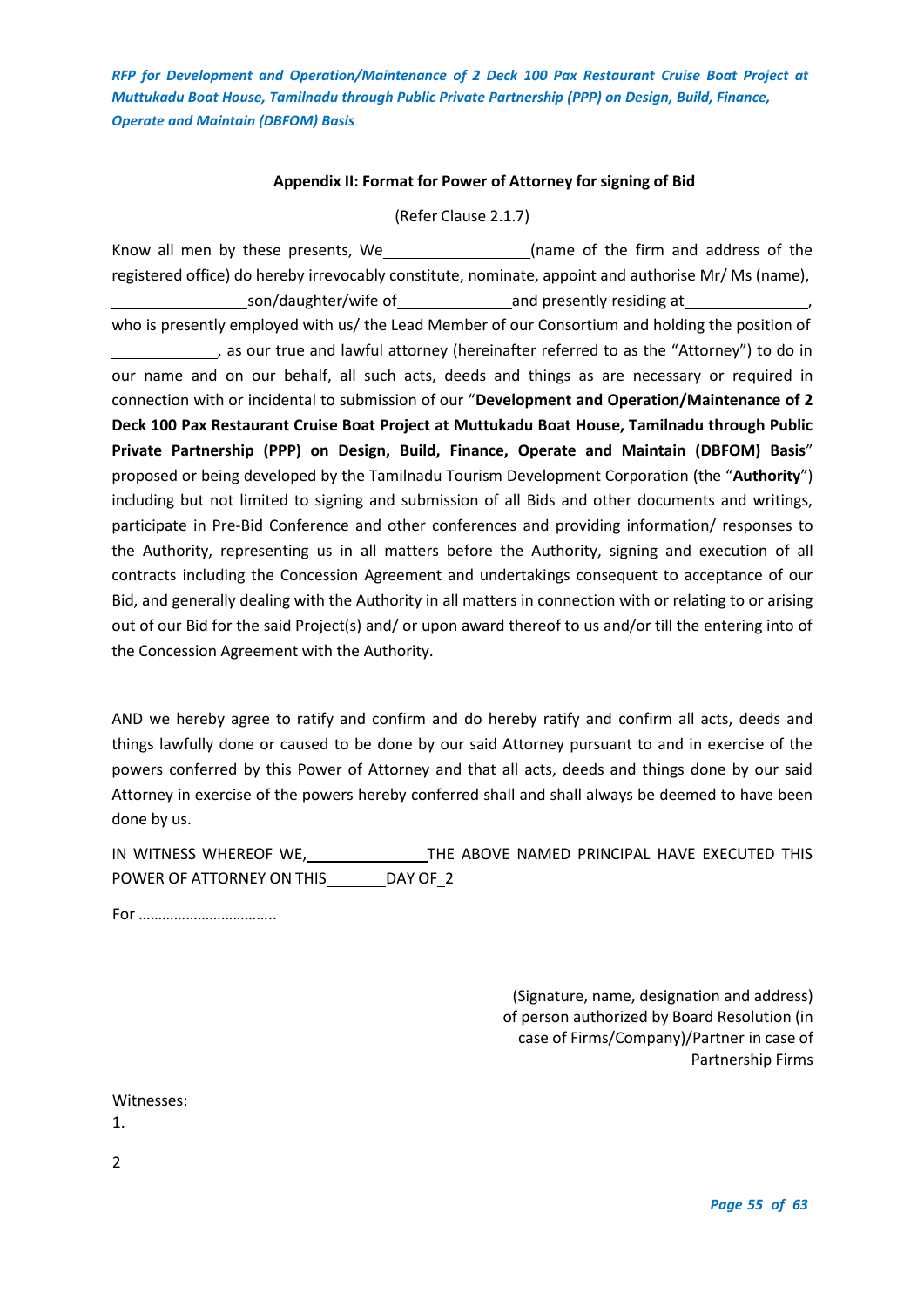## **Appendix II: Format for Power of Attorney for signing of Bid**

(Refer Clause 2.1.7)

<span id="page-54-0"></span>Know all men by these presents, We\_\_\_\_\_\_\_\_\_\_\_\_\_\_\_\_\_\_(name of the firm and address of the registered office) do hereby irrevocably constitute, nominate, appoint and authorise Mr/ Ms (name), son/daughter/wife of and presently residing at who is presently employed with us/ the Lead Member of our Consortium and holding the position of as our true and lawful attorney (hereinafter referred to as the "Attorney") to do in our name and on our behalf, all such acts, deeds and things as are necessary or required in connection with or incidental to submission of our "**Development and Operation/Maintenance of 2 Deck 100 Pax Restaurant Cruise Boat Project at Muttukadu Boat House, Tamilnadu through Public Private Partnership (PPP) on Design, Build, Finance, Operate and Maintain (DBFOM) Basis**" proposed or being developed by the Tamilnadu Tourism Development Corporation (the "**Authority**") including but not limited to signing and submission of all Bids and other documents and writings, participate in Pre-Bid Conference and other conferences and providing information/ responses to the Authority, representing us in all matters before the Authority, signing and execution of all contracts including the Concession Agreement and undertakings consequent to acceptance of our Bid, and generally dealing with the Authority in all matters in connection with or relating to or arising out of our Bid for the said Project(s) and/ or upon award thereof to us and/or till the entering into of the Concession Agreement with the Authority.

AND we hereby agree to ratify and confirm and do hereby ratify and confirm all acts, deeds and things lawfully done or caused to be done by our said Attorney pursuant to and in exercise of the powers conferred by this Power of Attorney and that all acts, deeds and things done by our said Attorney in exercise of the powers hereby conferred shall and shall always be deemed to have been done by us.

IN WITNESS WHEREOF WE, THE ABOVE NAMED PRINCIPAL HAVE EXECUTED THIS POWER OF ATTORNEY ON THIS DAY OF 2

For ……………………………..

(Signature, name, designation and address) of person authorized by Board Resolution (in case of Firms/Company)/Partner in case of Partnership Firms

Witnesses:

1.

2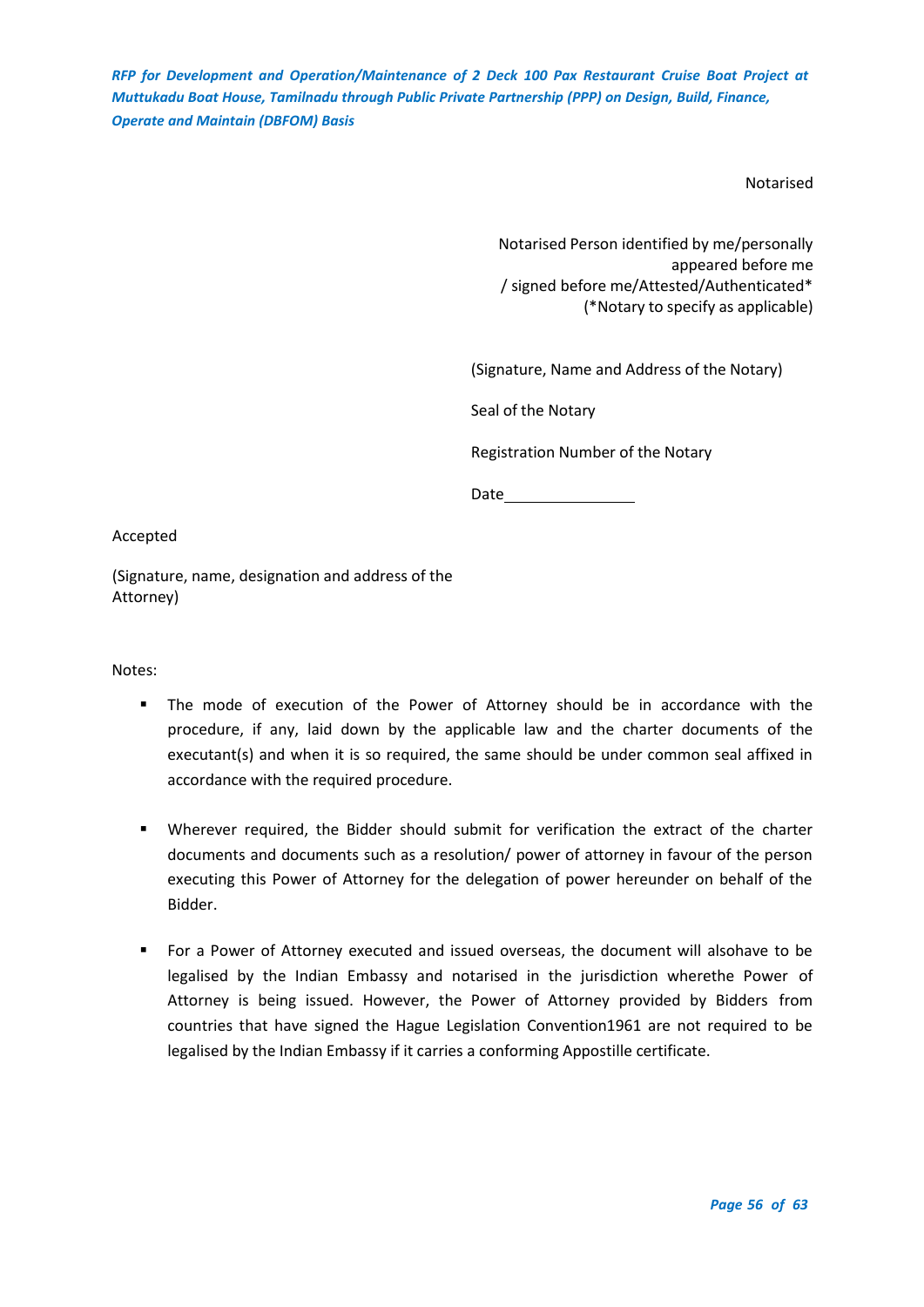Notarised

Notarised Person identified by me/personally appeared before me / signed before me/Attested/Authenticated\* (\*Notary to specify as applicable)

(Signature, Name and Address of the Notary)

Seal of the Notary

Registration Number of the Notary

Date and the state of the state of the state of the state of the state of the state of the state of the state of the state of the state of the state of the state of the state of the state of the state of the state of the s

Accepted

(Signature, name, designation and address of the Attorney)

Notes:

- The mode of execution of the Power of Attorney should be in accordance with the procedure, if any, laid down by the applicable law and the charter documents of the executant(s) and when it is so required, the same should be under common seal affixed in accordance with the required procedure.
- Wherever required, the Bidder should submit for verification the extract of the charter documents and documents such as a resolution/ power of attorney in favour of the person executing this Power of Attorney for the delegation of power hereunder on behalf of the Bidder.
- For a Power of Attorney executed and issued overseas, the document will alsohave to be legalised by the Indian Embassy and notarised in the jurisdiction wherethe Power of Attorney is being issued. However, the Power of Attorney provided by Bidders from countries that have signed the Hague Legislation Convention1961 are not required to be legalised by the Indian Embassy if it carries a conforming Appostille certificate.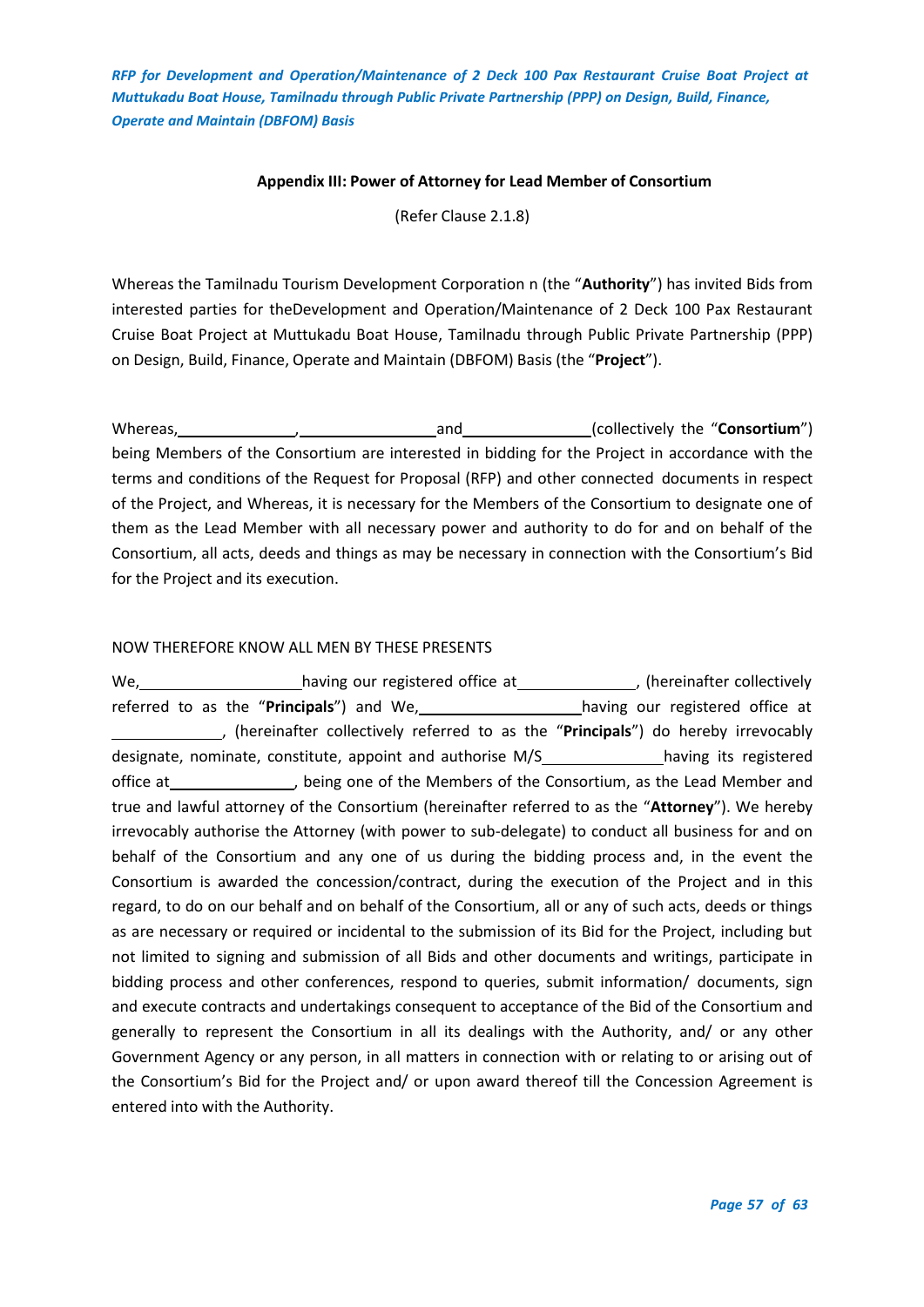## **Appendix III: Power of Attorney for Lead Member of Consortium**

(Refer Clause 2.1.8)

<span id="page-56-0"></span>Whereas the Tamilnadu Tourism Development Corporation n (the "**Authority**") has invited Bids from interested parties for theDevelopment and Operation/Maintenance of 2 Deck 100 Pax Restaurant Cruise Boat Project at Muttukadu Boat House, Tamilnadu through Public Private Partnership (PPP) on Design, Build, Finance, Operate and Maintain (DBFOM) Basis (the "**Project**").

Whereas, Mathemas, Mathemas, 2012, 2013, 2014, 2013, 2014, 2015, 2016, 2017, 2018, 2019, 2019, 2019, 2019, 201 being Members of the Consortium are interested in bidding for the Project in accordance with the terms and conditions of the Request for Proposal (RFP) and other connected documents in respect of the Project, and Whereas, it is necessary for the Members of the Consortium to designate one of them as the Lead Member with all necessary power and authority to do for and on behalf of the Consortium, all acts, deeds and things as may be necessary in connection with the Consortium's Bid for the Project and its execution.

## NOW THEREFORE KNOW ALL MEN BY THESE PRESENTS

We, \_\_\_\_\_\_\_\_\_\_\_\_\_\_\_\_\_\_\_\_\_having our registered office at \_\_\_\_\_\_\_\_\_\_\_\_\_\_\_, (hereinafter collectively referred to as the "**Principals**") and We, \_\_\_\_\_\_\_\_\_\_\_\_\_\_\_\_\_\_\_\_\_having our registered office at , (hereinafter collectively referred to as the "**Principals**") do hereby irrevocably designate, nominate, constitute, appoint and authorise M/S having its registered office at , being one of the Members of the Consortium, as the Lead Member and true and lawful attorney of the Consortium (hereinafter referred to as the "**Attorney**"). We hereby irrevocably authorise the Attorney (with power to sub-delegate) to conduct all business for and on behalf of the Consortium and any one of us during the bidding process and, in the event the Consortium is awarded the concession/contract, during the execution of the Project and in this regard, to do on our behalf and on behalf of the Consortium, all or any of such acts, deeds or things as are necessary or required or incidental to the submission of its Bid for the Project, including but not limited to signing and submission of all Bids and other documents and writings, participate in bidding process and other conferences, respond to queries, submit information/ documents, sign and execute contracts and undertakings consequent to acceptance of the Bid of the Consortium and generally to represent the Consortium in all its dealings with the Authority, and/ or any other Government Agency or any person, in all matters in connection with or relating to or arising out of the Consortium's Bid for the Project and/ or upon award thereof till the Concession Agreement is entered into with the Authority.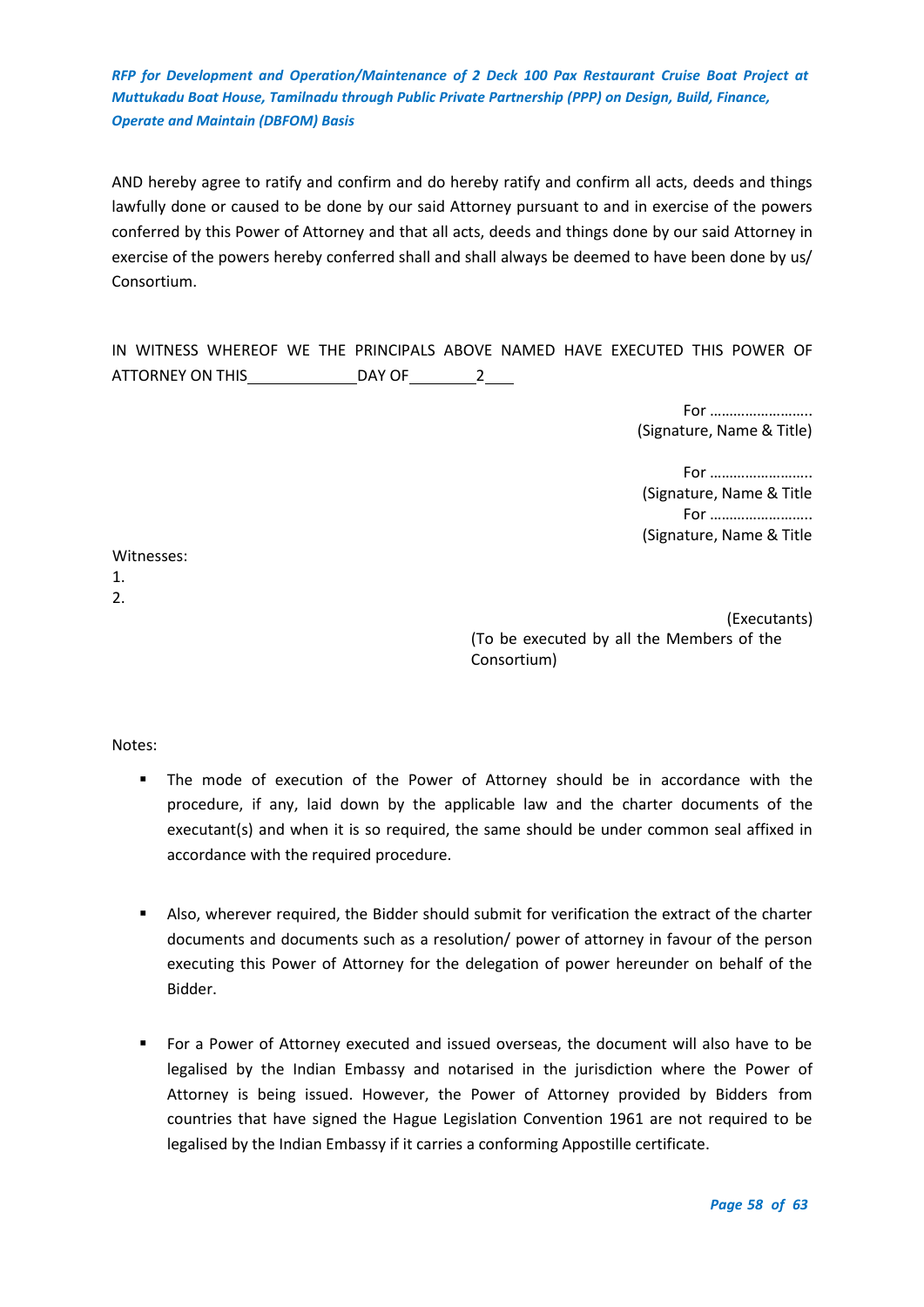AND hereby agree to ratify and confirm and do hereby ratify and confirm all acts, deeds and things lawfully done or caused to be done by our said Attorney pursuant to and in exercise of the powers conferred by this Power of Attorney and that all acts, deeds and things done by our said Attorney in exercise of the powers hereby conferred shall and shall always be deemed to have been done by us/ Consortium.

IN WITNESS WHEREOF WE THE PRINCIPALS ABOVE NAMED HAVE EXECUTED THIS POWER OF ATTORNEY ON THIS \_\_\_\_\_\_\_\_\_\_\_\_\_\_\_\_\_\_\_\_\_DAY OF \_\_\_\_\_\_\_\_\_\_\_2\_\_\_\_\_

> For …………………….. (Signature, Name & Title)

For …………………….. (Signature, Name & Title For …………………….. (Signature, Name & Title

Witnesses:

1. 2.

> (Executants) (To be executed by all the Members of the Consortium)

Notes:

- The mode of execution of the Power of Attorney should be in accordance with the procedure, if any, laid down by the applicable law and the charter documents of the executant(s) and when it is so required, the same should be under common seal affixed in accordance with the required procedure.
- Also, wherever required, the Bidder should submit for verification the extract of the charter documents and documents such as a resolution/ power of attorney in favour of the person executing this Power of Attorney for the delegation of power hereunder on behalf of the Bidder.
- For a Power of Attorney executed and issued overseas, the document will also have to be legalised by the Indian Embassy and notarised in the jurisdiction where the Power of Attorney is being issued. However, the Power of Attorney provided by Bidders from countries that have signed the Hague Legislation Convention 1961 are not required to be legalised by the Indian Embassy if it carries a conforming Appostille certificate.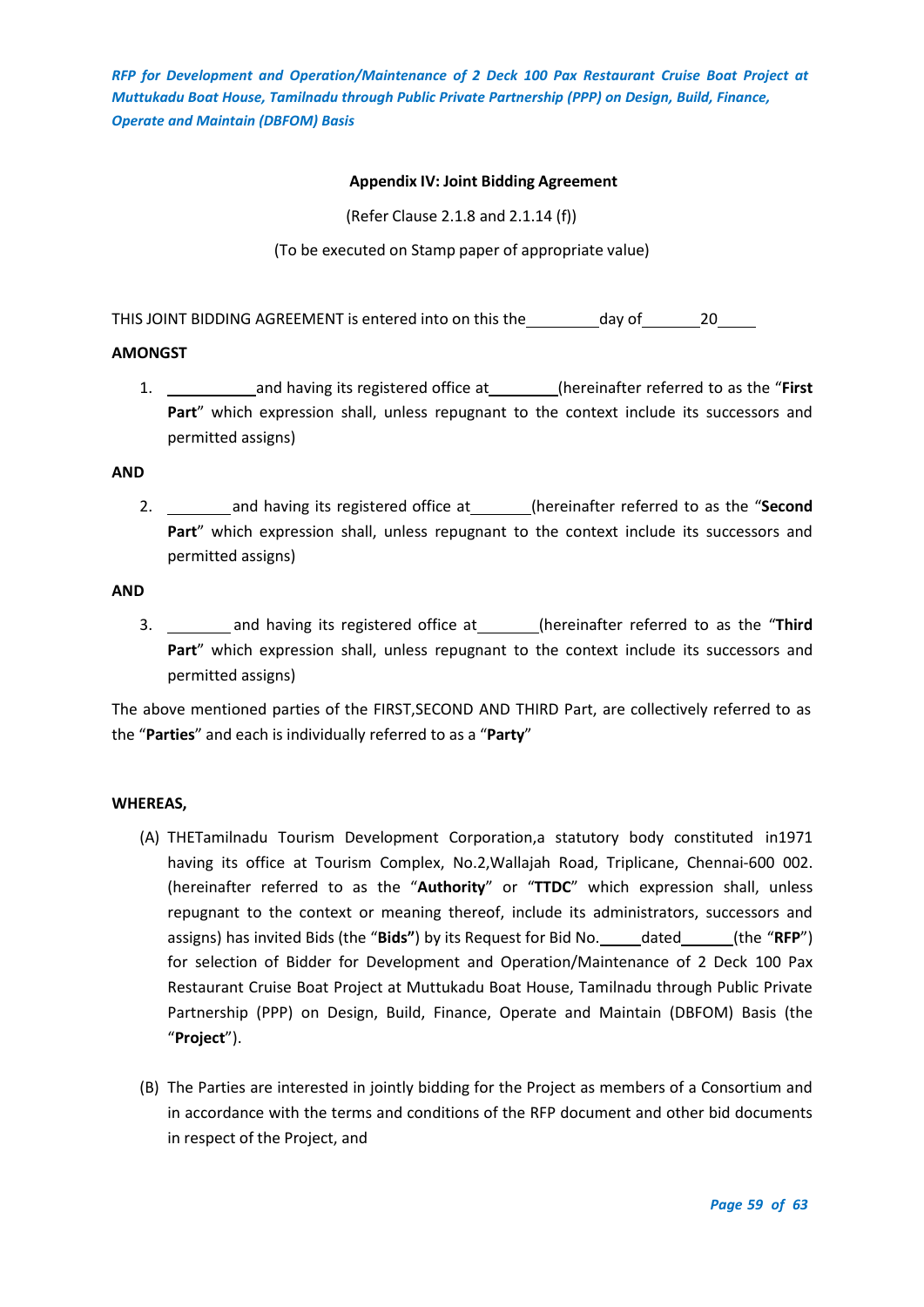## **Appendix IV: Joint Bidding Agreement**

(Refer Clause 2.1.8 and 2.1.14 (f))

(To be executed on Stamp paper of appropriate value)

<span id="page-58-0"></span>THIS JOINT BIDDING AGREEMENT is entered into on this the day of 20 and 20

## **AMONGST**

1. and having its registered office at (hereinafter referred to as the "**First Part**" which expression shall, unless repugnant to the context include its successors and permitted assigns)

#### **AND**

2. \_\_\_\_\_\_\_\_\_\_ and having its registered office at\_\_\_\_\_\_\_\_\_(hereinafter referred to as the "Second **Part**" which expression shall, unless repugnant to the context include its successors and permitted assigns)

## **AND**

3. \_\_\_\_\_\_\_\_\_ and having its registered office at\_\_\_\_\_\_\_\_(hereinafter referred to as the "Third **Part**" which expression shall, unless repugnant to the context include its successors and permitted assigns)

The above mentioned parties of the FIRST,SECOND AND THIRD Part, are collectively referred to as the "**Parties**" and each is individually referred to as a "**Party**"

#### **WHEREAS,**

- (A) THETamilnadu Tourism Development Corporation,a statutory body constituted in1971 having its office at Tourism Complex, No.2,Wallajah Road, Triplicane, Chennai-600 002. (hereinafter referred to as the "**Authority**" or "**TTDC**" which expression shall, unless repugnant to the context or meaning thereof, include its administrators, successors and assigns) has invited Bids (the "Bids") by its Request for Bid No. \_\_\_\_\_dated \_\_\_\_\_\_(the "RFP") for selection of Bidder for Development and Operation/Maintenance of 2 Deck 100 Pax Restaurant Cruise Boat Project at Muttukadu Boat House, Tamilnadu through Public Private Partnership (PPP) on Design, Build, Finance, Operate and Maintain (DBFOM) Basis (the "**Project**").
- (B) The Parties are interested in jointly bidding for the Project as members of a Consortium and in accordance with the terms and conditions of the RFP document and other bid documents in respect of the Project, and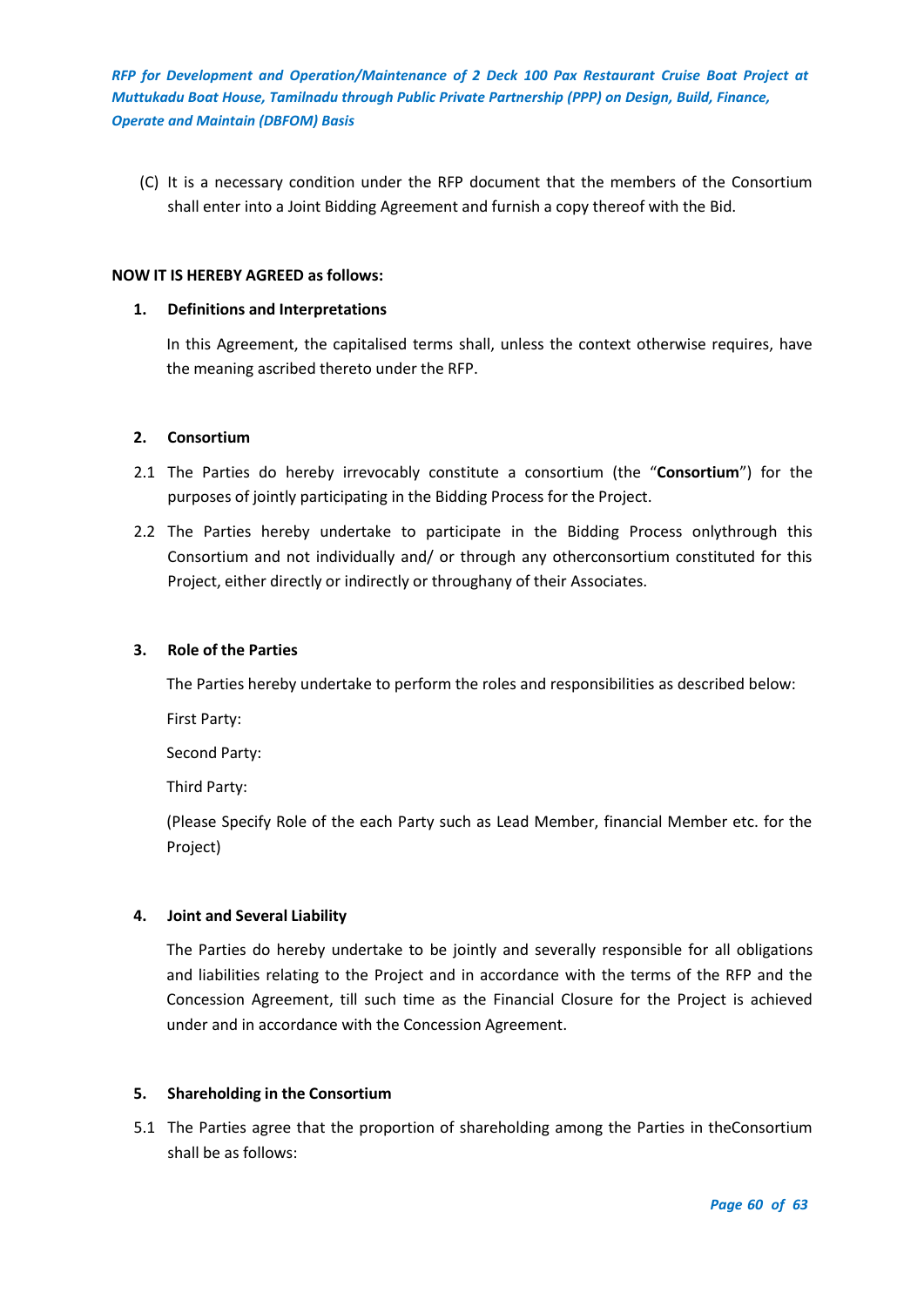(C) It is a necessary condition under the RFP document that the members of the Consortium shall enter into a Joint Bidding Agreement and furnish a copy thereof with the Bid.

#### **NOW IT IS HEREBY AGREED as follows:**

## **1. Definitions and Interpretations**

In this Agreement, the capitalised terms shall, unless the context otherwise requires, have the meaning ascribed thereto under the RFP.

## **2. Consortium**

- 2.1 The Parties do hereby irrevocably constitute a consortium (the "**Consortium**") for the purposes of jointly participating in the Bidding Process for the Project.
- 2.2 The Parties hereby undertake to participate in the Bidding Process onlythrough this Consortium and not individually and/ or through any otherconsortium constituted for this Project, either directly or indirectly or throughany of their Associates.

## **3. Role of the Parties**

The Parties hereby undertake to perform the roles and responsibilities as described below:

First Party:

Second Party:

Third Party:

(Please Specify Role of the each Party such as Lead Member, financial Member etc. for the Project)

## **4. Joint and Several Liability**

The Parties do hereby undertake to be jointly and severally responsible for all obligations and liabilities relating to the Project and in accordance with the terms of the RFP and the Concession Agreement, till such time as the Financial Closure for the Project is achieved under and in accordance with the Concession Agreement.

## **5. Shareholding in the Consortium**

5.1 The Parties agree that the proportion of shareholding among the Parties in theConsortium shall be as follows: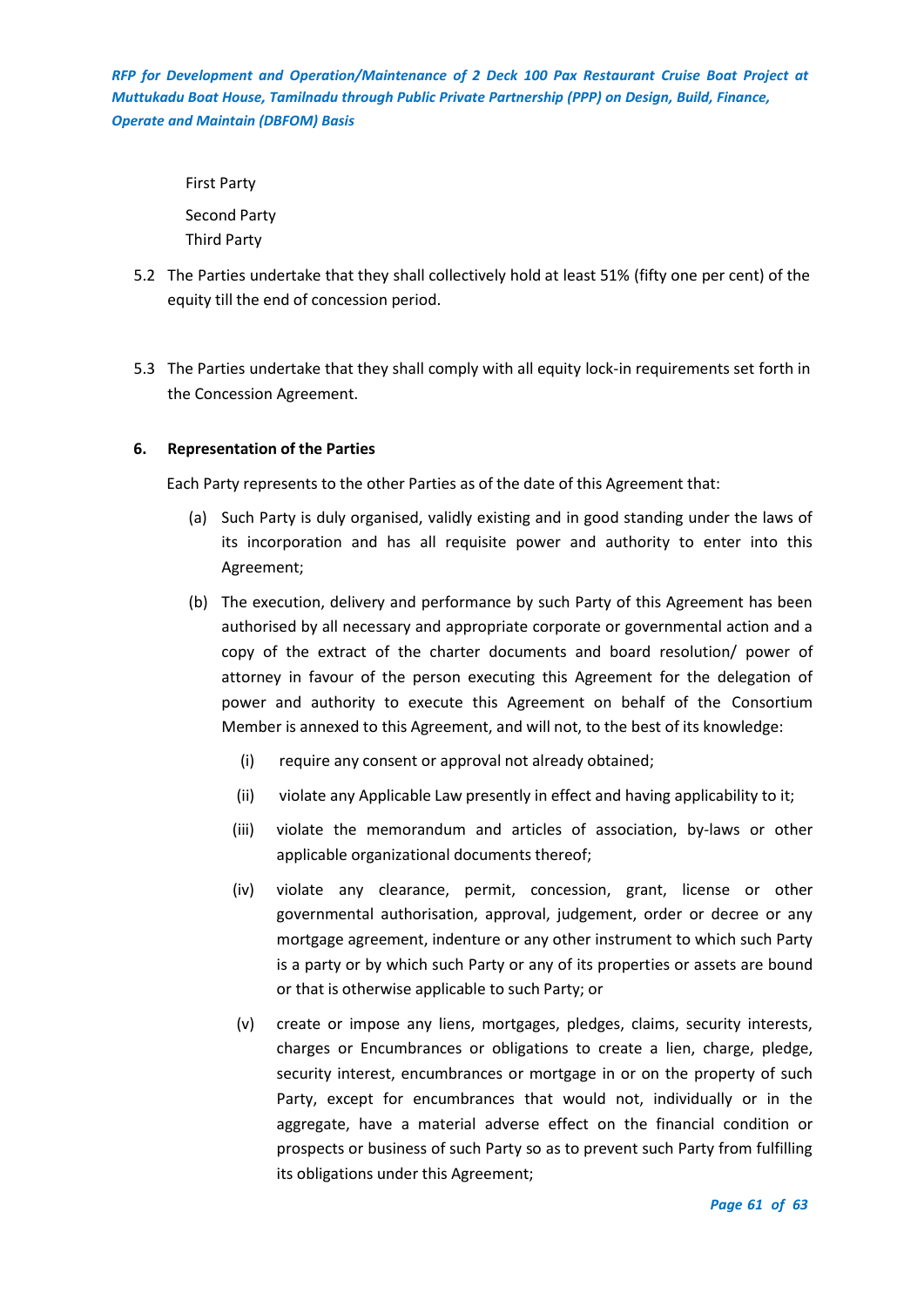> First Party Second Party Third Party

- 5.2 The Parties undertake that they shall collectively hold at least 51% (fifty one per cent) of the equity till the end of concession period.
- 5.3 The Parties undertake that they shall comply with all equity lock-in requirements set forth in the Concession Agreement.

## **6. Representation of the Parties**

Each Party represents to the other Parties as of the date of this Agreement that:

- (a) Such Party is duly organised, validly existing and in good standing under the laws of its incorporation and has all requisite power and authority to enter into this Agreement;
- (b) The execution, delivery and performance by such Party of this Agreement has been authorised by all necessary and appropriate corporate or governmental action and a copy of the extract of the charter documents and board resolution/ power of attorney in favour of the person executing this Agreement for the delegation of power and authority to execute this Agreement on behalf of the Consortium Member is annexed to this Agreement, and will not, to the best of its knowledge:
	- (i) require any consent or approval not already obtained;
	- (ii) violate any Applicable Law presently in effect and having applicability to it;
	- (iii) violate the memorandum and articles of association, by-laws or other applicable organizational documents thereof;
	- (iv) violate any clearance, permit, concession, grant, license or other governmental authorisation, approval, judgement, order or decree or any mortgage agreement, indenture or any other instrument to which such Party is a party or by which such Party or any of its properties or assets are bound or that is otherwise applicable to such Party; or
	- (v) create or impose any liens, mortgages, pledges, claims, security interests, charges or Encumbrances or obligations to create a lien, charge, pledge, security interest, encumbrances or mortgage in or on the property of such Party, except for encumbrances that would not, individually or in the aggregate, have a material adverse effect on the financial condition or prospects or business of such Party so as to prevent such Party from fulfilling its obligations under this Agreement;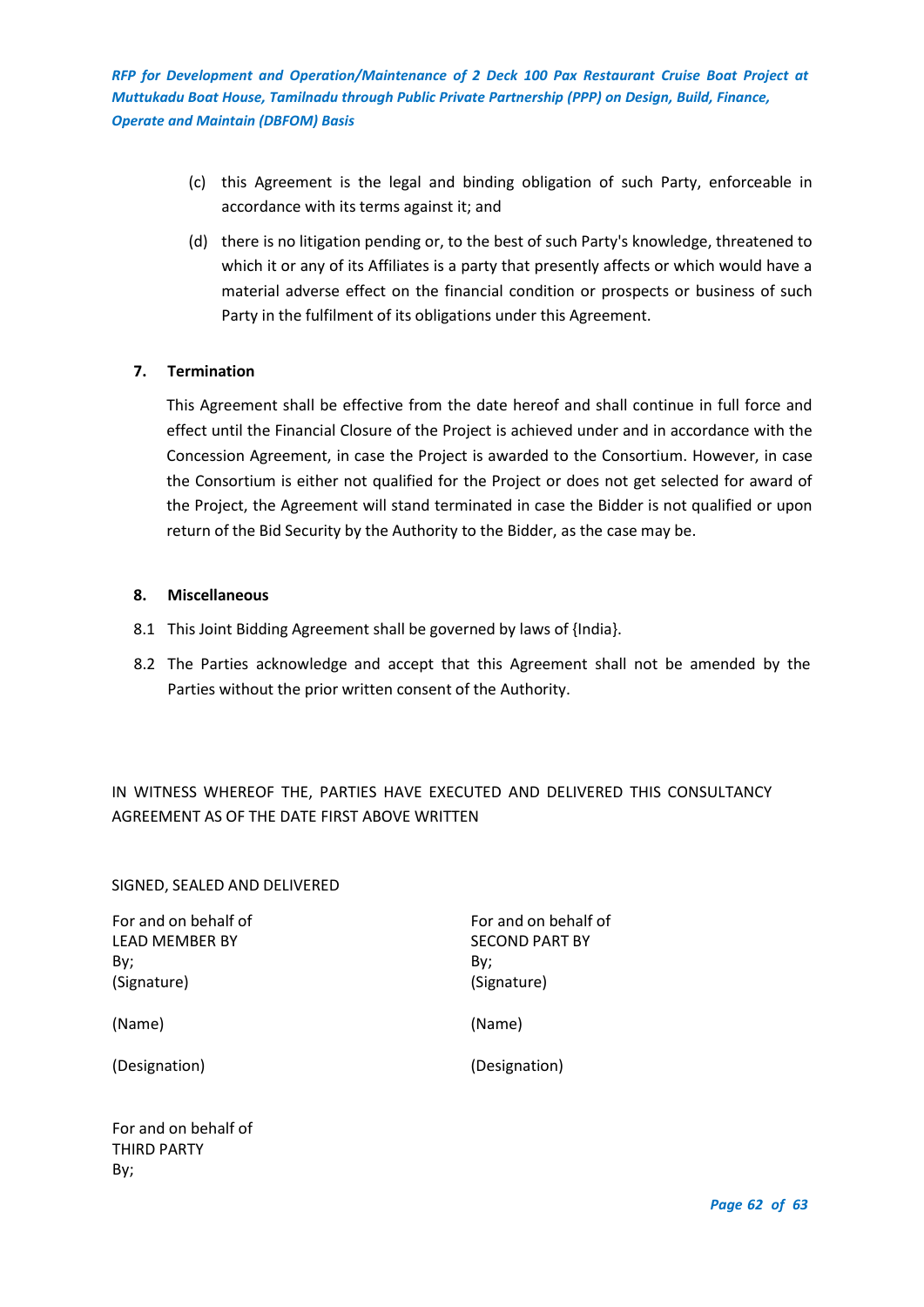- (c) this Agreement is the legal and binding obligation of such Party, enforceable in accordance with its terms against it; and
- (d) there is no litigation pending or, to the best of such Party's knowledge, threatened to which it or any of its Affiliates is a party that presently affects or which would have a material adverse effect on the financial condition or prospects or business of such Party in the fulfilment of its obligations under this Agreement.

## **7. Termination**

This Agreement shall be effective from the date hereof and shall continue in full force and effect until the Financial Closure of the Project is achieved under and in accordance with the Concession Agreement, in case the Project is awarded to the Consortium. However, in case the Consortium is either not qualified for the Project or does not get selected for award of the Project, the Agreement will stand terminated in case the Bidder is not qualified or upon return of the Bid Security by the Authority to the Bidder, as the case may be.

## **8. Miscellaneous**

- 8.1 This Joint Bidding Agreement shall be governed by laws of {India}.
- 8.2 The Parties acknowledge and accept that this Agreement shall not be amended by the Parties without the prior written consent of the Authority.

## IN WITNESS WHEREOF THE, PARTIES HAVE EXECUTED AND DELIVERED THIS CONSULTANCY AGREEMENT AS OF THE DATE FIRST ABOVE WRITTEN

## SIGNED, SEALED AND DELIVERED

For and on behalf of LEAD MEMBER BY By; (Signature)

For and on behalf of SECOND PART BY

(Name)

(Designation)

By; (Signature)

(Name)

(Designation)

For and on behalf of THIRD PARTY By;